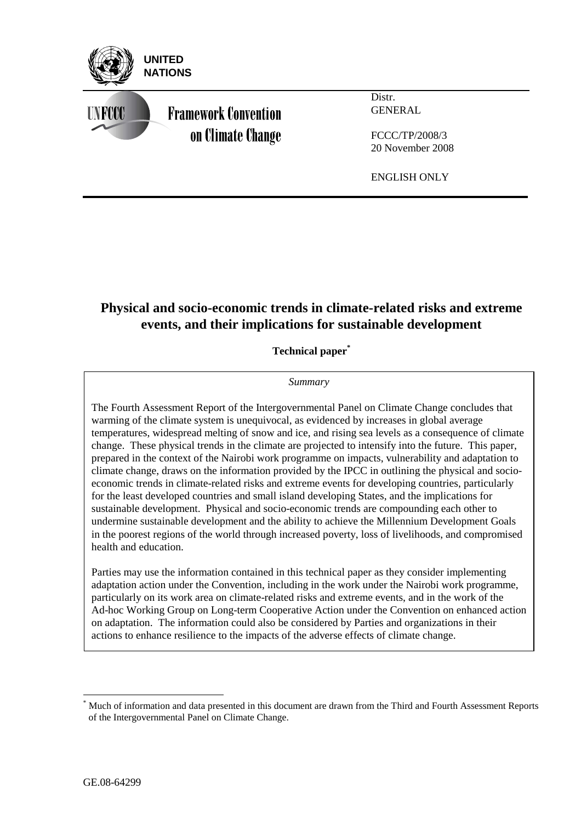

# **Physical and socio-economic trends in climate-related risks and extreme events, and their implications for sustainable development**

**Technical paper\***

## *Summary*

The Fourth Assessment Report of the Intergovernmental Panel on Climate Change concludes that warming of the climate system is unequivocal, as evidenced by increases in global average temperatures, widespread melting of snow and ice, and rising sea levels as a consequence of climate change. These physical trends in the climate are projected to intensify into the future. This paper, prepared in the context of the Nairobi work programme on impacts, vulnerability and adaptation to climate change, draws on the information provided by the IPCC in outlining the physical and socioeconomic trends in climate-related risks and extreme events for developing countries, particularly for the least developed countries and small island developing States, and the implications for sustainable development. Physical and socio-economic trends are compounding each other to undermine sustainable development and the ability to achieve the Millennium Development Goals in the poorest regions of the world through increased poverty, loss of livelihoods, and compromised health and education.

Parties may use the information contained in this technical paper as they consider implementing adaptation action under the Convention, including in the work under the Nairobi work programme, particularly on its work area on climate-related risks and extreme events, and in the work of the Ad-hoc Working Group on Long-term Cooperative Action under the Convention on enhanced action on adaptation. The information could also be considered by Parties and organizations in their actions to enhance resilience to the impacts of the adverse effects of climate change.

 $\overline{a}$ 

<sup>\*</sup> Much of information and data presented in this document are drawn from the Third and Fourth Assessment Reports of the Intergovernmental Panel on Climate Change.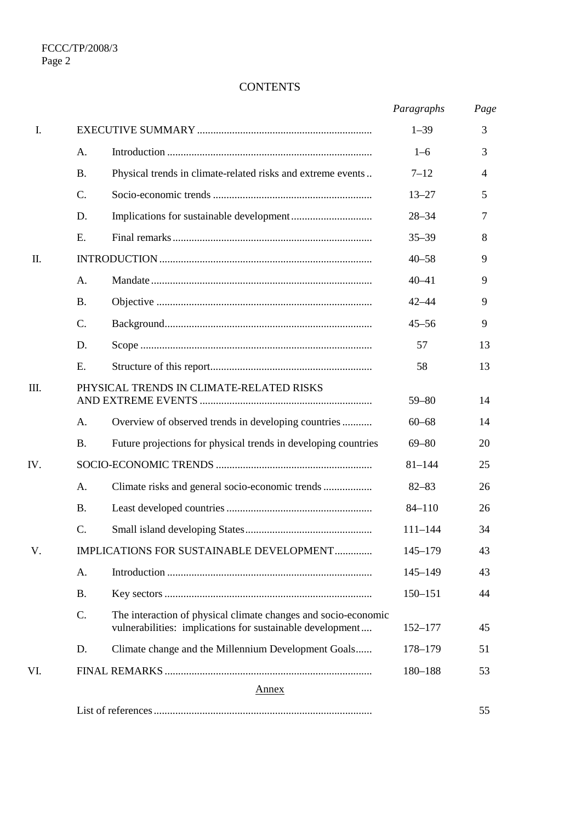# **CONTENTS**

|     |                 |                                                                                                                             | Paragraphs  | Page |
|-----|-----------------|-----------------------------------------------------------------------------------------------------------------------------|-------------|------|
| I.  |                 |                                                                                                                             | $1 - 39$    | 3    |
|     | A.              |                                                                                                                             | $1 - 6$     | 3    |
|     | <b>B.</b>       | Physical trends in climate-related risks and extreme events                                                                 | $7 - 12$    | 4    |
|     | $\mathcal{C}$ . |                                                                                                                             | $13 - 27$   | 5    |
|     | D.              |                                                                                                                             | $28 - 34$   | 7    |
|     | E.              |                                                                                                                             | $35 - 39$   | 8    |
| Π.  |                 |                                                                                                                             | $40 - 58$   | 9    |
|     | A.              |                                                                                                                             | $40 - 41$   | 9    |
|     | <b>B.</b>       |                                                                                                                             | $42 - 44$   | 9    |
|     | $\mathcal{C}$ . |                                                                                                                             | $45 - 56$   | 9    |
|     | D.              |                                                                                                                             | 57          | 13   |
|     | E.              |                                                                                                                             | 58          | 13   |
| Ш.  |                 | PHYSICAL TRENDS IN CLIMATE-RELATED RISKS                                                                                    | $59 - 80$   | 14   |
|     | A.              | Overview of observed trends in developing countries                                                                         | $60 - 68$   | 14   |
|     | <b>B.</b>       | Future projections for physical trends in developing countries                                                              | $69 - 80$   | 20   |
| IV. |                 |                                                                                                                             | $81 - 144$  | 25   |
|     | A.              | Climate risks and general socio-economic trends                                                                             | $82 - 83$   | 26   |
|     | <b>B.</b>       |                                                                                                                             | $84 - 110$  | 26   |
|     | $\mathcal{C}$ . |                                                                                                                             | $111 - 144$ | 34   |
| V.  |                 | IMPLICATIONS FOR SUSTAINABLE DEVELOPMENT                                                                                    | $145 - 179$ | 43   |
|     | A.              |                                                                                                                             | $145 - 149$ | 43   |
|     | <b>B.</b>       |                                                                                                                             | $150 - 151$ | 44   |
|     | C.              | The interaction of physical climate changes and socio-economic<br>vulnerabilities: implications for sustainable development | $152 - 177$ | 45   |
|     | D.              | Climate change and the Millennium Development Goals                                                                         | 178-179     | 51   |
| VI. |                 |                                                                                                                             | 180-188     | 53   |
|     |                 | <b>Annex</b>                                                                                                                |             |      |
|     |                 |                                                                                                                             |             | 55   |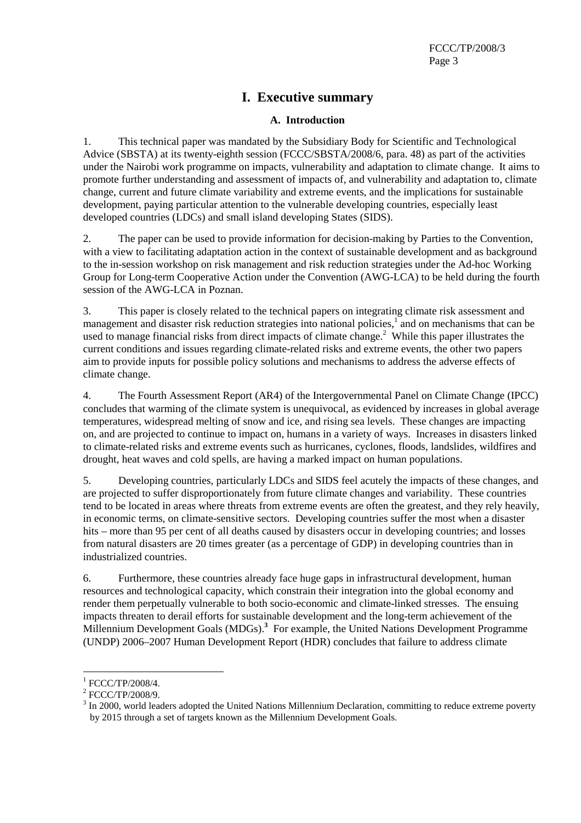# **I. Executive summary**

## **A. Introduction**

1. This technical paper was mandated by the Subsidiary Body for Scientific and Technological Advice (SBSTA) at its twenty-eighth session (FCCC/SBSTA/2008/6, para. 48) as part of the activities under the Nairobi work programme on impacts, vulnerability and adaptation to climate change. It aims to promote further understanding and assessment of impacts of, and vulnerability and adaptation to, climate change, current and future climate variability and extreme events, and the implications for sustainable development, paying particular attention to the vulnerable developing countries, especially least developed countries (LDCs) and small island developing States (SIDS).

2. The paper can be used to provide information for decision-making by Parties to the Convention, with a view to facilitating adaptation action in the context of sustainable development and as background to the in-session workshop on risk management and risk reduction strategies under the Ad-hoc Working Group for Long-term Cooperative Action under the Convention (AWG-LCA) to be held during the fourth session of the AWG-LCA in Poznan.

3. This paper is closely related to the technical papers on integrating climate risk assessment and management and disaster risk reduction strategies into national policies,<sup>1</sup> and on mechanisms that can be used to manage financial risks from direct impacts of climate change.<sup>2</sup> While this paper illustrates the current conditions and issues regarding climate-related risks and extreme events, the other two papers aim to provide inputs for possible policy solutions and mechanisms to address the adverse effects of climate change.

4. The Fourth Assessment Report (AR4) of the Intergovernmental Panel on Climate Change (IPCC) concludes that warming of the climate system is unequivocal, as evidenced by increases in global average temperatures, widespread melting of snow and ice, and rising sea levels. These changes are impacting on, and are projected to continue to impact on, humans in a variety of ways. Increases in disasters linked to climate-related risks and extreme events such as hurricanes, cyclones, floods, landslides, wildfires and drought, heat waves and cold spells, are having a marked impact on human populations.

5. Developing countries, particularly LDCs and SIDS feel acutely the impacts of these changes, and are projected to suffer disproportionately from future climate changes and variability. These countries tend to be located in areas where threats from extreme events are often the greatest, and they rely heavily, in economic terms, on climate-sensitive sectors. Developing countries suffer the most when a disaster hits – more than 95 per cent of all deaths caused by disasters occur in developing countries; and losses from natural disasters are 20 times greater (as a percentage of GDP) in developing countries than in industrialized countries.

6. Furthermore, these countries already face huge gaps in infrastructural development, human resources and technological capacity, which constrain their integration into the global economy and render them perpetually vulnerable to both socio-economic and climate-linked stresses. The ensuing impacts threaten to derail efforts for sustainable development and the long-term achievement of the Millennium Development Goals (MDGs).**<sup>3</sup>** For example, the United Nations Development Programme (UNDP) 2006–2007 Human Development Report (HDR) concludes that failure to address climate

 $\overline{a}$ 

 $^{1}$  FCCC/TP/2008/4.

 $2$  FCCC/TP/2008/9.

 $3$  In 2000, world leaders adopted the United Nations Millennium Declaration, committing to reduce extreme poverty by 2015 through a set of targets known as the Millennium Development Goals.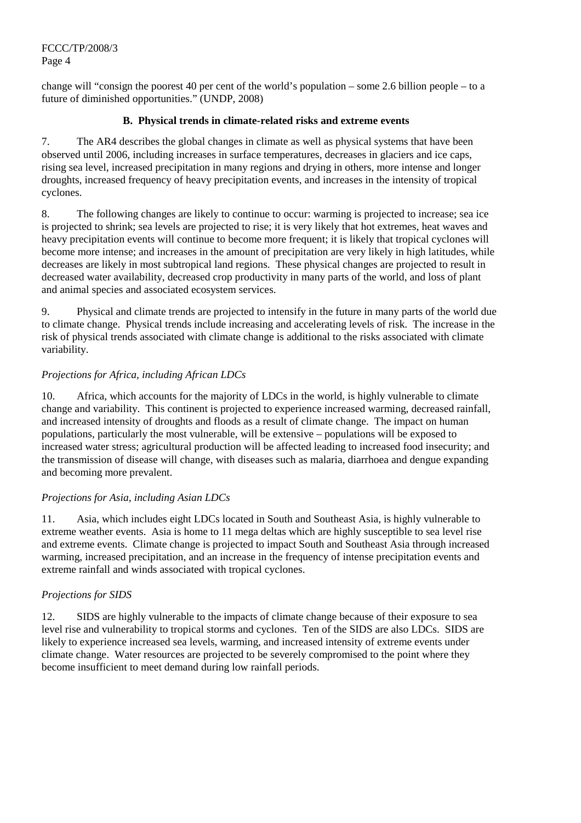change will "consign the poorest 40 per cent of the world's population – some 2.6 billion people – to a future of diminished opportunities." (UNDP, 2008)

## **B. Physical trends in climate-related risks and extreme events**

7. The AR4 describes the global changes in climate as well as physical systems that have been observed until 2006, including increases in surface temperatures, decreases in glaciers and ice caps, rising sea level, increased precipitation in many regions and drying in others, more intense and longer droughts, increased frequency of heavy precipitation events, and increases in the intensity of tropical cyclones.

8. The following changes are likely to continue to occur: warming is projected to increase; sea ice is projected to shrink; sea levels are projected to rise; it is very likely that hot extremes, heat waves and heavy precipitation events will continue to become more frequent; it is likely that tropical cyclones will become more intense; and increases in the amount of precipitation are very likely in high latitudes, while decreases are likely in most subtropical land regions. These physical changes are projected to result in decreased water availability, decreased crop productivity in many parts of the world, and loss of plant and animal species and associated ecosystem services.

9. Physical and climate trends are projected to intensify in the future in many parts of the world due to climate change. Physical trends include increasing and accelerating levels of risk. The increase in the risk of physical trends associated with climate change is additional to the risks associated with climate variability.

## *Projections for Africa, including African LDCs*

10. Africa, which accounts for the majority of LDCs in the world, is highly vulnerable to climate change and variability. This continent is projected to experience increased warming, decreased rainfall, and increased intensity of droughts and floods as a result of climate change. The impact on human populations, particularly the most vulnerable, will be extensive – populations will be exposed to increased water stress; agricultural production will be affected leading to increased food insecurity; and the transmission of disease will change, with diseases such as malaria, diarrhoea and dengue expanding and becoming more prevalent.

## *Projections for Asia, including Asian LDCs*

11. Asia, which includes eight LDCs located in South and Southeast Asia, is highly vulnerable to extreme weather events. Asia is home to 11 mega deltas which are highly susceptible to sea level rise and extreme events. Climate change is projected to impact South and Southeast Asia through increased warming, increased precipitation, and an increase in the frequency of intense precipitation events and extreme rainfall and winds associated with tropical cyclones.

## *Projections for SIDS*

12. SIDS are highly vulnerable to the impacts of climate change because of their exposure to sea level rise and vulnerability to tropical storms and cyclones. Ten of the SIDS are also LDCs. SIDS are likely to experience increased sea levels, warming, and increased intensity of extreme events under climate change. Water resources are projected to be severely compromised to the point where they become insufficient to meet demand during low rainfall periods.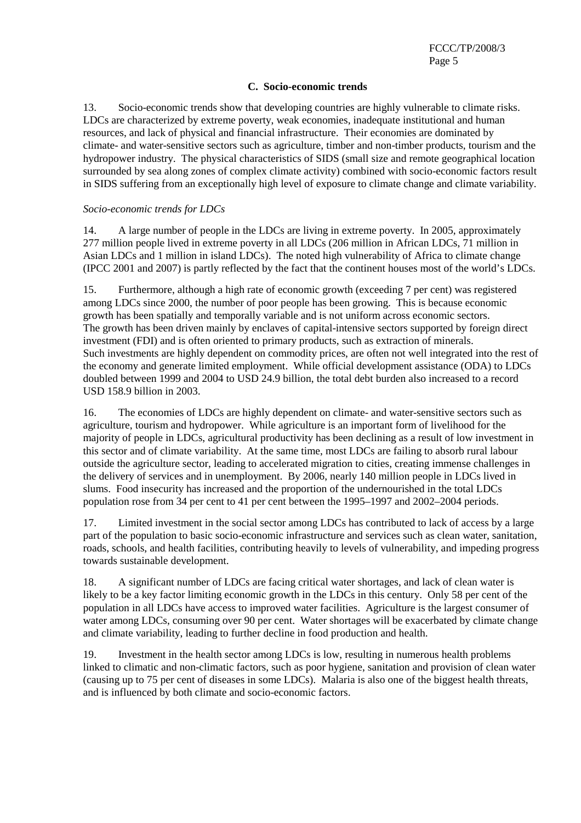#### **C. Socio-economic trends**

13. Socio-economic trends show that developing countries are highly vulnerable to climate risks. LDCs are characterized by extreme poverty, weak economies, inadequate institutional and human resources, and lack of physical and financial infrastructure. Their economies are dominated by climate- and water-sensitive sectors such as agriculture, timber and non-timber products, tourism and the hydropower industry. The physical characteristics of SIDS (small size and remote geographical location surrounded by sea along zones of complex climate activity) combined with socio-economic factors result in SIDS suffering from an exceptionally high level of exposure to climate change and climate variability.

#### *Socio-economic trends for LDCs*

14. A large number of people in the LDCs are living in extreme poverty. In 2005, approximately 277 million people lived in extreme poverty in all LDCs (206 million in African LDCs, 71 million in Asian LDCs and 1 million in island LDCs). The noted high vulnerability of Africa to climate change (IPCC 2001 and 2007) is partly reflected by the fact that the continent houses most of the world's LDCs.

15. Furthermore, although a high rate of economic growth (exceeding 7 per cent) was registered among LDCs since 2000, the number of poor people has been growing. This is because economic growth has been spatially and temporally variable and is not uniform across economic sectors. The growth has been driven mainly by enclaves of capital-intensive sectors supported by foreign direct investment (FDI) and is often oriented to primary products, such as extraction of minerals. Such investments are highly dependent on commodity prices, are often not well integrated into the rest of the economy and generate limited employment. While official development assistance (ODA) to LDCs doubled between 1999 and 2004 to USD 24.9 billion, the total debt burden also increased to a record USD 158.9 billion in 2003.

16. The economies of LDCs are highly dependent on climate- and water-sensitive sectors such as agriculture, tourism and hydropower. While agriculture is an important form of livelihood for the majority of people in LDCs, agricultural productivity has been declining as a result of low investment in this sector and of climate variability. At the same time, most LDCs are failing to absorb rural labour outside the agriculture sector, leading to accelerated migration to cities, creating immense challenges in the delivery of services and in unemployment. By 2006, nearly 140 million people in LDCs lived in slums. Food insecurity has increased and the proportion of the undernourished in the total LDCs population rose from 34 per cent to 41 per cent between the 1995–1997 and 2002–2004 periods.

17. Limited investment in the social sector among LDCs has contributed to lack of access by a large part of the population to basic socio-economic infrastructure and services such as clean water, sanitation, roads, schools, and health facilities, contributing heavily to levels of vulnerability, and impeding progress towards sustainable development.

18. A significant number of LDCs are facing critical water shortages, and lack of clean water is likely to be a key factor limiting economic growth in the LDCs in this century. Only 58 per cent of the population in all LDCs have access to improved water facilities. Agriculture is the largest consumer of water among LDCs, consuming over 90 per cent. Water shortages will be exacerbated by climate change and climate variability, leading to further decline in food production and health.

19. Investment in the health sector among LDCs is low, resulting in numerous health problems linked to climatic and non-climatic factors, such as poor hygiene, sanitation and provision of clean water (causing up to 75 per cent of diseases in some LDCs). Malaria is also one of the biggest health threats, and is influenced by both climate and socio-economic factors.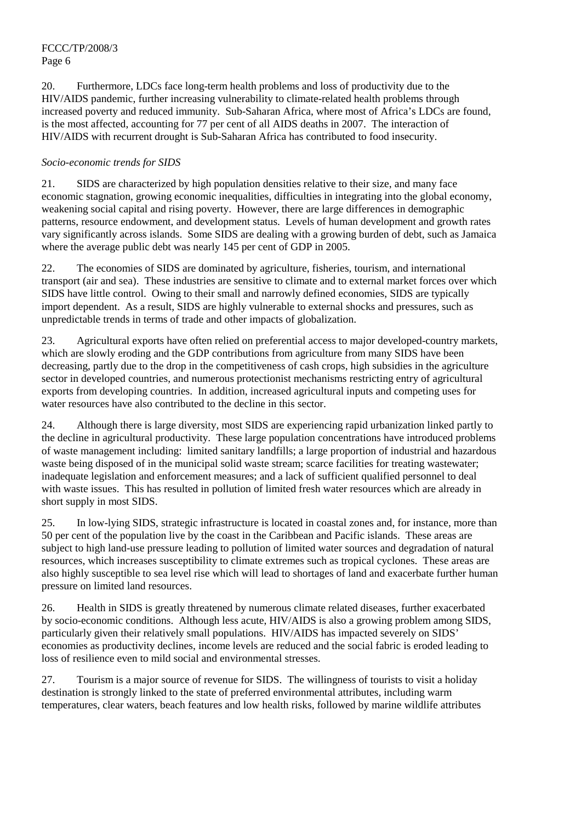20. Furthermore, LDCs face long-term health problems and loss of productivity due to the HIV/AIDS pandemic, further increasing vulnerability to climate-related health problems through increased poverty and reduced immunity. Sub-Saharan Africa, where most of Africa's LDCs are found, is the most affected, accounting for 77 per cent of all AIDS deaths in 2007. The interaction of HIV/AIDS with recurrent drought is Sub-Saharan Africa has contributed to food insecurity.

## *Socio-economic trends for SIDS*

21. SIDS are characterized by high population densities relative to their size, and many face economic stagnation, growing economic inequalities, difficulties in integrating into the global economy, weakening social capital and rising poverty. However, there are large differences in demographic patterns, resource endowment, and development status. Levels of human development and growth rates vary significantly across islands. Some SIDS are dealing with a growing burden of debt, such as Jamaica where the average public debt was nearly 145 per cent of GDP in 2005.

22. The economies of SIDS are dominated by agriculture, fisheries, tourism, and international transport (air and sea). These industries are sensitive to climate and to external market forces over which SIDS have little control. Owing to their small and narrowly defined economies, SIDS are typically import dependent. As a result, SIDS are highly vulnerable to external shocks and pressures, such as unpredictable trends in terms of trade and other impacts of globalization.

23. Agricultural exports have often relied on preferential access to major developed-country markets, which are slowly eroding and the GDP contributions from agriculture from many SIDS have been decreasing, partly due to the drop in the competitiveness of cash crops, high subsidies in the agriculture sector in developed countries, and numerous protectionist mechanisms restricting entry of agricultural exports from developing countries. In addition, increased agricultural inputs and competing uses for water resources have also contributed to the decline in this sector.

24. Although there is large diversity, most SIDS are experiencing rapid urbanization linked partly to the decline in agricultural productivity. These large population concentrations have introduced problems of waste management including: limited sanitary landfills; a large proportion of industrial and hazardous waste being disposed of in the municipal solid waste stream; scarce facilities for treating wastewater; inadequate legislation and enforcement measures; and a lack of sufficient qualified personnel to deal with waste issues. This has resulted in pollution of limited fresh water resources which are already in short supply in most SIDS.

25. In low-lying SIDS, strategic infrastructure is located in coastal zones and, for instance, more than 50 per cent of the population live by the coast in the Caribbean and Pacific islands. These areas are subject to high land-use pressure leading to pollution of limited water sources and degradation of natural resources, which increases susceptibility to climate extremes such as tropical cyclones. These areas are also highly susceptible to sea level rise which will lead to shortages of land and exacerbate further human pressure on limited land resources.

26. Health in SIDS is greatly threatened by numerous climate related diseases, further exacerbated by socio-economic conditions. Although less acute, HIV/AIDS is also a growing problem among SIDS, particularly given their relatively small populations. HIV/AIDS has impacted severely on SIDS' economies as productivity declines, income levels are reduced and the social fabric is eroded leading to loss of resilience even to mild social and environmental stresses.

27. Tourism is a major source of revenue for SIDS. The willingness of tourists to visit a holiday destination is strongly linked to the state of preferred environmental attributes, including warm temperatures, clear waters, beach features and low health risks, followed by marine wildlife attributes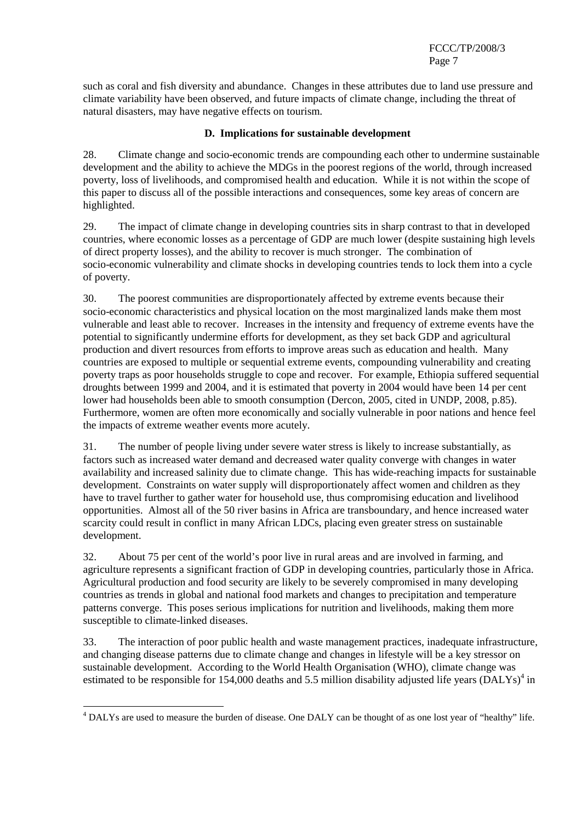such as coral and fish diversity and abundance. Changes in these attributes due to land use pressure and climate variability have been observed, and future impacts of climate change, including the threat of natural disasters, may have negative effects on tourism.

## **D. Implications for sustainable development**

28. Climate change and socio-economic trends are compounding each other to undermine sustainable development and the ability to achieve the MDGs in the poorest regions of the world, through increased poverty, loss of livelihoods, and compromised health and education. While it is not within the scope of this paper to discuss all of the possible interactions and consequences, some key areas of concern are highlighted.

29. The impact of climate change in developing countries sits in sharp contrast to that in developed countries, where economic losses as a percentage of GDP are much lower (despite sustaining high levels of direct property losses), and the ability to recover is much stronger. The combination of socio-economic vulnerability and climate shocks in developing countries tends to lock them into a cycle of poverty.

30. The poorest communities are disproportionately affected by extreme events because their socio-economic characteristics and physical location on the most marginalized lands make them most vulnerable and least able to recover. Increases in the intensity and frequency of extreme events have the potential to significantly undermine efforts for development, as they set back GDP and agricultural production and divert resources from efforts to improve areas such as education and health. Many countries are exposed to multiple or sequential extreme events, compounding vulnerability and creating poverty traps as poor households struggle to cope and recover. For example, Ethiopia suffered sequential droughts between 1999 and 2004, and it is estimated that poverty in 2004 would have been 14 per cent lower had households been able to smooth consumption (Dercon, 2005, cited in UNDP, 2008, p.85). Furthermore, women are often more economically and socially vulnerable in poor nations and hence feel the impacts of extreme weather events more acutely.

31. The number of people living under severe water stress is likely to increase substantially, as factors such as increased water demand and decreased water quality converge with changes in water availability and increased salinity due to climate change. This has wide-reaching impacts for sustainable development. Constraints on water supply will disproportionately affect women and children as they have to travel further to gather water for household use, thus compromising education and livelihood opportunities. Almost all of the 50 river basins in Africa are transboundary, and hence increased water scarcity could result in conflict in many African LDCs, placing even greater stress on sustainable development.

32. About 75 per cent of the world's poor live in rural areas and are involved in farming, and agriculture represents a significant fraction of GDP in developing countries, particularly those in Africa. Agricultural production and food security are likely to be severely compromised in many developing countries as trends in global and national food markets and changes to precipitation and temperature patterns converge. This poses serious implications for nutrition and livelihoods, making them more susceptible to climate-linked diseases.

33. The interaction of poor public health and waste management practices, inadequate infrastructure, and changing disease patterns due to climate change and changes in lifestyle will be a key stressor on sustainable development. According to the World Health Organisation (WHO), climate change was estimated to be responsible for 154,000 deaths and 5.5 million disability adjusted life years  $(DALYs)^4$  in

<sup>&</sup>lt;sup>4</sup> DALYs are used to measure the burden of disease. One DALY can be thought of as one lost year of "healthy" life.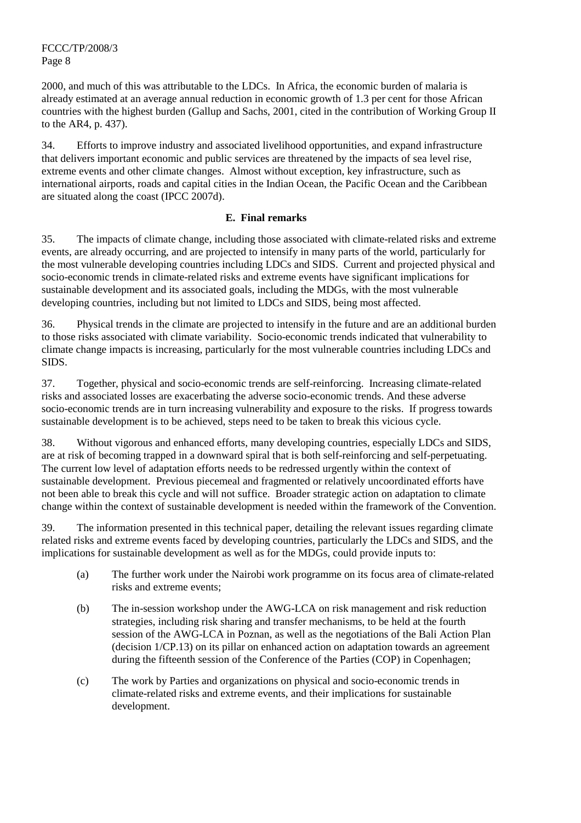2000, and much of this was attributable to the LDCs. In Africa, the economic burden of malaria is already estimated at an average annual reduction in economic growth of 1.3 per cent for those African countries with the highest burden (Gallup and Sachs, 2001, cited in the contribution of Working Group II to the AR4, p. 437).

34. Efforts to improve industry and associated livelihood opportunities, and expand infrastructure that delivers important economic and public services are threatened by the impacts of sea level rise, extreme events and other climate changes. Almost without exception, key infrastructure, such as international airports, roads and capital cities in the Indian Ocean, the Pacific Ocean and the Caribbean are situated along the coast (IPCC 2007d).

#### **E. Final remarks**

35. The impacts of climate change, including those associated with climate-related risks and extreme events, are already occurring, and are projected to intensify in many parts of the world, particularly for the most vulnerable developing countries including LDCs and SIDS. Current and projected physical and socio-economic trends in climate-related risks and extreme events have significant implications for sustainable development and its associated goals, including the MDGs, with the most vulnerable developing countries, including but not limited to LDCs and SIDS, being most affected.

36. Physical trends in the climate are projected to intensify in the future and are an additional burden to those risks associated with climate variability. Socio-economic trends indicated that vulnerability to climate change impacts is increasing, particularly for the most vulnerable countries including LDCs and SIDS.

37. Together, physical and socio-economic trends are self-reinforcing. Increasing climate-related risks and associated losses are exacerbating the adverse socio-economic trends. And these adverse socio-economic trends are in turn increasing vulnerability and exposure to the risks. If progress towards sustainable development is to be achieved, steps need to be taken to break this vicious cycle.

38. Without vigorous and enhanced efforts, many developing countries, especially LDCs and SIDS, are at risk of becoming trapped in a downward spiral that is both self-reinforcing and self-perpetuating. The current low level of adaptation efforts needs to be redressed urgently within the context of sustainable development. Previous piecemeal and fragmented or relatively uncoordinated efforts have not been able to break this cycle and will not suffice. Broader strategic action on adaptation to climate change within the context of sustainable development is needed within the framework of the Convention.

39. The information presented in this technical paper, detailing the relevant issues regarding climate related risks and extreme events faced by developing countries, particularly the LDCs and SIDS, and the implications for sustainable development as well as for the MDGs, could provide inputs to:

- (a) The further work under the Nairobi work programme on its focus area of climate-related risks and extreme events;
- (b) The in-session workshop under the AWG-LCA on risk management and risk reduction strategies, including risk sharing and transfer mechanisms, to be held at the fourth session of the AWG-LCA in Poznan, as well as the negotiations of the Bali Action Plan (decision 1/CP.13) on its pillar on enhanced action on adaptation towards an agreement during the fifteenth session of the Conference of the Parties (COP) in Copenhagen;
- (c) The work by Parties and organizations on physical and socio-economic trends in climate-related risks and extreme events, and their implications for sustainable development.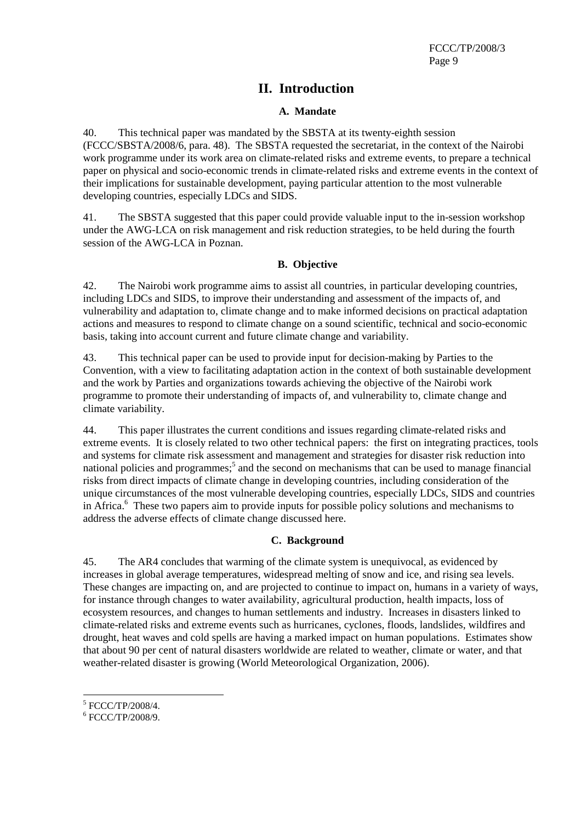# **II. Introduction**

## **A. Mandate**

40. This technical paper was mandated by the SBSTA at its twenty-eighth session (FCCC/SBSTA/2008/6, para. 48). The SBSTA requested the secretariat, in the context of the Nairobi work programme under its work area on climate-related risks and extreme events, to prepare a technical paper on physical and socio-economic trends in climate-related risks and extreme events in the context of their implications for sustainable development, paying particular attention to the most vulnerable developing countries, especially LDCs and SIDS.

41. The SBSTA suggested that this paper could provide valuable input to the in-session workshop under the AWG-LCA on risk management and risk reduction strategies, to be held during the fourth session of the AWG-LCA in Poznan.

#### **B. Objective**

42. The Nairobi work programme aims to assist all countries, in particular developing countries, including LDCs and SIDS, to improve their understanding and assessment of the impacts of, and vulnerability and adaptation to, climate change and to make informed decisions on practical adaptation actions and measures to respond to climate change on a sound scientific, technical and socio-economic basis, taking into account current and future climate change and variability.

43. This technical paper can be used to provide input for decision-making by Parties to the Convention, with a view to facilitating adaptation action in the context of both sustainable development and the work by Parties and organizations towards achieving the objective of the Nairobi work programme to promote their understanding of impacts of, and vulnerability to, climate change and climate variability.

44. This paper illustrates the current conditions and issues regarding climate-related risks and extreme events. It is closely related to two other technical papers: the first on integrating practices, tools and systems for climate risk assessment and management and strategies for disaster risk reduction into national policies and programmes;<sup>5</sup> and the second on mechanisms that can be used to manage financial risks from direct impacts of climate change in developing countries, including consideration of the unique circumstances of the most vulnerable developing countries, especially LDCs, SIDS and countries in Africa.<sup>6</sup> These two papers aim to provide inputs for possible policy solutions and mechanisms to address the adverse effects of climate change discussed here.

## **C. Background**

45. The AR4 concludes that warming of the climate system is unequivocal, as evidenced by increases in global average temperatures, widespread melting of snow and ice, and rising sea levels. These changes are impacting on, and are projected to continue to impact on, humans in a variety of ways, for instance through changes to water availability, agricultural production, health impacts, loss of ecosystem resources, and changes to human settlements and industry. Increases in disasters linked to climate-related risks and extreme events such as hurricanes, cyclones, floods, landslides, wildfires and drought, heat waves and cold spells are having a marked impact on human populations. Estimates show that about 90 per cent of natural disasters worldwide are related to weather, climate or water, and that weather-related disaster is growing (World Meteorological Organization, 2006).

 $\overline{a}$  $^{5}$  FCCC/TP/2008/4.

 $6$  FCCC/TP/2008/9.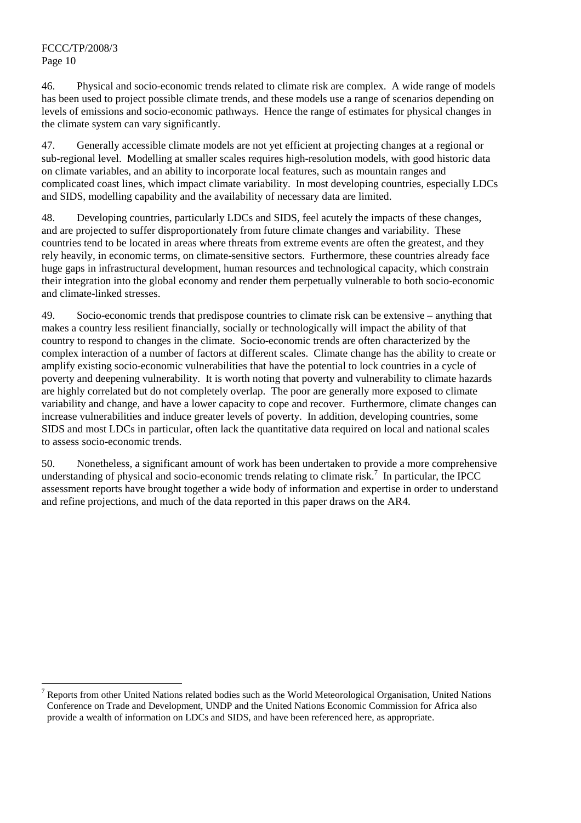46. Physical and socio-economic trends related to climate risk are complex. A wide range of models has been used to project possible climate trends, and these models use a range of scenarios depending on levels of emissions and socio-economic pathways. Hence the range of estimates for physical changes in the climate system can vary significantly.

47. Generally accessible climate models are not yet efficient at projecting changes at a regional or sub-regional level. Modelling at smaller scales requires high-resolution models, with good historic data on climate variables, and an ability to incorporate local features, such as mountain ranges and complicated coast lines, which impact climate variability. In most developing countries, especially LDCs and SIDS, modelling capability and the availability of necessary data are limited.

48. Developing countries, particularly LDCs and SIDS, feel acutely the impacts of these changes, and are projected to suffer disproportionately from future climate changes and variability. These countries tend to be located in areas where threats from extreme events are often the greatest, and they rely heavily, in economic terms, on climate-sensitive sectors. Furthermore, these countries already face huge gaps in infrastructural development, human resources and technological capacity, which constrain their integration into the global economy and render them perpetually vulnerable to both socio-economic and climate-linked stresses.

49. Socio-economic trends that predispose countries to climate risk can be extensive – anything that makes a country less resilient financially, socially or technologically will impact the ability of that country to respond to changes in the climate. Socio-economic trends are often characterized by the complex interaction of a number of factors at different scales. Climate change has the ability to create or amplify existing socio-economic vulnerabilities that have the potential to lock countries in a cycle of poverty and deepening vulnerability. It is worth noting that poverty and vulnerability to climate hazards are highly correlated but do not completely overlap. The poor are generally more exposed to climate variability and change, and have a lower capacity to cope and recover. Furthermore, climate changes can increase vulnerabilities and induce greater levels of poverty. In addition, developing countries, some SIDS and most LDCs in particular, often lack the quantitative data required on local and national scales to assess socio-economic trends.

50. Nonetheless, a significant amount of work has been undertaken to provide a more comprehensive understanding of physical and socio-economic trends relating to climate risk.<sup>7</sup> In particular, the IPCC assessment reports have brought together a wide body of information and expertise in order to understand and refine projections, and much of the data reported in this paper draws on the AR4.

 $\overline{a}$ 7 Reports from other United Nations related bodies such as the World Meteorological Organisation, United Nations Conference on Trade and Development, UNDP and the United Nations Economic Commission for Africa also provide a wealth of information on LDCs and SIDS, and have been referenced here, as appropriate.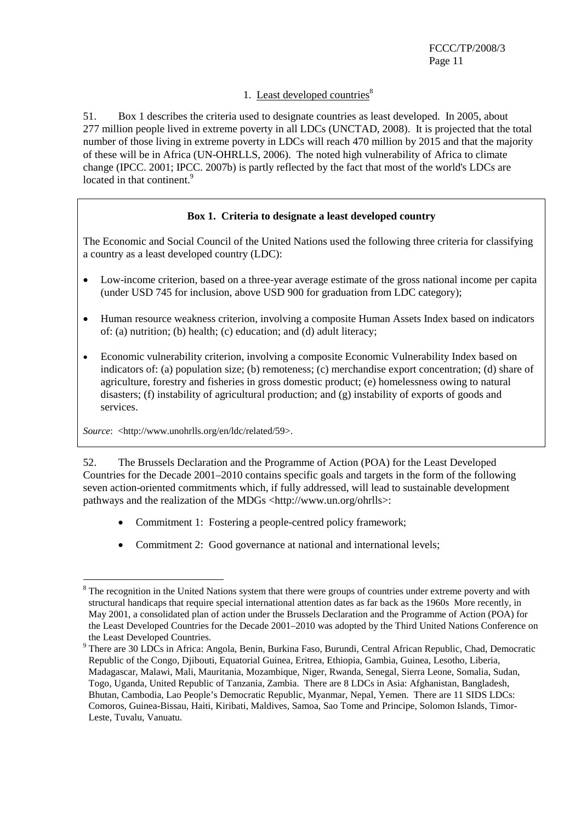## 1. Least developed countries $8<sup>8</sup>$

51. Box 1 describes the criteria used to designate countries as least developed. In 2005, about 277 million people lived in extreme poverty in all LDCs (UNCTAD, 2008). It is projected that the total number of those living in extreme poverty in LDCs will reach 470 million by 2015 and that the majority of these will be in Africa (UN-OHRLLS, 2006). The noted high vulnerability of Africa to climate change (IPCC. 2001; IPCC. 2007b) is partly reflected by the fact that most of the world's LDCs are located in that continent.<sup>9</sup>

## **Box 1. Criteria to designate a least developed country**

The Economic and Social Council of the United Nations used the following three criteria for classifying a country as a least developed country (LDC):

- Low-income criterion, based on a three-year average estimate of the gross national income per capita (under USD 745 for inclusion, above USD 900 for graduation from LDC category);
- Human resource weakness criterion, involving a composite Human Assets Index based on indicators of: (a) nutrition; (b) health; (c) education; and (d) adult literacy;
- Economic vulnerability criterion, involving a composite Economic Vulnerability Index based on indicators of: (a) population size; (b) remoteness; (c) merchandise export concentration; (d) share of agriculture, forestry and fisheries in gross domestic product; (e) homelessness owing to natural disasters; (f) instability of agricultural production; and (g) instability of exports of goods and services.

*Source*: <http://www.unohrlls.org/en/ldc/related/59>.

52. The Brussels Declaration and the Programme of Action (POA) for the Least Developed Countries for the Decade 2001–2010 contains specific goals and targets in the form of the following seven action-oriented commitments which, if fully addressed, will lead to sustainable development pathways and the realization of the MDGs <http://www.un.org/ohrlls>:

- Commitment 1: Fostering a people-centred policy framework;
- Commitment 2: Good governance at national and international levels;

 $\overline{a}$ <sup>8</sup> The recognition in the United Nations system that there were groups of countries under extreme poverty and with structural handicaps that require special international attention dates as far back as the 1960s More recently, in May 2001, a consolidated plan of action under the Brussels Declaration and the Programme of Action (POA) for the Least Developed Countries for the Decade 2001–2010 was adopted by the Third United Nations Conference on the Least Developed Countries.

<sup>&</sup>lt;sup>9</sup> There are 30 LDCs in Africa: Angola, Benin, Burkina Faso, Burundi, Central African Republic, Chad, Democratic Republic of the Congo, Djibouti, Equatorial Guinea, Eritrea, Ethiopia, Gambia, Guinea, Lesotho, Liberia, Madagascar, Malawi, Mali, Mauritania, Mozambique, Niger, Rwanda, Senegal, Sierra Leone, Somalia, Sudan, Togo, Uganda, United Republic of Tanzania, Zambia. There are 8 LDCs in Asia: Afghanistan, Bangladesh, Bhutan, Cambodia, Lao People's Democratic Republic, Myanmar, Nepal, Yemen. There are 11 SIDS LDCs: Comoros, Guinea-Bissau, Haiti, Kiribati, Maldives, Samoa, Sao Tome and Principe, Solomon Islands, Timor-Leste, Tuvalu, Vanuatu.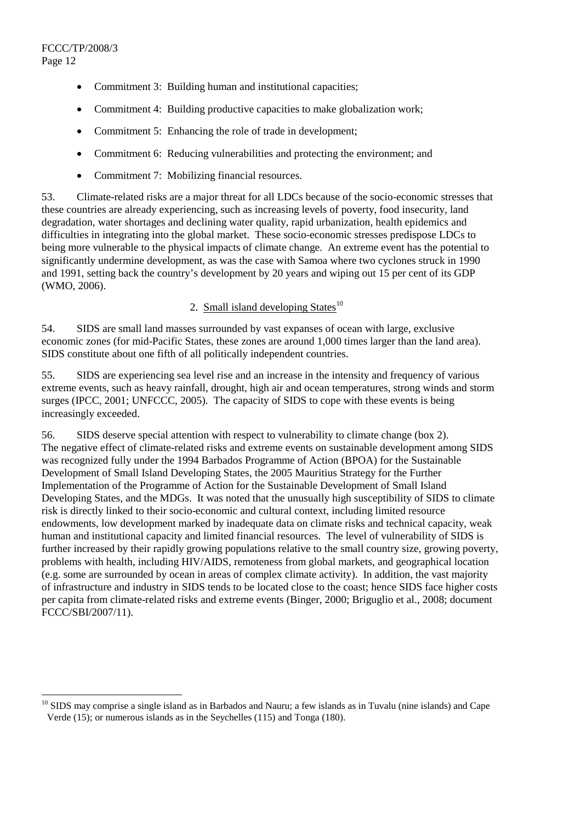$\overline{a}$ 

- Commitment 3: Building human and institutional capacities;
- Commitment 4: Building productive capacities to make globalization work;
- Commitment 5: Enhancing the role of trade in development;
- Commitment 6: Reducing vulnerabilities and protecting the environment; and
- Commitment 7: Mobilizing financial resources.

53. Climate-related risks are a major threat for all LDCs because of the socio-economic stresses that these countries are already experiencing, such as increasing levels of poverty, food insecurity, land degradation, water shortages and declining water quality, rapid urbanization, health epidemics and difficulties in integrating into the global market. These socio-economic stresses predispose LDCs to being more vulnerable to the physical impacts of climate change. An extreme event has the potential to significantly undermine development, as was the case with Samoa where two cyclones struck in 1990 and 1991, setting back the country's development by 20 years and wiping out 15 per cent of its GDP (WMO, 2006).

# 2. Small island developing States $10$

54. SIDS are small land masses surrounded by vast expanses of ocean with large, exclusive economic zones (for mid-Pacific States, these zones are around 1,000 times larger than the land area). SIDS constitute about one fifth of all politically independent countries.

55. SIDS are experiencing sea level rise and an increase in the intensity and frequency of various extreme events, such as heavy rainfall, drought, high air and ocean temperatures, strong winds and storm surges (IPCC, 2001; UNFCCC, 2005). The capacity of SIDS to cope with these events is being increasingly exceeded.

56. SIDS deserve special attention with respect to vulnerability to climate change (box 2). The negative effect of climate-related risks and extreme events on sustainable development among SIDS was recognized fully under the 1994 Barbados Programme of Action (BPOA) for the Sustainable Development of Small Island Developing States, the 2005 Mauritius Strategy for the Further Implementation of the Programme of Action for the Sustainable Development of Small Island Developing States, and the MDGs. It was noted that the unusually high susceptibility of SIDS to climate risk is directly linked to their socio-economic and cultural context, including limited resource endowments, low development marked by inadequate data on climate risks and technical capacity, weak human and institutional capacity and limited financial resources. The level of vulnerability of SIDS is further increased by their rapidly growing populations relative to the small country size, growing poverty, problems with health, including HIV/AIDS, remoteness from global markets, and geographical location (e.g. some are surrounded by ocean in areas of complex climate activity). In addition, the vast majority of infrastructure and industry in SIDS tends to be located close to the coast; hence SIDS face higher costs per capita from climate-related risks and extreme events (Binger, 2000; Briguglio et al., 2008; document FCCC/SBI/2007/11).

 $10$  SIDS may comprise a single island as in Barbados and Nauru; a few islands as in Tuvalu (nine islands) and Cape Verde (15); or numerous islands as in the Seychelles (115) and Tonga (180).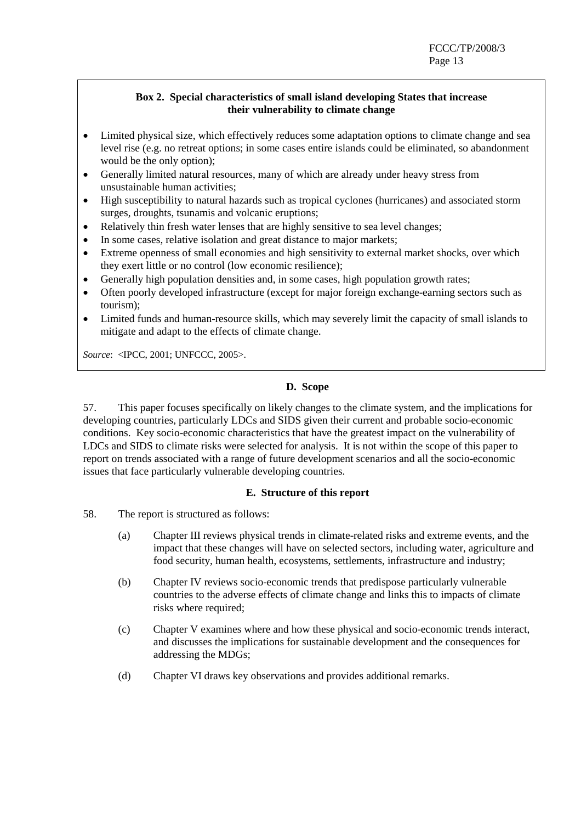## **Box 2. Special characteristics of small island developing States that increase their vulnerability to climate change**

- Limited physical size, which effectively reduces some adaptation options to climate change and sea level rise (e.g. no retreat options; in some cases entire islands could be eliminated, so abandonment would be the only option);
- Generally limited natural resources, many of which are already under heavy stress from unsustainable human activities;
- High susceptibility to natural hazards such as tropical cyclones (hurricanes) and associated storm surges, droughts, tsunamis and volcanic eruptions;
- Relatively thin fresh water lenses that are highly sensitive to sea level changes;
- In some cases, relative isolation and great distance to major markets;
- Extreme openness of small economies and high sensitivity to external market shocks, over which they exert little or no control (low economic resilience);
- Generally high population densities and, in some cases, high population growth rates;
- Often poorly developed infrastructure (except for major foreign exchange-earning sectors such as tourism);
- Limited funds and human-resource skills, which may severely limit the capacity of small islands to mitigate and adapt to the effects of climate change.

*Source*: <IPCC, 2001; UNFCCC, 2005>.

#### **D. Scope**

57. This paper focuses specifically on likely changes to the climate system, and the implications for developing countries, particularly LDCs and SIDS given their current and probable socio-economic conditions. Key socio-economic characteristics that have the greatest impact on the vulnerability of LDCs and SIDS to climate risks were selected for analysis. It is not within the scope of this paper to report on trends associated with a range of future development scenarios and all the socio-economic issues that face particularly vulnerable developing countries.

#### **E. Structure of this report**

- 58. The report is structured as follows:
	- (a) Chapter III reviews physical trends in climate-related risks and extreme events, and the impact that these changes will have on selected sectors, including water, agriculture and food security, human health, ecosystems, settlements, infrastructure and industry;
	- (b) Chapter IV reviews socio-economic trends that predispose particularly vulnerable countries to the adverse effects of climate change and links this to impacts of climate risks where required;
	- (c) Chapter V examines where and how these physical and socio-economic trends interact, and discusses the implications for sustainable development and the consequences for addressing the MDGs;
	- (d) Chapter VI draws key observations and provides additional remarks.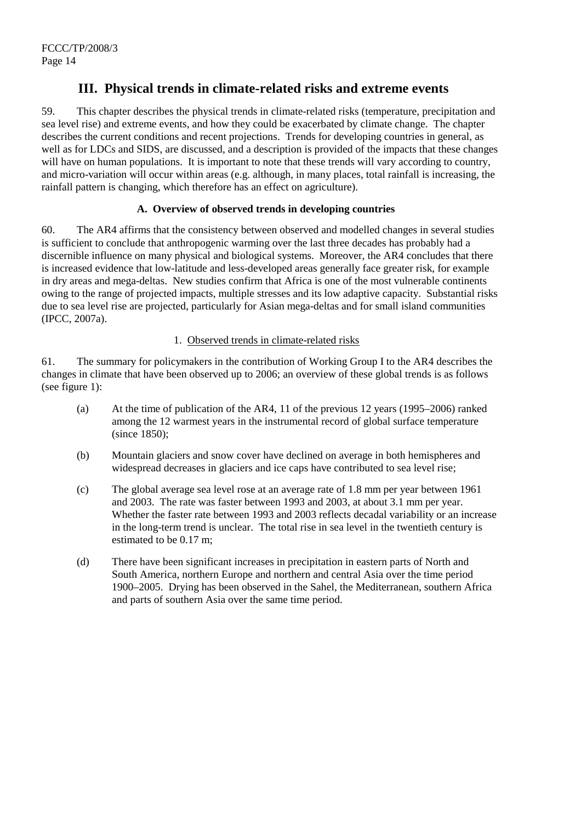# **III. Physical trends in climate-related risks and extreme events**

59. This chapter describes the physical trends in climate-related risks (temperature, precipitation and sea level rise) and extreme events, and how they could be exacerbated by climate change. The chapter describes the current conditions and recent projections. Trends for developing countries in general, as well as for LDCs and SIDS, are discussed, and a description is provided of the impacts that these changes will have on human populations. It is important to note that these trends will vary according to country, and micro-variation will occur within areas (e.g. although, in many places, total rainfall is increasing, the rainfall pattern is changing, which therefore has an effect on agriculture).

## **A. Overview of observed trends in developing countries**

60. The AR4 affirms that the consistency between observed and modelled changes in several studies is sufficient to conclude that anthropogenic warming over the last three decades has probably had a discernible influence on many physical and biological systems. Moreover, the AR4 concludes that there is increased evidence that low-latitude and less-developed areas generally face greater risk, for example in dry areas and mega-deltas. New studies confirm that Africa is one of the most vulnerable continents owing to the range of projected impacts, multiple stresses and its low adaptive capacity. Substantial risks due to sea level rise are projected, particularly for Asian mega-deltas and for small island communities (IPCC, 2007a).

## 1. Observed trends in climate-related risks

61. The summary for policymakers in the contribution of Working Group I to the AR4 describes the changes in climate that have been observed up to 2006; an overview of these global trends is as follows (see figure 1):

- (a) At the time of publication of the AR4, 11 of the previous 12 years (1995–2006) ranked among the 12 warmest years in the instrumental record of global surface temperature (since 1850);
- (b) Mountain glaciers and snow cover have declined on average in both hemispheres and widespread decreases in glaciers and ice caps have contributed to sea level rise;
- (c) The global average sea level rose at an average rate of 1.8 mm per year between 1961 and 2003. The rate was faster between 1993 and 2003, at about 3.1 mm per year. Whether the faster rate between 1993 and 2003 reflects decadal variability or an increase in the long-term trend is unclear. The total rise in sea level in the twentieth century is estimated to be 0.17 m;
- (d) There have been significant increases in precipitation in eastern parts of North and South America, northern Europe and northern and central Asia over the time period 1900–2005. Drying has been observed in the Sahel, the Mediterranean, southern Africa and parts of southern Asia over the same time period.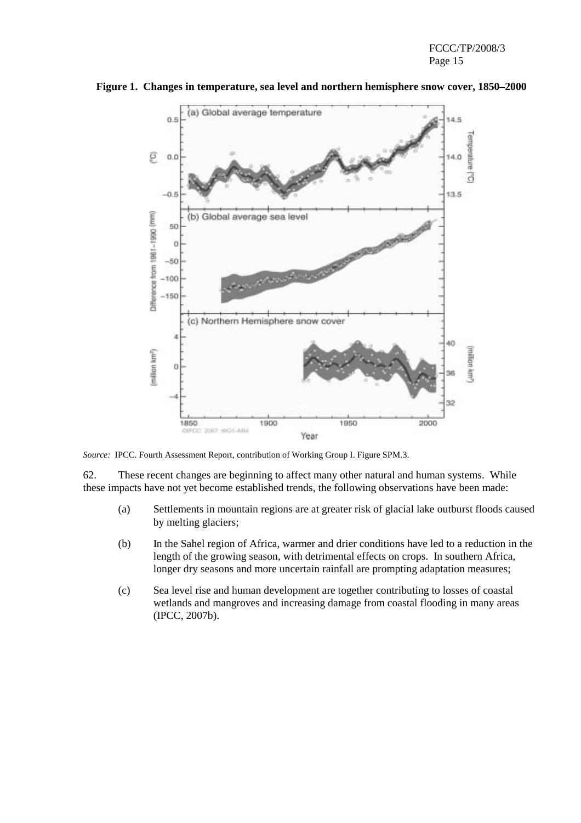

**Figure 1. Changes in temperature, sea level and northern hemisphere snow cover, 1850–2000** 

*Source:* IPCC. Fourth Assessment Report, contribution of Working Group I. Figure SPM.3.

62. These recent changes are beginning to affect many other natural and human systems. While these impacts have not yet become established trends, the following observations have been made:

- (a) Settlements in mountain regions are at greater risk of glacial lake outburst floods caused by melting glaciers;
- (b) In the Sahel region of Africa, warmer and drier conditions have led to a reduction in the length of the growing season, with detrimental effects on crops. In southern Africa, longer dry seasons and more uncertain rainfall are prompting adaptation measures;
- (c) Sea level rise and human development are together contributing to losses of coastal wetlands and mangroves and increasing damage from coastal flooding in many areas (IPCC, 2007b).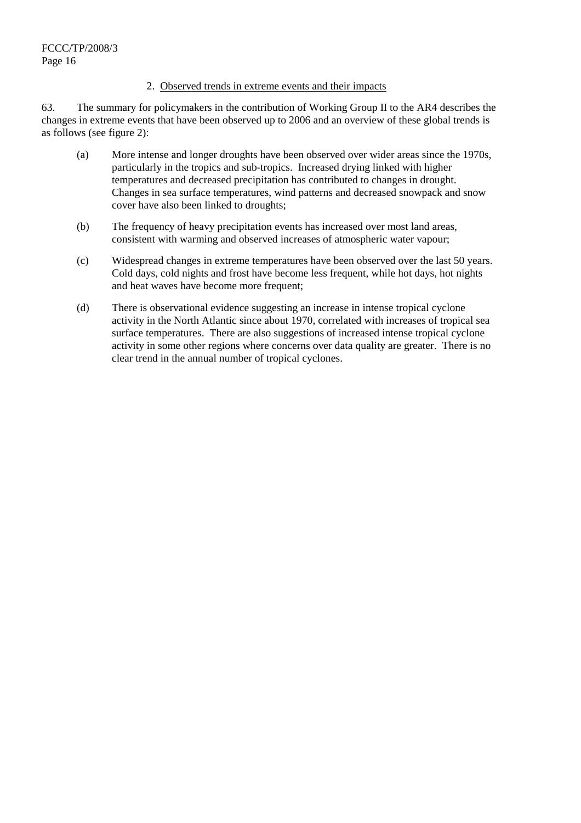#### 2. Observed trends in extreme events and their impacts

63. The summary for policymakers in the contribution of Working Group II to the AR4 describes the changes in extreme events that have been observed up to 2006 and an overview of these global trends is as follows (see figure 2):

- (a) More intense and longer droughts have been observed over wider areas since the 1970s, particularly in the tropics and sub-tropics. Increased drying linked with higher temperatures and decreased precipitation has contributed to changes in drought. Changes in sea surface temperatures, wind patterns and decreased snowpack and snow cover have also been linked to droughts;
- (b) The frequency of heavy precipitation events has increased over most land areas, consistent with warming and observed increases of atmospheric water vapour;
- (c) Widespread changes in extreme temperatures have been observed over the last 50 years. Cold days, cold nights and frost have become less frequent, while hot days, hot nights and heat waves have become more frequent;
- (d) There is observational evidence suggesting an increase in intense tropical cyclone activity in the North Atlantic since about 1970, correlated with increases of tropical sea surface temperatures. There are also suggestions of increased intense tropical cyclone activity in some other regions where concerns over data quality are greater. There is no clear trend in the annual number of tropical cyclones.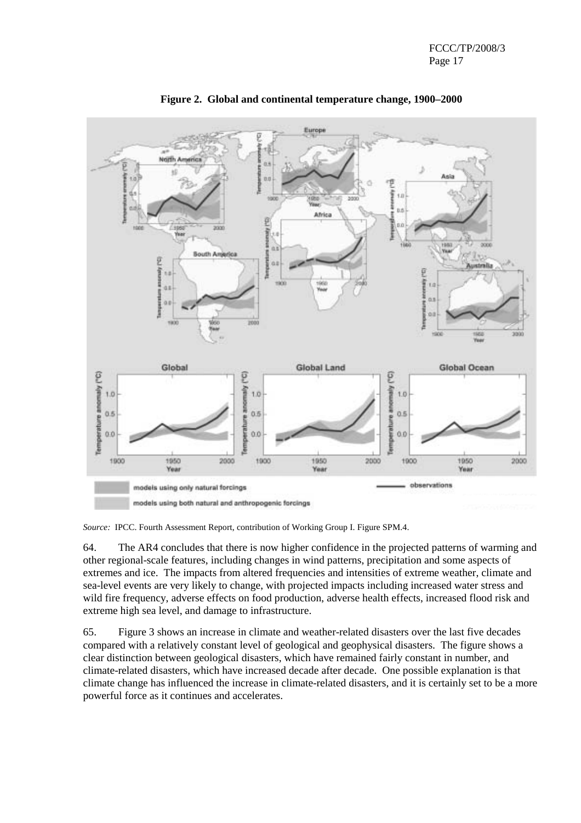

**Figure 2. Global and continental temperature change, 1900–2000** 

*Source:* IPCC. Fourth Assessment Report, contribution of Working Group I. Figure SPM.4.

64. The AR4 concludes that there is now higher confidence in the projected patterns of warming and other regional-scale features, including changes in wind patterns, precipitation and some aspects of extremes and ice. The impacts from altered frequencies and intensities of extreme weather, climate and sea-level events are very likely to change, with projected impacts including increased water stress and wild fire frequency, adverse effects on food production, adverse health effects, increased flood risk and extreme high sea level, and damage to infrastructure.

65. Figure 3 shows an increase in climate and weather-related disasters over the last five decades compared with a relatively constant level of geological and geophysical disasters. The figure shows a clear distinction between geological disasters, which have remained fairly constant in number, and climate-related disasters, which have increased decade after decade. One possible explanation is that climate change has influenced the increase in climate-related disasters, and it is certainly set to be a more powerful force as it continues and accelerates.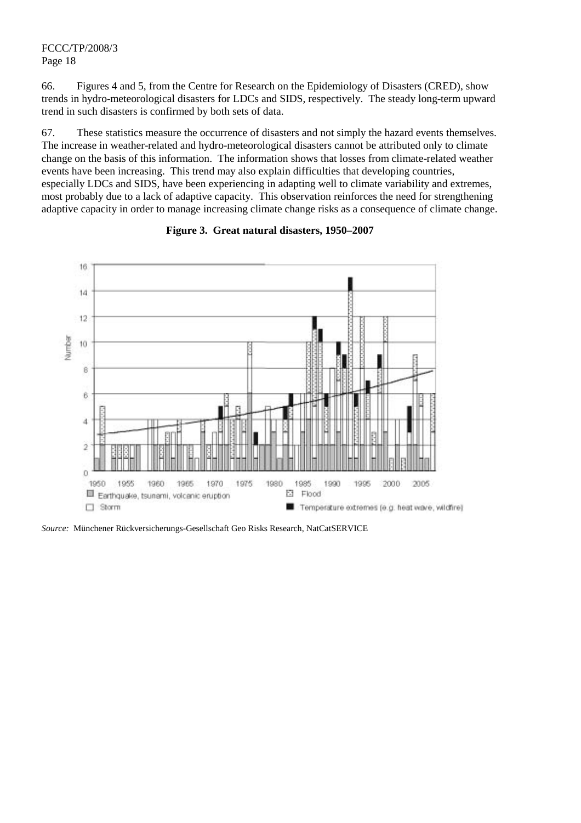66. Figures 4 and 5, from the Centre for Research on the Epidemiology of Disasters (CRED), show trends in hydro-meteorological disasters for LDCs and SIDS, respectively. The steady long-term upward trend in such disasters is confirmed by both sets of data.

67. These statistics measure the occurrence of disasters and not simply the hazard events themselves. The increase in weather-related and hydro-meteorological disasters cannot be attributed only to climate change on the basis of this information. The information shows that losses from climate-related weather events have been increasing. This trend may also explain difficulties that developing countries, especially LDCs and SIDS, have been experiencing in adapting well to climate variability and extremes, most probably due to a lack of adaptive capacity. This observation reinforces the need for strengthening adaptive capacity in order to manage increasing climate change risks as a consequence of climate change.



#### **Figure 3. Great natural disasters, 1950–2007**

*Source:* Münchener Rückversicherungs-Gesellschaft Geo Risks Research, NatCatSERVICE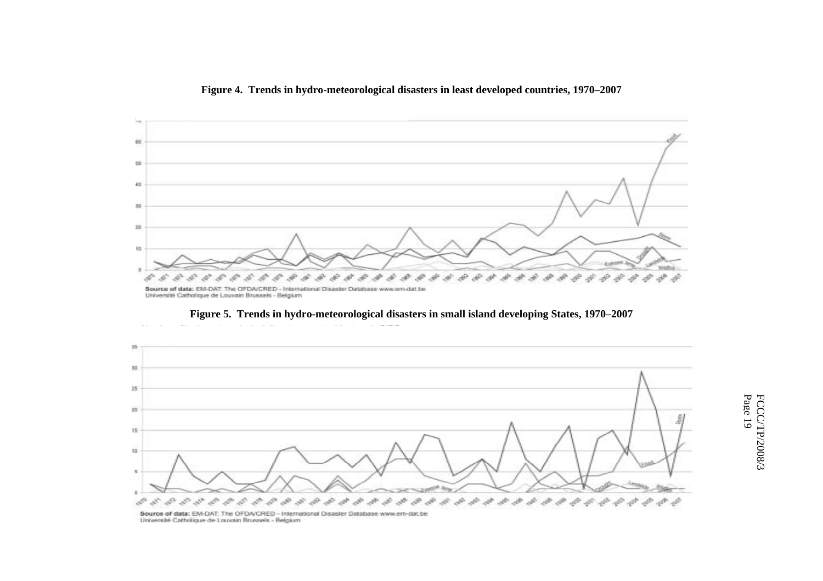**Figure 4. Trends in hydro-meteorological disasters in least developed countries, 1970–2007** 







Pa FCCC/TP/2008/3 ge 19

Université Catholique de Louvain Brussels - Belgium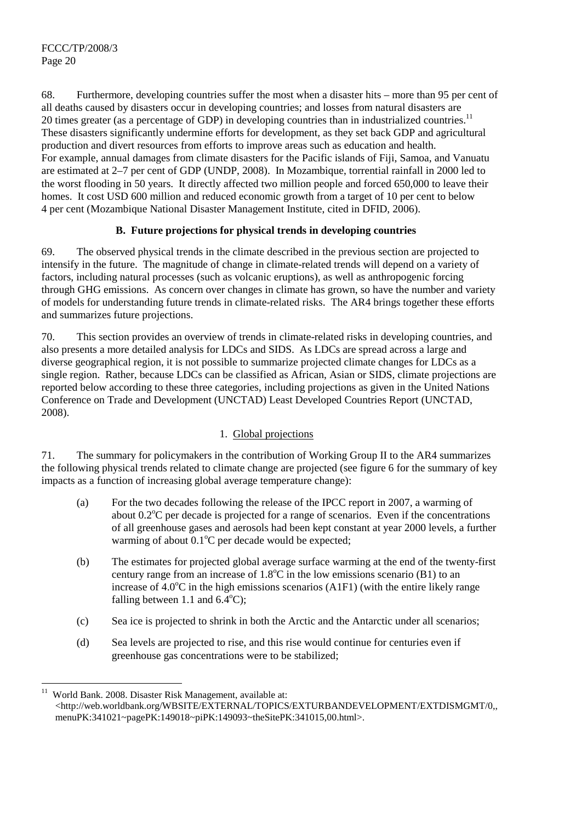$\overline{a}$ 

68. Furthermore, developing countries suffer the most when a disaster hits – more than 95 per cent of all deaths caused by disasters occur in developing countries; and losses from natural disasters are 20 times greater (as a percentage of GDP) in developing countries than in industrialized countries.<sup>11</sup> These disasters significantly undermine efforts for development, as they set back GDP and agricultural production and divert resources from efforts to improve areas such as education and health. For example, annual damages from climate disasters for the Pacific islands of Fiji, Samoa, and Vanuatu are estimated at 2–7 per cent of GDP (UNDP, 2008). In Mozambique, torrential rainfall in 2000 led to the worst flooding in 50 years. It directly affected two million people and forced 650,000 to leave their homes. It cost USD 600 million and reduced economic growth from a target of 10 per cent to below 4 per cent (Mozambique National Disaster Management Institute, cited in DFID, 2006).

## **B. Future projections for physical trends in developing countries**

69. The observed physical trends in the climate described in the previous section are projected to intensify in the future. The magnitude of change in climate-related trends will depend on a variety of factors, including natural processes (such as volcanic eruptions), as well as anthropogenic forcing through GHG emissions. As concern over changes in climate has grown, so have the number and variety of models for understanding future trends in climate-related risks. The AR4 brings together these efforts and summarizes future projections.

70. This section provides an overview of trends in climate-related risks in developing countries, and also presents a more detailed analysis for LDCs and SIDS. As LDCs are spread across a large and diverse geographical region, it is not possible to summarize projected climate changes for LDCs as a single region. Rather, because LDCs can be classified as African, Asian or SIDS, climate projections are reported below according to these three categories, including projections as given in the United Nations Conference on Trade and Development (UNCTAD) Least Developed Countries Report (UNCTAD, 2008).

## 1. Global projections

71. The summary for policymakers in the contribution of Working Group II to the AR4 summarizes the following physical trends related to climate change are projected (see figure 6 for the summary of key impacts as a function of increasing global average temperature change):

- (a) For the two decades following the release of the IPCC report in 2007, a warming of about 0.2°C per decade is projected for a range of scenarios. Even if the concentrations of all greenhouse gases and aerosols had been kept constant at year 2000 levels, a further warming of about  $0.1^{\circ}$ C per decade would be expected;
- (b) The estimates for projected global average surface warming at the end of the twenty-first century range from an increase of  $1.8^{\circ}$ C in the low emissions scenario (B1) to an increase of  $4.0^{\circ}$ C in the high emissions scenarios (A1F1) (with the entire likely range falling between 1.1 and  $6.4^{\circ}$ C);
- (c) Sea ice is projected to shrink in both the Arctic and the Antarctic under all scenarios;
- (d) Sea levels are projected to rise, and this rise would continue for centuries even if greenhouse gas concentrations were to be stabilized;

World Bank. 2008. Disaster Risk Management, available at: <http://web.worldbank.org/WBSITE/EXTERNAL/TOPICS/EXTURBANDEVELOPMENT/EXTDISMGMT/0,, menuPK:341021~pagePK:149018~piPK:149093~theSitePK:341015,00.html>.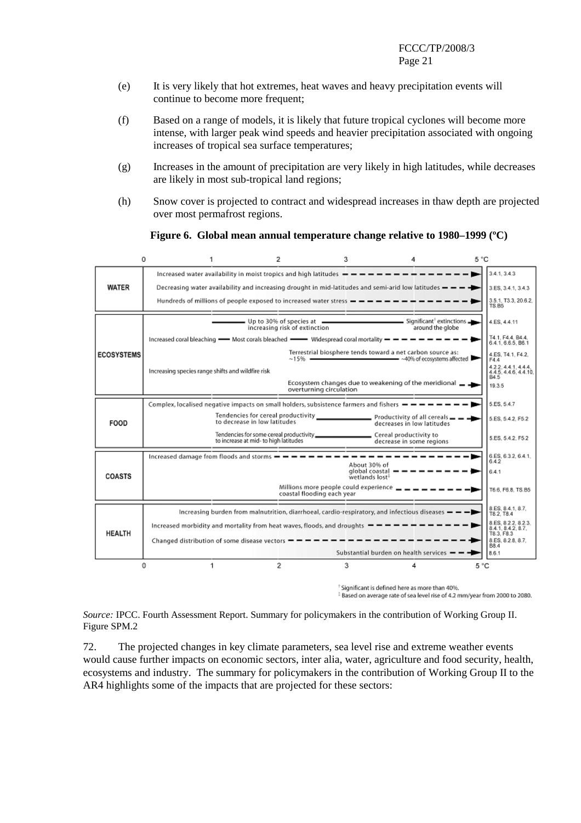- (e) It is very likely that hot extremes, heat waves and heavy precipitation events will continue to become more frequent;
- (f) Based on a range of models, it is likely that future tropical cyclones will become more intense, with larger peak wind speeds and heavier precipitation associated with ongoing increases of tropical sea surface temperatures;
- (g) Increases in the amount of precipitation are very likely in high latitudes, while decreases are likely in most sub-tropical land regions;
- (h) Snow cover is projected to contract and widespread increases in thaw depth are projected over most permafrost regions.

|                   | 0                                                 | 1.<br>2                                                                                                                                                               |                                                                                          | 3                                                                        | 4                                                                                                         | 5 °C                                                  |  |
|-------------------|---------------------------------------------------|-----------------------------------------------------------------------------------------------------------------------------------------------------------------------|------------------------------------------------------------------------------------------|--------------------------------------------------------------------------|-----------------------------------------------------------------------------------------------------------|-------------------------------------------------------|--|
|                   |                                                   |                                                                                                                                                                       |                                                                                          |                                                                          | Increased water availability in moist tropics and high latitudes $-\cdots$ = = = = = = = = = = = = =      | 3.4.1, 3.4.3                                          |  |
| <b>WATER</b>      |                                                   |                                                                                                                                                                       |                                                                                          |                                                                          | Decreasing water availability and increasing drought in mid-latitudes and semi-arid low latitudes $- - -$ | 3.ES, 3.4.1, 3.4.3                                    |  |
|                   |                                                   | Hundreds of millions of people exposed to increased water stress $- - - - - - - -$                                                                                    |                                                                                          |                                                                          |                                                                                                           | 3.5.1, T3.3, 20.6.2,<br>TS.B5                         |  |
|                   |                                                   |                                                                                                                                                                       | increasing risk of extinction                                                            |                                                                          | around the globe                                                                                          | 4.ES. 4.4.11                                          |  |
|                   |                                                   | Increased coral bleaching $\longrightarrow$ Most corals bleached $\longrightarrow$ Widespread coral mortality $\rightarrow$ $\rightarrow$ $\rightarrow$ $\rightarrow$ |                                                                                          |                                                                          |                                                                                                           | T4.1, F4.4, B4.4,<br>6.4.1.6.6.5. B6.1                |  |
| <b>ECOSYSTEMS</b> |                                                   |                                                                                                                                                                       |                                                                                          |                                                                          | Terrestrial biosphere tends toward a net carbon source as:<br>~15% - 40% of ecosystems affected           | 4.ES. T4.1. F4.2.<br>F4.4                             |  |
|                   | Increasing species range shifts and wildfire risk |                                                                                                                                                                       |                                                                                          |                                                                          |                                                                                                           | 4.2.2, 4.4.1, 4.4.4,<br>4.4.5, 4.4.6, 4.4.10,<br>B4.5 |  |
|                   |                                                   |                                                                                                                                                                       | overturning circulation                                                                  |                                                                          | Ecosystem changes due to weakening of the meridional _ _                                                  | 19.3.5                                                |  |
|                   |                                                   | Complex, localised negative impacts on small holders, subsistence farmers and fishers $- - - - -$                                                                     |                                                                                          |                                                                          |                                                                                                           | 5.ES. 5.4.7                                           |  |
| FOOD              |                                                   | to decrease in low latitudes                                                                                                                                          |                                                                                          |                                                                          | decreases in low latitudes                                                                                | 5.ES, 5.4.2, F5.2                                     |  |
|                   |                                                   | to increase at mid- to high latitudes                                                                                                                                 |                                                                                          |                                                                          | decrease in some regions                                                                                  | 5.ES. 5.4.2. F5.2                                     |  |
|                   |                                                   |                                                                                                                                                                       |                                                                                          |                                                                          |                                                                                                           | 6.ES, 6.3.2, 6.4.1.<br>6.4.2                          |  |
| COASTS            |                                                   |                                                                                                                                                                       |                                                                                          | About 30% of<br>global coastal $- - - - -$<br>wetlands lost <sup>3</sup> |                                                                                                           | 6.4.1                                                 |  |
|                   |                                                   |                                                                                                                                                                       | Millions more people could experience $\_\_ = \_\_ = \_\_$<br>coastal flooding each year |                                                                          |                                                                                                           | T6.6, F6.8, TS.B5                                     |  |
|                   |                                                   |                                                                                                                                                                       |                                                                                          |                                                                          | Increasing burden from malnutrition, diarrhoeal, cardio-respiratory, and infectious diseases $-$ -        | 8.ES, 8.4.1, 8.7.<br>T8.2, T8.4                       |  |
| <b>HEALTH</b>     |                                                   | Increased morbidity and mortality from heat waves, floods, and droughts                                                                                               |                                                                                          |                                                                          |                                                                                                           | 8.ES, 8.2.2, 8.2.3.<br>8.4.1.8.4.2.8.7.<br>T8.3, F8.3 |  |
|                   |                                                   | Changed distribution of some disease vectors $- - -$                                                                                                                  |                                                                                          |                                                                          |                                                                                                           | 8.ES, 8.2.8, 8.7,<br><b>B8.4</b>                      |  |
|                   |                                                   |                                                                                                                                                                       |                                                                                          |                                                                          | Substantial burden on health services $- - -$                                                             | 8.6.1                                                 |  |
|                   | o                                                 | 2<br>1                                                                                                                                                                |                                                                                          | 3                                                                        |                                                                                                           | 5 °C                                                  |  |

**Figure 6. Global mean annual temperature change relative to 1980–1999 (ºC)**

<sup>†</sup> Significant is defined here as more than 40%. <sup>‡</sup> Based on average rate of sea level rise of 4.2 mm/year from 2000 to 2080.

*Source:* IPCC. Fourth Assessment Report. Summary for policymakers in the contribution of Working Group II. Figure SPM.2

72. The projected changes in key climate parameters, sea level rise and extreme weather events would cause further impacts on economic sectors, inter alia, water, agriculture and food security, health, ecosystems and industry. The summary for policymakers in the contribution of Working Group II to the AR4 highlights some of the impacts that are projected for these sectors: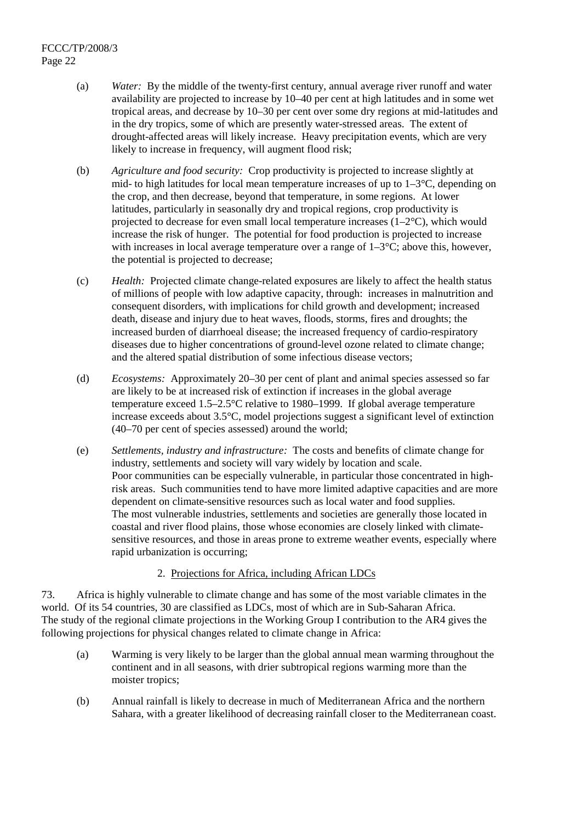- (a) *Water:* By the middle of the twenty-first century, annual average river runoff and water availability are projected to increase by 10–40 per cent at high latitudes and in some wet tropical areas, and decrease by 10–30 per cent over some dry regions at mid-latitudes and in the dry tropics, some of which are presently water-stressed areas. The extent of drought-affected areas will likely increase. Heavy precipitation events, which are very likely to increase in frequency, will augment flood risk;
- (b) *Agriculture and food security:* Crop productivity is projected to increase slightly at mid- to high latitudes for local mean temperature increases of up to  $1-3\degree C$ , depending on the crop, and then decrease, beyond that temperature, in some regions. At lower latitudes, particularly in seasonally dry and tropical regions, crop productivity is projected to decrease for even small local temperature increases  $(1-2^{\circ}C)$ , which would increase the risk of hunger. The potential for food production is projected to increase with increases in local average temperature over a range of  $1-3\degree C$ ; above this, however, the potential is projected to decrease;
- (c) *Health:* Projected climate change-related exposures are likely to affect the health status of millions of people with low adaptive capacity, through: increases in malnutrition and consequent disorders, with implications for child growth and development; increased death, disease and injury due to heat waves, floods, storms, fires and droughts; the increased burden of diarrhoeal disease; the increased frequency of cardio-respiratory diseases due to higher concentrations of ground-level ozone related to climate change; and the altered spatial distribution of some infectious disease vectors;
- (d) *Ecosystems:* Approximately 20–30 per cent of plant and animal species assessed so far are likely to be at increased risk of extinction if increases in the global average temperature exceed 1.5–2.5°C relative to 1980–1999. If global average temperature increase exceeds about 3.5°C, model projections suggest a significant level of extinction (40–70 per cent of species assessed) around the world;
- (e) *Settlements, industry and infrastructure:* The costs and benefits of climate change for industry, settlements and society will vary widely by location and scale. Poor communities can be especially vulnerable, in particular those concentrated in highrisk areas. Such communities tend to have more limited adaptive capacities and are more dependent on climate-sensitive resources such as local water and food supplies. The most vulnerable industries, settlements and societies are generally those located in coastal and river flood plains, those whose economies are closely linked with climatesensitive resources, and those in areas prone to extreme weather events, especially where rapid urbanization is occurring;

## 2. Projections for Africa, including African LDCs

73. Africa is highly vulnerable to climate change and has some of the most variable climates in the world. Of its 54 countries, 30 are classified as LDCs, most of which are in Sub-Saharan Africa. The study of the regional climate projections in the Working Group I contribution to the AR4 gives the following projections for physical changes related to climate change in Africa:

- (a) Warming is very likely to be larger than the global annual mean warming throughout the continent and in all seasons, with drier subtropical regions warming more than the moister tropics;
- (b) Annual rainfall is likely to decrease in much of Mediterranean Africa and the northern Sahara, with a greater likelihood of decreasing rainfall closer to the Mediterranean coast.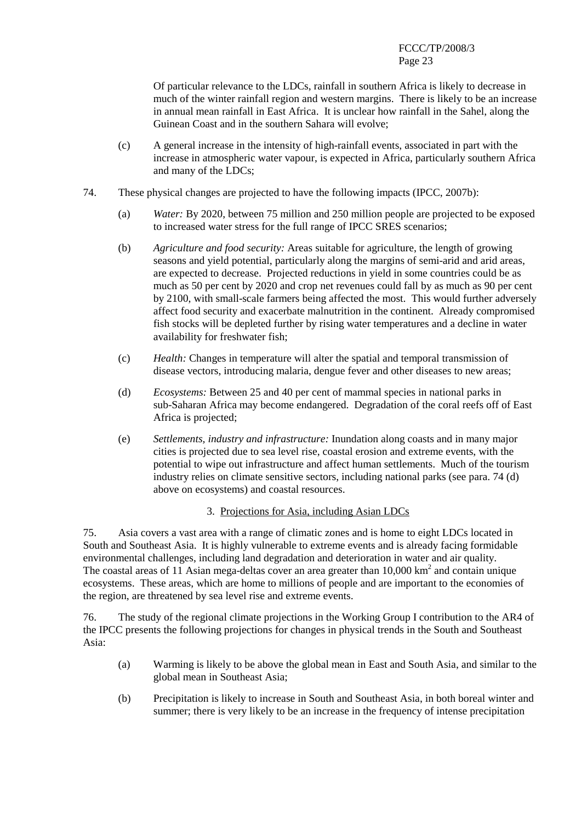Of particular relevance to the LDCs, rainfall in southern Africa is likely to decrease in much of the winter rainfall region and western margins. There is likely to be an increase in annual mean rainfall in East Africa. It is unclear how rainfall in the Sahel, along the Guinean Coast and in the southern Sahara will evolve;

- (c) A general increase in the intensity of high-rainfall events, associated in part with the increase in atmospheric water vapour, is expected in Africa, particularly southern Africa and many of the LDCs;
- 74. These physical changes are projected to have the following impacts (IPCC, 2007b):
	- (a) *Water:* By 2020, between 75 million and 250 million people are projected to be exposed to increased water stress for the full range of IPCC SRES scenarios;
	- (b) *Agriculture and food security:* Areas suitable for agriculture, the length of growing seasons and yield potential, particularly along the margins of semi-arid and arid areas, are expected to decrease. Projected reductions in yield in some countries could be as much as 50 per cent by 2020 and crop net revenues could fall by as much as 90 per cent by 2100, with small-scale farmers being affected the most. This would further adversely affect food security and exacerbate malnutrition in the continent. Already compromised fish stocks will be depleted further by rising water temperatures and a decline in water availability for freshwater fish;
	- (c) *Health:* Changes in temperature will alter the spatial and temporal transmission of disease vectors, introducing malaria, dengue fever and other diseases to new areas;
	- (d) *Ecosystems:* Between 25 and 40 per cent of mammal species in national parks in sub-Saharan Africa may become endangered. Degradation of the coral reefs off of East Africa is projected;
	- (e) *Settlements, industry and infrastructure:* Inundation along coasts and in many major cities is projected due to sea level rise, coastal erosion and extreme events, with the potential to wipe out infrastructure and affect human settlements. Much of the tourism industry relies on climate sensitive sectors, including national parks (see para. 74 (d) above on ecosystems) and coastal resources.

#### 3. Projections for Asia, including Asian LDCs

75. Asia covers a vast area with a range of climatic zones and is home to eight LDCs located in South and Southeast Asia. It is highly vulnerable to extreme events and is already facing formidable environmental challenges, including land degradation and deterioration in water and air quality. The coastal areas of 11 Asian mega-deltas cover an area greater than  $10,000 \text{ km}^2$  and contain unique ecosystems. These areas, which are home to millions of people and are important to the economies of the region, are threatened by sea level rise and extreme events.

76. The study of the regional climate projections in the Working Group I contribution to the AR4 of the IPCC presents the following projections for changes in physical trends in the South and Southeast Asia:

- (a) Warming is likely to be above the global mean in East and South Asia, and similar to the global mean in Southeast Asia;
- (b) Precipitation is likely to increase in South and Southeast Asia, in both boreal winter and summer; there is very likely to be an increase in the frequency of intense precipitation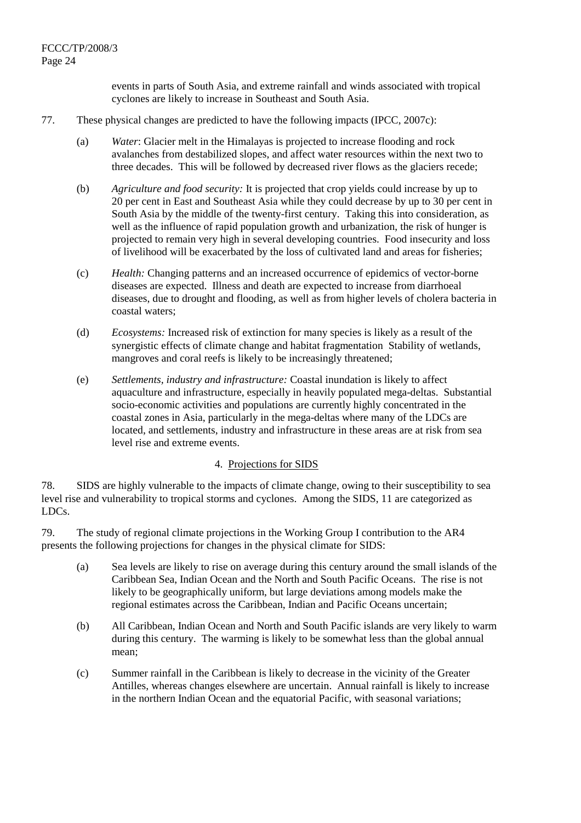events in parts of South Asia, and extreme rainfall and winds associated with tropical cyclones are likely to increase in Southeast and South Asia.

#### 77. These physical changes are predicted to have the following impacts (IPCC, 2007c):

- (a) *Water*: Glacier melt in the Himalayas is projected to increase flooding and rock avalanches from destabilized slopes, and affect water resources within the next two to three decades. This will be followed by decreased river flows as the glaciers recede;
- (b) *Agriculture and food security:* It is projected that crop yields could increase by up to 20 per cent in East and Southeast Asia while they could decrease by up to 30 per cent in South Asia by the middle of the twenty-first century. Taking this into consideration, as well as the influence of rapid population growth and urbanization, the risk of hunger is projected to remain very high in several developing countries. Food insecurity and loss of livelihood will be exacerbated by the loss of cultivated land and areas for fisheries;
- (c) *Health:* Changing patterns and an increased occurrence of epidemics of vector-borne diseases are expected. Illness and death are expected to increase from diarrhoeal diseases, due to drought and flooding, as well as from higher levels of cholera bacteria in coastal waters;
- (d) *Ecosystems:* Increased risk of extinction for many species is likely as a result of the synergistic effects of climate change and habitat fragmentation Stability of wetlands, mangroves and coral reefs is likely to be increasingly threatened;
- (e) *Settlements, industry and infrastructure:* Coastal inundation is likely to affect aquaculture and infrastructure, especially in heavily populated mega-deltas.Substantial socio-economic activities and populations are currently highly concentrated in the coastal zones in Asia, particularly in the mega-deltas where many of the LDCs are located, and settlements, industry and infrastructure in these areas are at risk from sea level rise and extreme events.

#### 4. Projections for SIDS

78. SIDS are highly vulnerable to the impacts of climate change, owing to their susceptibility to sea level rise and vulnerability to tropical storms and cyclones. Among the SIDS, 11 are categorized as LDCs.

79. The study of regional climate projections in the Working Group I contribution to the AR4 presents the following projections for changes in the physical climate for SIDS:

- (a) Sea levels are likely to rise on average during this century around the small islands of the Caribbean Sea, Indian Ocean and the North and South Pacific Oceans. The rise is not likely to be geographically uniform, but large deviations among models make the regional estimates across the Caribbean, Indian and Pacific Oceans uncertain;
- (b) All Caribbean, Indian Ocean and North and South Pacific islands are very likely to warm during this century. The warming is likely to be somewhat less than the global annual mean;
- (c) Summer rainfall in the Caribbean is likely to decrease in the vicinity of the Greater Antilles, whereas changes elsewhere are uncertain. Annual rainfall is likely to increase in the northern Indian Ocean and the equatorial Pacific, with seasonal variations;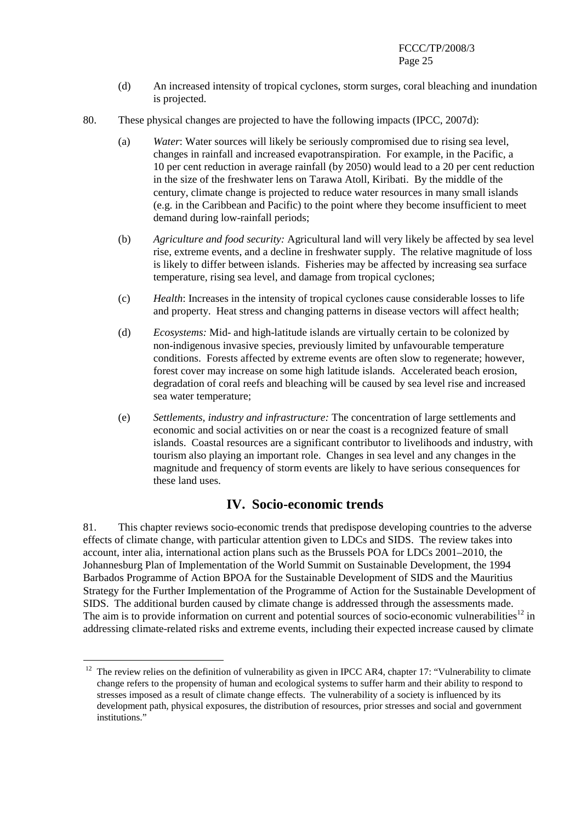- (d) An increased intensity of tropical cyclones, storm surges, coral bleaching and inundation is projected.
- 80. These physical changes are projected to have the following impacts (IPCC, 2007d):
	- (a) *Water*: Water sources will likely be seriously compromised due to rising sea level, changes in rainfall and increased evapotranspiration. For example, in the Pacific, a 10 per cent reduction in average rainfall (by 2050) would lead to a 20 per cent reduction in the size of the freshwater lens on Tarawa Atoll, Kiribati. By the middle of the century, climate change is projected to reduce water resources in many small islands (e.g. in the Caribbean and Pacific) to the point where they become insufficient to meet demand during low-rainfall periods;
	- (b) *Agriculture and food security:* Agricultural land will very likely be affected by sea level rise, extreme events, and a decline in freshwater supply. The relative magnitude of loss is likely to differ between islands. Fisheries may be affected by increasing sea surface temperature, rising sea level, and damage from tropical cyclones;
	- (c) *Health*: Increases in the intensity of tropical cyclones cause considerable losses to life and property. Heat stress and changing patterns in disease vectors will affect health;
	- (d) *Ecosystems:* Mid- and high-latitude islands are virtually certain to be colonized by non-indigenous invasive species, previously limited by unfavourable temperature conditions. Forests affected by extreme events are often slow to regenerate; however, forest cover may increase on some high latitude islands. Accelerated beach erosion, degradation of coral reefs and bleaching will be caused by sea level rise and increased sea water temperature;
	- (e) *Settlements, industry and infrastructure:* The concentration of large settlements and economic and social activities on or near the coast is a recognized feature of small islands. Coastal resources are a significant contributor to livelihoods and industry, with tourism also playing an important role. Changes in sea level and any changes in the magnitude and frequency of storm events are likely to have serious consequences for these land uses.

# **IV. Socio-economic trends**

81. This chapter reviews socio-economic trends that predispose developing countries to the adverse effects of climate change, with particular attention given to LDCs and SIDS. The review takes into account, inter alia, international action plans such as the Brussels POA for LDCs 2001–2010, the Johannesburg Plan of Implementation of the World Summit on Sustainable Development, the 1994 Barbados Programme of Action BPOA for the Sustainable Development of SIDS and the Mauritius Strategy for the Further Implementation of the Programme of Action for the Sustainable Development of SIDS. The additional burden caused by climate change is addressed through the assessments made. The aim is to provide information on current and potential sources of socio-economic vulnerabilities<sup>12</sup> in addressing climate-related risks and extreme events, including their expected increase caused by climate

 $\overline{a}$ 

 $12$  The review relies on the definition of vulnerability as given in IPCC AR4, chapter 17: "Vulnerability to climate change refers to the propensity of human and ecological systems to suffer harm and their ability to respond to stresses imposed as a result of climate change effects. The vulnerability of a society is influenced by its development path, physical exposures, the distribution of resources, prior stresses and social and government institutions."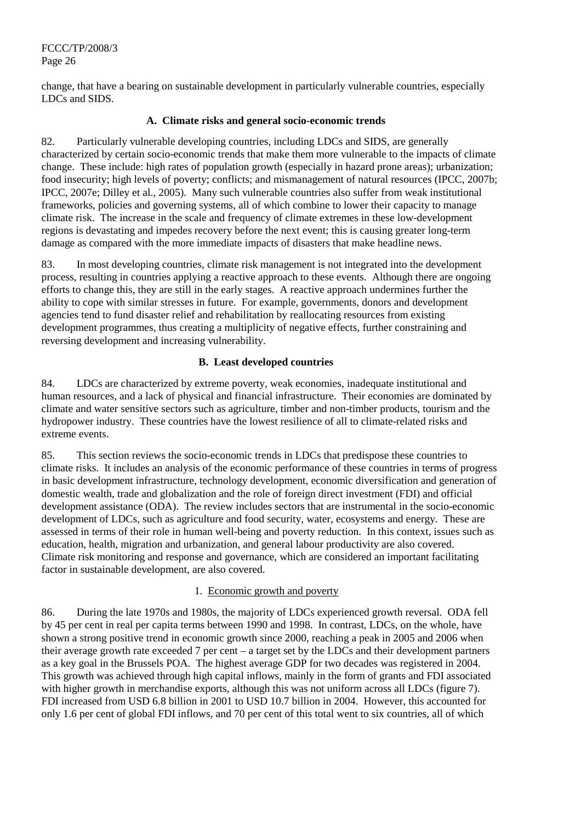change, that have a bearing on sustainable development in particularly vulnerable countries, especially LDCs and SIDS.

## **A. Climate risks and general socio-economic trends**

82. Particularly vulnerable developing countries, including LDCs and SIDS, are generally characterized by certain socio-economic trends that make them more vulnerable to the impacts of climate change. These include: high rates of population growth (especially in hazard prone areas); urbanization; food insecurity; high levels of poverty; conflicts; and mismanagement of natural resources (IPCC, 2007b; IPCC, 2007e; Dilley et al., 2005). Many such vulnerable countries also suffer from weak institutional frameworks, policies and governing systems, all of which combine to lower their capacity to manage climate risk. The increase in the scale and frequency of climate extremes in these low-development regions is devastating and impedes recovery before the next event; this is causing greater long-term damage as compared with the more immediate impacts of disasters that make headline news.

83. In most developing countries, climate risk management is not integrated into the development process, resulting in countries applying a reactive approach to these events. Although there are ongoing efforts to change this, they are still in the early stages. A reactive approach undermines further the ability to cope with similar stresses in future. For example, governments, donors and development agencies tend to fund disaster relief and rehabilitation by reallocating resources from existing development programmes, thus creating a multiplicity of negative effects, further constraining and reversing development and increasing vulnerability.

## **B. Least developed countries**

84. LDCs are characterized by extreme poverty, weak economies, inadequate institutional and human resources, and a lack of physical and financial infrastructure. Their economies are dominated by climate and water sensitive sectors such as agriculture, timber and non-timber products, tourism and the hydropower industry. These countries have the lowest resilience of all to climate-related risks and extreme events.

85. This section reviews the socio-economic trends in LDCs that predispose these countries to climate risks. It includes an analysis of the economic performance of these countries in terms of progress in basic development infrastructure, technology development, economic diversification and generation of domestic wealth, trade and globalization and the role of foreign direct investment (FDI) and official development assistance (ODA). The review includes sectors that are instrumental in the socio-economic development of LDCs, such as agriculture and food security, water, ecosystems and energy. These are assessed in terms of their role in human well-being and poverty reduction. In this context, issues such as education, health, migration and urbanization, and general labour productivity are also covered. Climate risk monitoring and response and governance, which are considered an important facilitating factor in sustainable development, are also covered.

#### 1. Economic growth and poverty

86. During the late 1970s and 1980s, the majority of LDCs experienced growth reversal. ODA fell by 45 per cent in real per capita terms between 1990 and 1998. In contrast, LDCs, on the whole, have shown a strong positive trend in economic growth since 2000, reaching a peak in 2005 and 2006 when their average growth rate exceeded 7 per cent – a target set by the LDCs and their development partners as a key goal in the Brussels POA. The highest average GDP for two decades was registered in 2004. This growth was achieved through high capital inflows, mainly in the form of grants and FDI associated with higher growth in merchandise exports, although this was not uniform across all LDCs (figure 7). FDI increased from USD 6.8 billion in 2001 to USD 10.7 billion in 2004. However, this accounted for only 1.6 per cent of global FDI inflows, and 70 per cent of this total went to six countries, all of which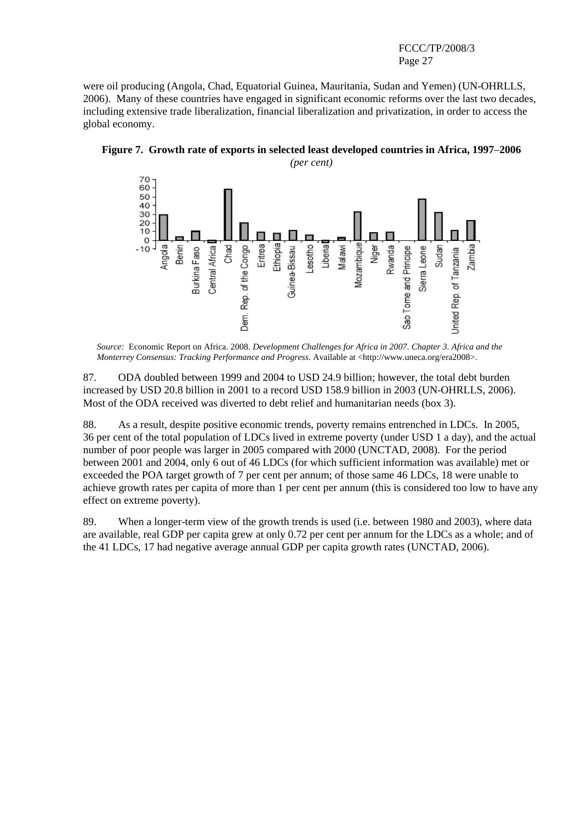were oil producing (Angola, Chad, Equatorial Guinea, Mauritania, Sudan and Yemen) (UN-OHRLLS, 2006). Many of these countries have engaged in significant economic reforms over the last two decades, including extensive trade liberalization, financial liberalization and privatization, in order to access the global economy.



**Figure 7. Growth rate of exports in selected least developed countries in Africa, 1997**–**2006** 

*Source:* Economic Report on Africa. 2008. *Development Challenges for Africa in 2007. Chapter 3. Africa and the Monterrey Consensus: Tracking Performance and Progress*. Available at <http://www.uneca.org/era2008>.

87. ODA doubled between 1999 and 2004 to USD 24.9 billion; however, the total debt burden increased by USD 20.8 billion in 2001 to a record USD 158.9 billion in 2003 (UN-OHRLLS, 2006). Most of the ODA received was diverted to debt relief and humanitarian needs (box 3).

88. As a result, despite positive economic trends, poverty remains entrenched in LDCs. In 2005, 36 per cent of the total population of LDCs lived in extreme poverty (under USD 1 a day), and the actual number of poor people was larger in 2005 compared with 2000 (UNCTAD, 2008). For the period between 2001 and 2004, only 6 out of 46 LDCs (for which sufficient information was available) met or exceeded the POA target growth of 7 per cent per annum; of those same 46 LDCs, 18 were unable to achieve growth rates per capita of more than 1 per cent per annum (this is considered too low to have any effect on extreme poverty).

89. When a longer-term view of the growth trends is used (i.e. between 1980 and 2003), where data are available, real GDP per capita grew at only 0.72 per cent per annum for the LDCs as a whole; and of the 41 LDCs, 17 had negative average annual GDP per capita growth rates (UNCTAD, 2006).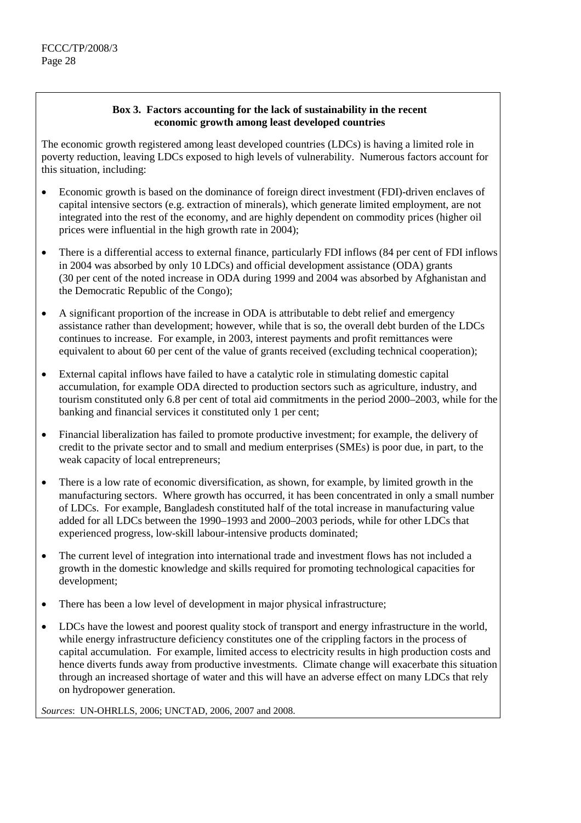## **Box 3. Factors accounting for the lack of sustainability in the recent economic growth among least developed countries**

The economic growth registered among least developed countries (LDCs) is having a limited role in poverty reduction, leaving LDCs exposed to high levels of vulnerability. Numerous factors account for this situation, including:

- Economic growth is based on the dominance of foreign direct investment (FDI)-driven enclaves of capital intensive sectors (e.g. extraction of minerals), which generate limited employment, are not integrated into the rest of the economy, and are highly dependent on commodity prices (higher oil prices were influential in the high growth rate in 2004);
- There is a differential access to external finance, particularly FDI inflows (84 per cent of FDI inflows in 2004 was absorbed by only 10 LDCs) and official development assistance (ODA) grants (30 per cent of the noted increase in ODA during 1999 and 2004 was absorbed by Afghanistan and the Democratic Republic of the Congo);
- A significant proportion of the increase in ODA is attributable to debt relief and emergency assistance rather than development; however, while that is so, the overall debt burden of the LDCs continues to increase. For example, in 2003, interest payments and profit remittances were equivalent to about 60 per cent of the value of grants received (excluding technical cooperation);
- External capital inflows have failed to have a catalytic role in stimulating domestic capital accumulation, for example ODA directed to production sectors such as agriculture, industry, and tourism constituted only 6.8 per cent of total aid commitments in the period 2000–2003, while for the banking and financial services it constituted only 1 per cent;
- Financial liberalization has failed to promote productive investment; for example, the delivery of credit to the private sector and to small and medium enterprises (SMEs) is poor due, in part, to the weak capacity of local entrepreneurs;
- There is a low rate of economic diversification, as shown, for example, by limited growth in the manufacturing sectors. Where growth has occurred, it has been concentrated in only a small number of LDCs. For example, Bangladesh constituted half of the total increase in manufacturing value added for all LDCs between the 1990–1993 and 2000–2003 periods, while for other LDCs that experienced progress, low-skill labour-intensive products dominated;
- The current level of integration into international trade and investment flows has not included a growth in the domestic knowledge and skills required for promoting technological capacities for development;
- There has been a low level of development in major physical infrastructure;
- LDCs have the lowest and poorest quality stock of transport and energy infrastructure in the world, while energy infrastructure deficiency constitutes one of the crippling factors in the process of capital accumulation. For example, limited access to electricity results in high production costs and hence diverts funds away from productive investments. Climate change will exacerbate this situation through an increased shortage of water and this will have an adverse effect on many LDCs that rely on hydropower generation.

*Sources*: UN-OHRLLS, 2006; UNCTAD, 2006, 2007 and 2008.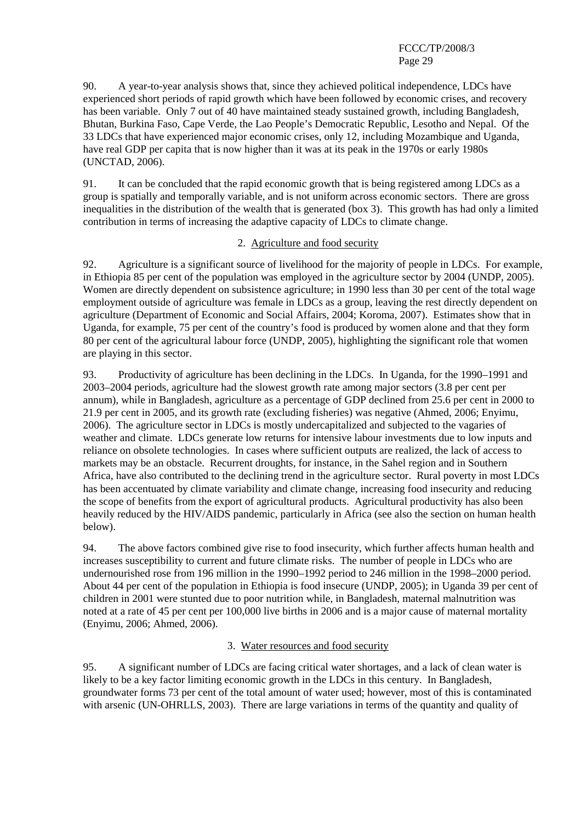90. A year-to-year analysis shows that, since they achieved political independence, LDCs have experienced short periods of rapid growth which have been followed by economic crises, and recovery has been variable. Only 7 out of 40 have maintained steady sustained growth, including Bangladesh, Bhutan, Burkina Faso, Cape Verde, the Lao People's Democratic Republic, Lesotho and Nepal. Of the 33 LDCs that have experienced major economic crises, only 12, including Mozambique and Uganda, have real GDP per capita that is now higher than it was at its peak in the 1970s or early 1980s (UNCTAD, 2006).

91. It can be concluded that the rapid economic growth that is being registered among LDCs as a group is spatially and temporally variable, and is not uniform across economic sectors. There are gross inequalities in the distribution of the wealth that is generated (box 3). This growth has had only a limited contribution in terms of increasing the adaptive capacity of LDCs to climate change.

#### 2. Agriculture and food security

92. Agriculture is a significant source of livelihood for the majority of people in LDCs. For example, in Ethiopia 85 per cent of the population was employed in the agriculture sector by 2004 (UNDP, 2005). Women are directly dependent on subsistence agriculture; in 1990 less than 30 per cent of the total wage employment outside of agriculture was female in LDCs as a group, leaving the rest directly dependent on agriculture (Department of Economic and Social Affairs, 2004; Koroma, 2007). Estimates show that in Uganda, for example, 75 per cent of the country's food is produced by women alone and that they form 80 per cent of the agricultural labour force (UNDP, 2005), highlighting the significant role that women are playing in this sector.

93. Productivity of agriculture has been declining in the LDCs. In Uganda, for the 1990–1991 and 2003–2004 periods, agriculture had the slowest growth rate among major sectors (3.8 per cent per annum), while in Bangladesh, agriculture as a percentage of GDP declined from 25.6 per cent in 2000 to 21.9 per cent in 2005, and its growth rate (excluding fisheries) was negative (Ahmed, 2006; Enyimu, 2006). The agriculture sector in LDCs is mostly undercapitalized and subjected to the vagaries of weather and climate. LDCs generate low returns for intensive labour investments due to low inputs and reliance on obsolete technologies. In cases where sufficient outputs are realized, the lack of access to markets may be an obstacle. Recurrent droughts, for instance, in the Sahel region and in Southern Africa, have also contributed to the declining trend in the agriculture sector. Rural poverty in most LDCs has been accentuated by climate variability and climate change, increasing food insecurity and reducing the scope of benefits from the export of agricultural products. Agricultural productivity has also been heavily reduced by the HIV/AIDS pandemic, particularly in Africa (see also the section on human health below).

94. The above factors combined give rise to food insecurity, which further affects human health and increases susceptibility to current and future climate risks. The number of people in LDCs who are undernourished rose from 196 million in the 1990–1992 period to 246 million in the 1998–2000 period. About 44 per cent of the population in Ethiopia is food insecure (UNDP, 2005); in Uganda 39 per cent of children in 2001 were stunted due to poor nutrition while, in Bangladesh, maternal malnutrition was noted at a rate of 45 per cent per 100,000 live births in 2006 and is a major cause of maternal mortality (Enyimu, 2006; Ahmed, 2006).

## 3. Water resources and food security

95. A significant number of LDCs are facing critical water shortages, and a lack of clean water is likely to be a key factor limiting economic growth in the LDCs in this century. In Bangladesh, groundwater forms 73 per cent of the total amount of water used; however, most of this is contaminated with arsenic (UN-OHRLLS, 2003). There are large variations in terms of the quantity and quality of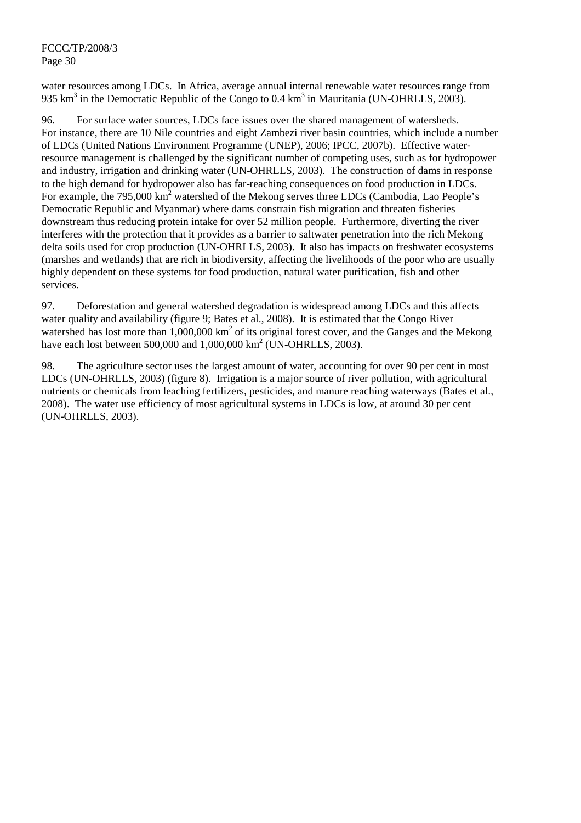water resources among LDCs. In Africa, average annual internal renewable water resources range from 935 km<sup>3</sup> in the Democratic Republic of the Congo to 0.4 km<sup>3</sup> in Mauritania (UN-OHRLLS, 2003).

96. For surface water sources, LDCs face issues over the shared management of watersheds. For instance, there are 10 Nile countries and eight Zambezi river basin countries, which include a number of LDCs (United Nations Environment Programme (UNEP), 2006; IPCC, 2007b). Effective waterresource management is challenged by the significant number of competing uses, such as for hydropower and industry, irrigation and drinking water (UN-OHRLLS, 2003). The construction of dams in response to the high demand for hydropower also has far-reaching consequences on food production in LDCs. For example, the 795,000  $\text{km}^2$  watershed of the Mekong serves three LDCs (Cambodia, Lao People's Democratic Republic and Myanmar) where dams constrain fish migration and threaten fisheries downstream thus reducing protein intake for over 52 million people. Furthermore, diverting the river interferes with the protection that it provides as a barrier to saltwater penetration into the rich Mekong delta soils used for crop production (UN-OHRLLS, 2003). It also has impacts on freshwater ecosystems (marshes and wetlands) that are rich in biodiversity, affecting the livelihoods of the poor who are usually highly dependent on these systems for food production, natural water purification, fish and other services.

97. Deforestation and general watershed degradation is widespread among LDCs and this affects water quality and availability (figure 9; Bates et al., 2008). It is estimated that the Congo River watershed has lost more than  $1,000,000 \text{ km}^2$  of its original forest cover, and the Ganges and the Mekong have each lost between 500,000 and  $1,000,000 \text{ km}^2$  (UN-OHRLLS, 2003).

98. The agriculture sector uses the largest amount of water, accounting for over 90 per cent in most LDCs (UN-OHRLLS, 2003) (figure 8). Irrigation is a major source of river pollution, with agricultural nutrients or chemicals from leaching fertilizers, pesticides, and manure reaching waterways (Bates et al., 2008). The water use efficiency of most agricultural systems in LDCs is low, at around 30 per cent (UN-OHRLLS, 2003).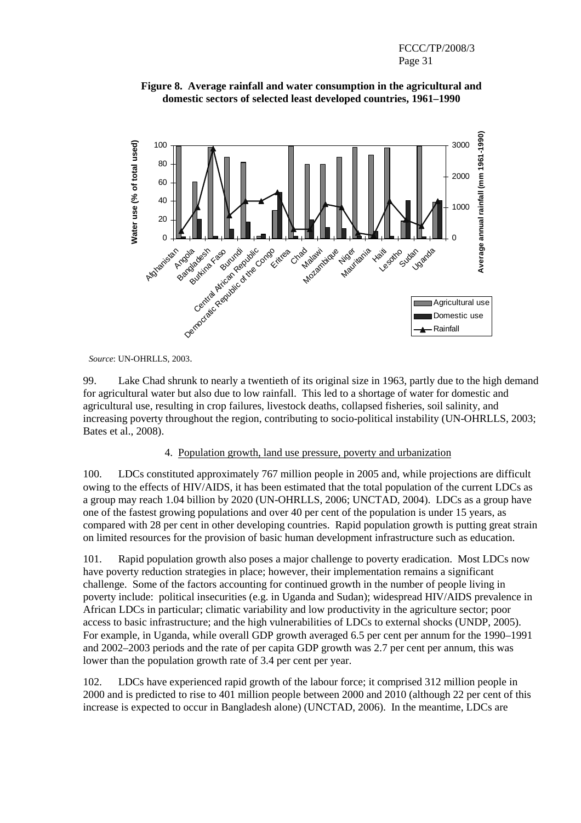



*Source*: UN-OHRLLS, 2003.

99. Lake Chad shrunk to nearly a twentieth of its original size in 1963, partly due to the high demand for agricultural water but also due to low rainfall. This led to a shortage of water for domestic and agricultural use, resulting in crop failures, livestock deaths, collapsed fisheries, soil salinity, and increasing poverty throughout the region, contributing to socio-political instability (UN-OHRLLS, 2003; Bates et al., 2008).

#### 4. Population growth, land use pressure, poverty and urbanization

100. LDCs constituted approximately 767 million people in 2005 and, while projections are difficult owing to the effects of HIV/AIDS, it has been estimated that the total population of the current LDCs as a group may reach 1.04 billion by 2020 (UN-OHRLLS, 2006; UNCTAD, 2004). LDCs as a group have one of the fastest growing populations and over 40 per cent of the population is under 15 years, as compared with 28 per cent in other developing countries. Rapid population growth is putting great strain on limited resources for the provision of basic human development infrastructure such as education.

101. Rapid population growth also poses a major challenge to poverty eradication. Most LDCs now have poverty reduction strategies in place; however, their implementation remains a significant challenge. Some of the factors accounting for continued growth in the number of people living in poverty include: political insecurities (e.g. in Uganda and Sudan); widespread HIV/AIDS prevalence in African LDCs in particular; climatic variability and low productivity in the agriculture sector; poor access to basic infrastructure; and the high vulnerabilities of LDCs to external shocks (UNDP, 2005). For example, in Uganda, while overall GDP growth averaged 6.5 per cent per annum for the 1990–1991 and 2002–2003 periods and the rate of per capita GDP growth was 2.7 per cent per annum, this was lower than the population growth rate of 3.4 per cent per year.

102. LDCs have experienced rapid growth of the labour force; it comprised 312 million people in 2000 and is predicted to rise to 401 million people between 2000 and 2010 (although 22 per cent of this increase is expected to occur in Bangladesh alone) (UNCTAD, 2006). In the meantime, LDCs are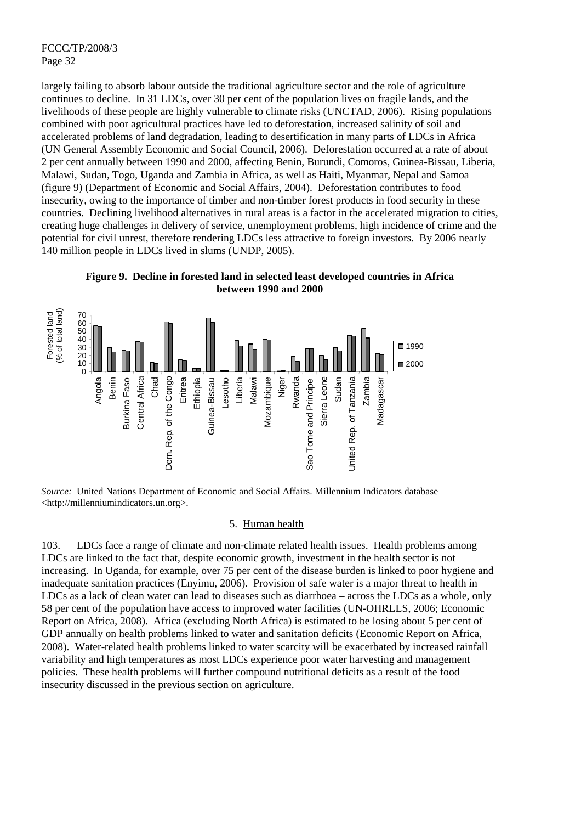largely failing to absorb labour outside the traditional agriculture sector and the role of agriculture continues to decline. In 31 LDCs, over 30 per cent of the population lives on fragile lands, and the livelihoods of these people are highly vulnerable to climate risks (UNCTAD, 2006). Rising populations combined with poor agricultural practices have led to deforestation, increased salinity of soil and accelerated problems of land degradation, leading to desertification in many parts of LDCs in Africa (UN General Assembly Economic and Social Council, 2006). Deforestation occurred at a rate of about 2 per cent annually between 1990 and 2000, affecting Benin, Burundi, Comoros, Guinea-Bissau, Liberia, Malawi, Sudan, Togo, Uganda and Zambia in Africa, as well as Haiti, Myanmar, Nepal and Samoa (figure 9) (Department of Economic and Social Affairs, 2004). Deforestation contributes to food insecurity, owing to the importance of timber and non-timber forest products in food security in these countries. Declining livelihood alternatives in rural areas is a factor in the accelerated migration to cities, creating huge challenges in delivery of service, unemployment problems, high incidence of crime and the potential for civil unrest, therefore rendering LDCs less attractive to foreign investors. By 2006 nearly 140 million people in LDCs lived in slums (UNDP, 2005).

**Figure 9. Decline in forested land in selected least developed countries in Africa between 1990 and 2000** 



*Source:* United Nations Department of Economic and Social Affairs. Millennium Indicators database <http://millenniumindicators.un.org>.

#### 5. Human health

103. LDCs face a range of climate and non-climate related health issues. Health problems among LDCs are linked to the fact that, despite economic growth, investment in the health sector is not increasing. In Uganda, for example, over 75 per cent of the disease burden is linked to poor hygiene and inadequate sanitation practices (Enyimu, 2006). Provision of safe water is a major threat to health in LDCs as a lack of clean water can lead to diseases such as diarrhoea – across the LDCs as a whole, only 58 per cent of the population have access to improved water facilities (UN-OHRLLS, 2006; Economic Report on Africa, 2008). Africa (excluding North Africa) is estimated to be losing about 5 per cent of GDP annually on health problems linked to water and sanitation deficits (Economic Report on Africa, 2008). Water-related health problems linked to water scarcity will be exacerbated by increased rainfall variability and high temperatures as most LDCs experience poor water harvesting and management policies. These health problems will further compound nutritional deficits as a result of the food insecurity discussed in the previous section on agriculture.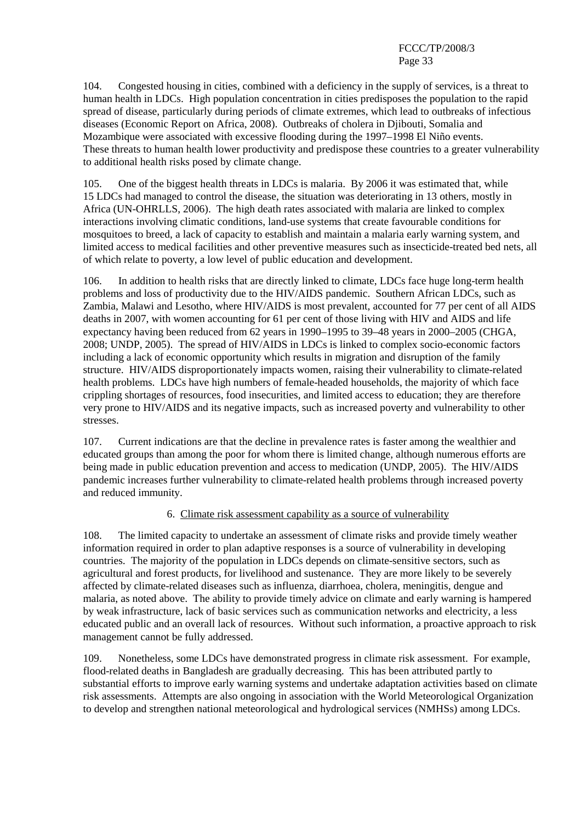104. Congested housing in cities, combined with a deficiency in the supply of services, is a threat to human health in LDCs. High population concentration in cities predisposes the population to the rapid spread of disease, particularly during periods of climate extremes, which lead to outbreaks of infectious diseases (Economic Report on Africa, 2008). Outbreaks of cholera in Djibouti, Somalia and Mozambique were associated with excessive flooding during the 1997–1998 El Niño events. These threats to human health lower productivity and predispose these countries to a greater vulnerability to additional health risks posed by climate change.

105. One of the biggest health threats in LDCs is malaria. By 2006 it was estimated that, while 15 LDCs had managed to control the disease, the situation was deteriorating in 13 others, mostly in Africa (UN-OHRLLS, 2006). The high death rates associated with malaria are linked to complex interactions involving climatic conditions, land-use systems that create favourable conditions for mosquitoes to breed, a lack of capacity to establish and maintain a malaria early warning system, and limited access to medical facilities and other preventive measures such as insecticide-treated bed nets, all of which relate to poverty, a low level of public education and development.

106. In addition to health risks that are directly linked to climate, LDCs face huge long-term health problems and loss of productivity due to the HIV/AIDS pandemic. Southern African LDCs, such as Zambia, Malawi and Lesotho, where HIV/AIDS is most prevalent, accounted for 77 per cent of all AIDS deaths in 2007, with women accounting for 61 per cent of those living with HIV and AIDS and life expectancy having been reduced from 62 years in 1990–1995 to 39–48 years in 2000–2005 (CHGA, 2008; UNDP, 2005). The spread of HIV/AIDS in LDCs is linked to complex socio-economic factors including a lack of economic opportunity which results in migration and disruption of the family structure. HIV/AIDS disproportionately impacts women, raising their vulnerability to climate-related health problems. LDCs have high numbers of female-headed households, the majority of which face crippling shortages of resources, food insecurities, and limited access to education; they are therefore very prone to HIV/AIDS and its negative impacts, such as increased poverty and vulnerability to other stresses.

107. Current indications are that the decline in prevalence rates is faster among the wealthier and educated groups than among the poor for whom there is limited change, although numerous efforts are being made in public education prevention and access to medication (UNDP, 2005). The HIV/AIDS pandemic increases further vulnerability to climate-related health problems through increased poverty and reduced immunity.

## 6. Climate risk assessment capability as a source of vulnerability

108. The limited capacity to undertake an assessment of climate risks and provide timely weather information required in order to plan adaptive responses is a source of vulnerability in developing countries. The majority of the population in LDCs depends on climate-sensitive sectors, such as agricultural and forest products, for livelihood and sustenance. They are more likely to be severely affected by climate-related diseases such as influenza, diarrhoea, cholera, meningitis, dengue and malaria, as noted above. The ability to provide timely advice on climate and early warning is hampered by weak infrastructure, lack of basic services such as communication networks and electricity, a less educated public and an overall lack of resources. Without such information, a proactive approach to risk management cannot be fully addressed.

109. Nonetheless, some LDCs have demonstrated progress in climate risk assessment. For example, flood-related deaths in Bangladesh are gradually decreasing. This has been attributed partly to substantial efforts to improve early warning systems and undertake adaptation activities based on climate risk assessments. Attempts are also ongoing in association with the World Meteorological Organization to develop and strengthen national meteorological and hydrological services (NMHSs) among LDCs.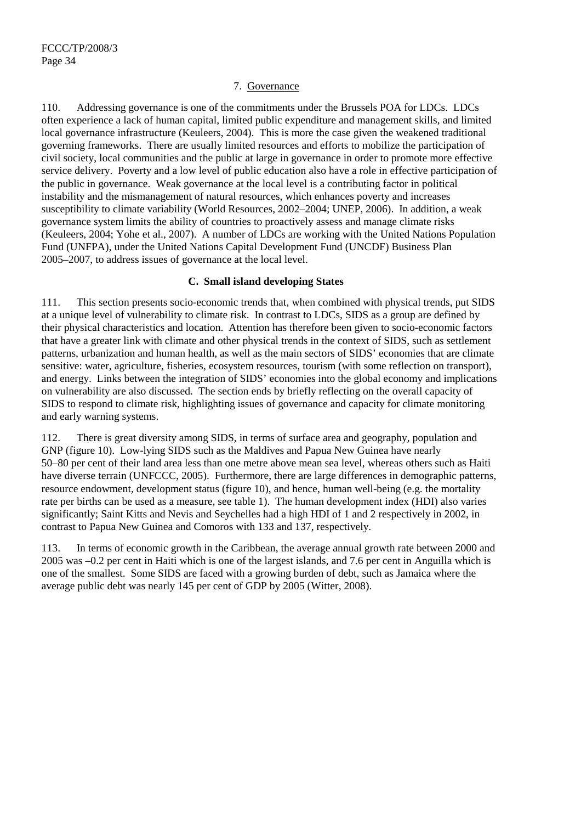#### 7. Governance

110. Addressing governance is one of the commitments under the Brussels POA for LDCs. LDCs often experience a lack of human capital, limited public expenditure and management skills, and limited local governance infrastructure (Keuleers, 2004). This is more the case given the weakened traditional governing frameworks. There are usually limited resources and efforts to mobilize the participation of civil society, local communities and the public at large in governance in order to promote more effective service delivery. Poverty and a low level of public education also have a role in effective participation of the public in governance. Weak governance at the local level is a contributing factor in political instability and the mismanagement of natural resources, which enhances poverty and increases susceptibility to climate variability (World Resources, 2002–2004; UNEP, 2006). In addition, a weak governance system limits the ability of countries to proactively assess and manage climate risks (Keuleers, 2004; Yohe et al., 2007). A number of LDCs are working with the United Nations Population Fund (UNFPA), under the United Nations Capital Development Fund (UNCDF) Business Plan 2005–2007, to address issues of governance at the local level.

#### **C. Small island developing States**

111. This section presents socio-economic trends that, when combined with physical trends, put SIDS at a unique level of vulnerability to climate risk. In contrast to LDCs, SIDS as a group are defined by their physical characteristics and location. Attention has therefore been given to socio-economic factors that have a greater link with climate and other physical trends in the context of SIDS, such as settlement patterns, urbanization and human health, as well as the main sectors of SIDS' economies that are climate sensitive: water, agriculture, fisheries, ecosystem resources, tourism (with some reflection on transport), and energy. Links between the integration of SIDS' economies into the global economy and implications on vulnerability are also discussed. The section ends by briefly reflecting on the overall capacity of SIDS to respond to climate risk, highlighting issues of governance and capacity for climate monitoring and early warning systems.

112. There is great diversity among SIDS, in terms of surface area and geography, population and GNP (figure 10). Low-lying SIDS such as the Maldives and Papua New Guinea have nearly 50–80 per cent of their land area less than one metre above mean sea level, whereas others such as Haiti have diverse terrain (UNFCCC, 2005). Furthermore, there are large differences in demographic patterns, resource endowment, development status (figure 10), and hence, human well-being (e.g. the mortality rate per births can be used as a measure, see table 1). The human development index (HDI) also varies significantly; Saint Kitts and Nevis and Seychelles had a high HDI of 1 and 2 respectively in 2002, in contrast to Papua New Guinea and Comoros with 133 and 137, respectively.

113. In terms of economic growth in the Caribbean, the average annual growth rate between 2000 and 2005 was –0.2 per cent in Haiti which is one of the largest islands, and 7.6 per cent in Anguilla which is one of the smallest. Some SIDS are faced with a growing burden of debt, such as Jamaica where the average public debt was nearly 145 per cent of GDP by 2005 (Witter, 2008).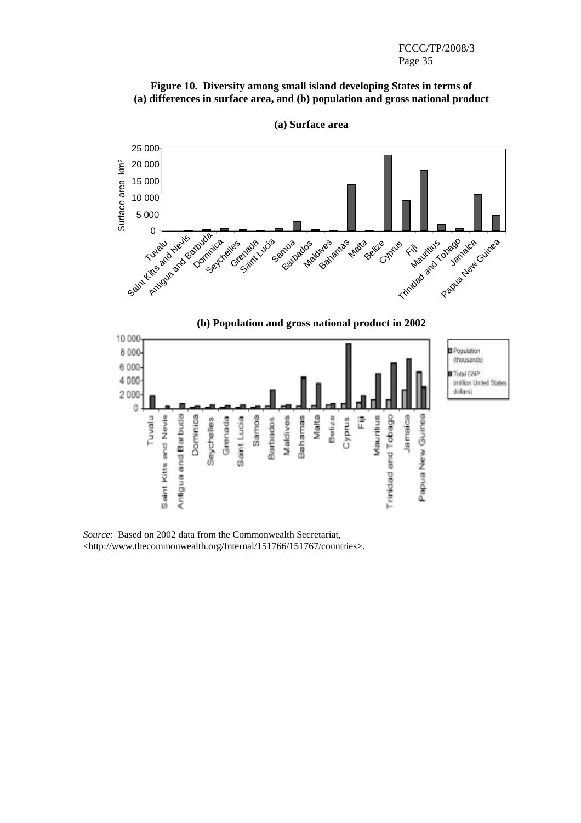#### **Figure 10. Diversity among small island developing States in terms of (a) differences in surface area, and (b) population and gross national product**



**(a) Surface area** 

*Source*: Based on 2002 data from the Commonwealth Secretariat, <http://www.thecommonwealth.org/Internal/151766/151767/countries>.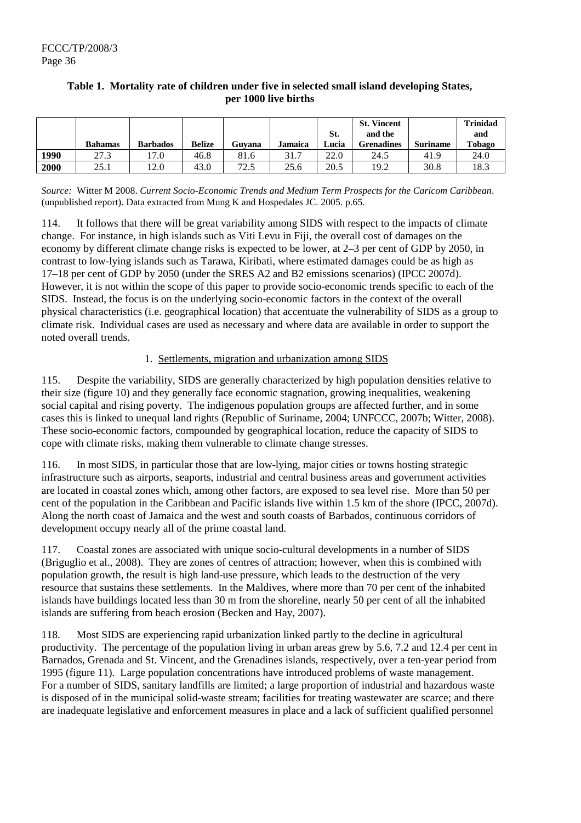|      |                |                 |               |             |         |       | <b>St. Vincent</b> |                 | <b>Trinidad</b> |
|------|----------------|-----------------|---------------|-------------|---------|-------|--------------------|-----------------|-----------------|
|      |                |                 |               |             |         | St.   | and the            |                 | and             |
|      | <b>Bahamas</b> | <b>Barbados</b> | <b>Belize</b> | Guvana      | Jamaica | Lucia | Grenadines         | <b>Suriname</b> | Tobago          |
| 1990 | 27.3           | 17.0            | 46.8          | 81.6        | 31.7    | 22.0  | 24.5               | 41.9            | 24.0            |
| 2000 | 25.1           | 12.0            | 43.0          | 72.<br>ر. ۷ | 25.6    | 20.5  | 19.2               | 30.8            | 18.3            |

## **Table 1. Mortality rate of children under five in selected small island developing States, per 1000 live births**

*Source:* Witter M 2008. *Current Socio-Economic Trends and Medium Term Prospects for the Caricom Caribbean*. (unpublished report). Data extracted from Mung K and Hospedales JC. 2005. p.65.

114. It follows that there will be great variability among SIDS with respect to the impacts of climate change. For instance, in high islands such as Viti Levu in Fiji, the overall cost of damages on the economy by different climate change risks is expected to be lower, at 2–3 per cent of GDP by 2050, in contrast to low-lying islands such as Tarawa, Kiribati, where estimated damages could be as high as 17–18 per cent of GDP by 2050 (under the SRES A2 and B2 emissions scenarios) (IPCC 2007d). However, it is not within the scope of this paper to provide socio-economic trends specific to each of the SIDS. Instead, the focus is on the underlying socio-economic factors in the context of the overall physical characteristics (i.e. geographical location) that accentuate the vulnerability of SIDS as a group to climate risk. Individual cases are used as necessary and where data are available in order to support the noted overall trends.

## 1. Settlements, migration and urbanization among SIDS

115. Despite the variability, SIDS are generally characterized by high population densities relative to their size (figure 10) and they generally face economic stagnation, growing inequalities, weakening social capital and rising poverty. The indigenous population groups are affected further, and in some cases this is linked to unequal land rights (Republic of Suriname, 2004; UNFCCC, 2007b; Witter, 2008). These socio-economic factors, compounded by geographical location, reduce the capacity of SIDS to cope with climate risks, making them vulnerable to climate change stresses.

116. In most SIDS, in particular those that are low-lying, major cities or towns hosting strategic infrastructure such as airports, seaports, industrial and central business areas and government activities are located in coastal zones which, among other factors, are exposed to sea level rise. More than 50 per cent of the population in the Caribbean and Pacific islands live within 1.5 km of the shore (IPCC, 2007d). Along the north coast of Jamaica and the west and south coasts of Barbados, continuous corridors of development occupy nearly all of the prime coastal land.

117. Coastal zones are associated with unique socio-cultural developments in a number of SIDS (Briguglio et al., 2008). They are zones of centres of attraction; however, when this is combined with population growth, the result is high land-use pressure, which leads to the destruction of the very resource that sustains these settlements. In the Maldives, where more than 70 per cent of the inhabited islands have buildings located less than 30 m from the shoreline, nearly 50 per cent of all the inhabited islands are suffering from beach erosion (Becken and Hay, 2007).

118. Most SIDS are experiencing rapid urbanization linked partly to the decline in agricultural productivity. The percentage of the population living in urban areas grew by 5.6, 7.2 and 12.4 per cent in Barnados, Grenada and St. Vincent, and the Grenadines islands, respectively, over a ten-year period from 1995 (figure 11). Large population concentrations have introduced problems of waste management. For a number of SIDS, sanitary landfills are limited; a large proportion of industrial and hazardous waste is disposed of in the municipal solid-waste stream; facilities for treating wastewater are scarce; and there are inadequate legislative and enforcement measures in place and a lack of sufficient qualified personnel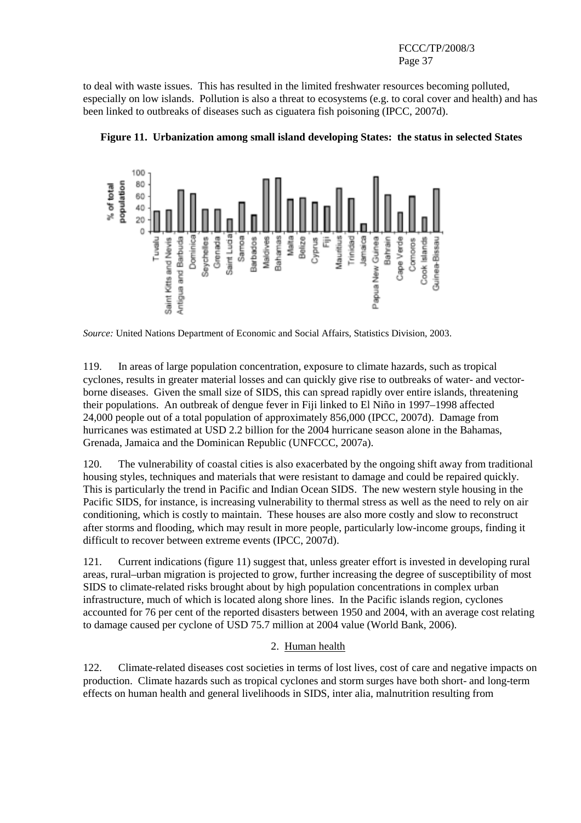to deal with waste issues. This has resulted in the limited freshwater resources becoming polluted, especially on low islands. Pollution is also a threat to ecosystems (e.g. to coral cover and health) and has been linked to outbreaks of diseases such as ciguatera fish poisoning (IPCC, 2007d).



**Figure 11. Urbanization among small island developing States: the status in selected States** 

*Source:* United Nations Department of Economic and Social Affairs, Statistics Division, 2003.

119. In areas of large population concentration, exposure to climate hazards, such as tropical cyclones, results in greater material losses and can quickly give rise to outbreaks of water- and vectorborne diseases. Given the small size of SIDS, this can spread rapidly over entire islands, threatening their populations. An outbreak of dengue fever in Fiji linked to El Niño in 1997–1998 affected 24,000 people out of a total population of approximately 856,000 (IPCC, 2007d). Damage from hurricanes was estimated at USD 2.2 billion for the 2004 hurricane season alone in the Bahamas, Grenada, Jamaica and the Dominican Republic (UNFCCC, 2007a).

120. The vulnerability of coastal cities is also exacerbated by the ongoing shift away from traditional housing styles, techniques and materials that were resistant to damage and could be repaired quickly. This is particularly the trend in Pacific and Indian Ocean SIDS. The new western style housing in the Pacific SIDS, for instance, is increasing vulnerability to thermal stress as well as the need to rely on air conditioning, which is costly to maintain. These houses are also more costly and slow to reconstruct after storms and flooding, which may result in more people, particularly low-income groups, finding it difficult to recover between extreme events (IPCC, 2007d).

121. Current indications (figure 11) suggest that, unless greater effort is invested in developing rural areas, rural–urban migration is projected to grow, further increasing the degree of susceptibility of most SIDS to climate-related risks brought about by high population concentrations in complex urban infrastructure, much of which is located along shore lines. In the Pacific islands region, cyclones accounted for 76 per cent of the reported disasters between 1950 and 2004, with an average cost relating to damage caused per cyclone of USD 75.7 million at 2004 value (World Bank, 2006).

## 2. Human health

122. Climate-related diseases cost societies in terms of lost lives, cost of care and negative impacts on production. Climate hazards such as tropical cyclones and storm surges have both short- and long-term effects on human health and general livelihoods in SIDS, inter alia, malnutrition resulting from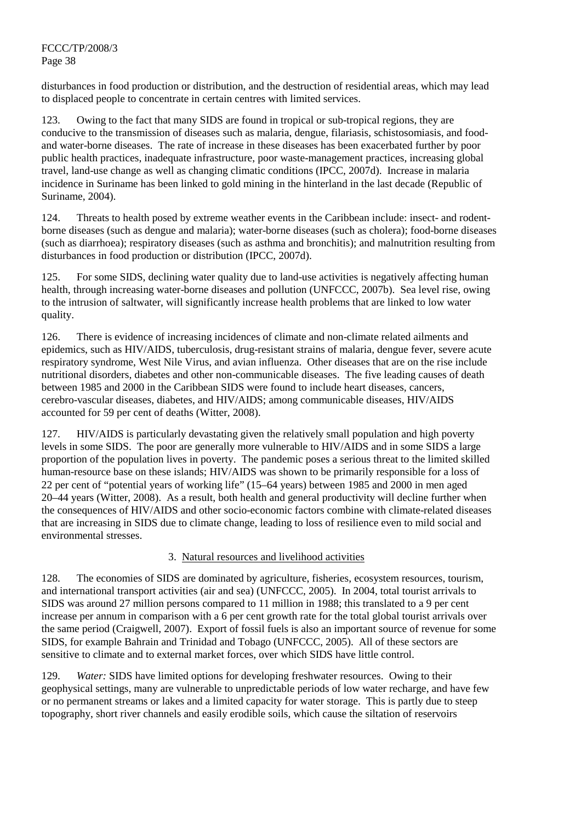disturbances in food production or distribution, and the destruction of residential areas, which may lead to displaced people to concentrate in certain centres with limited services.

123. Owing to the fact that many SIDS are found in tropical or sub-tropical regions, they are conducive to the transmission of diseases such as malaria, dengue, filariasis, schistosomiasis, and foodand water-borne diseases. The rate of increase in these diseases has been exacerbated further by poor public health practices, inadequate infrastructure, poor waste-management practices, increasing global travel, land-use change as well as changing climatic conditions (IPCC, 2007d). Increase in malaria incidence in Suriname has been linked to gold mining in the hinterland in the last decade (Republic of Suriname, 2004).

124. Threats to health posed by extreme weather events in the Caribbean include: insect- and rodentborne diseases (such as dengue and malaria); water-borne diseases (such as cholera); food-borne diseases (such as diarrhoea); respiratory diseases (such as asthma and bronchitis); and malnutrition resulting from disturbances in food production or distribution (IPCC, 2007d).

125. For some SIDS, declining water quality due to land-use activities is negatively affecting human health, through increasing water-borne diseases and pollution (UNFCCC, 2007b). Sea level rise, owing to the intrusion of saltwater, will significantly increase health problems that are linked to low water quality.

126. There is evidence of increasing incidences of climate and non-climate related ailments and epidemics, such as HIV/AIDS, tuberculosis, drug-resistant strains of malaria, dengue fever, severe acute respiratory syndrome, West Nile Virus, and avian influenza. Other diseases that are on the rise include nutritional disorders, diabetes and other non-communicable diseases. The five leading causes of death between 1985 and 2000 in the Caribbean SIDS were found to include heart diseases, cancers, cerebro-vascular diseases, diabetes, and HIV/AIDS; among communicable diseases, HIV/AIDS accounted for 59 per cent of deaths (Witter, 2008).

127. HIV/AIDS is particularly devastating given the relatively small population and high poverty levels in some SIDS. The poor are generally more vulnerable to HIV/AIDS and in some SIDS a large proportion of the population lives in poverty. The pandemic poses a serious threat to the limited skilled human-resource base on these islands; HIV/AIDS was shown to be primarily responsible for a loss of 22 per cent of "potential years of working life" (15–64 years) between 1985 and 2000 in men aged 20–44 years (Witter, 2008). As a result, both health and general productivity will decline further when the consequences of HIV/AIDS and other socio-economic factors combine with climate-related diseases that are increasing in SIDS due to climate change, leading to loss of resilience even to mild social and environmental stresses.

#### 3. Natural resources and livelihood activities

128. The economies of SIDS are dominated by agriculture, fisheries, ecosystem resources, tourism, and international transport activities (air and sea) (UNFCCC, 2005). In 2004, total tourist arrivals to SIDS was around 27 million persons compared to 11 million in 1988; this translated to a 9 per cent increase per annum in comparison with a 6 per cent growth rate for the total global tourist arrivals over the same period (Craigwell, 2007). Export of fossil fuels is also an important source of revenue for some SIDS, for example Bahrain and Trinidad and Tobago (UNFCCC, 2005). All of these sectors are sensitive to climate and to external market forces, over which SIDS have little control.

129. *Water:* SIDS have limited options for developing freshwater resources. Owing to their geophysical settings, many are vulnerable to unpredictable periods of low water recharge, and have few or no permanent streams or lakes and a limited capacity for water storage. This is partly due to steep topography, short river channels and easily erodible soils, which cause the siltation of reservoirs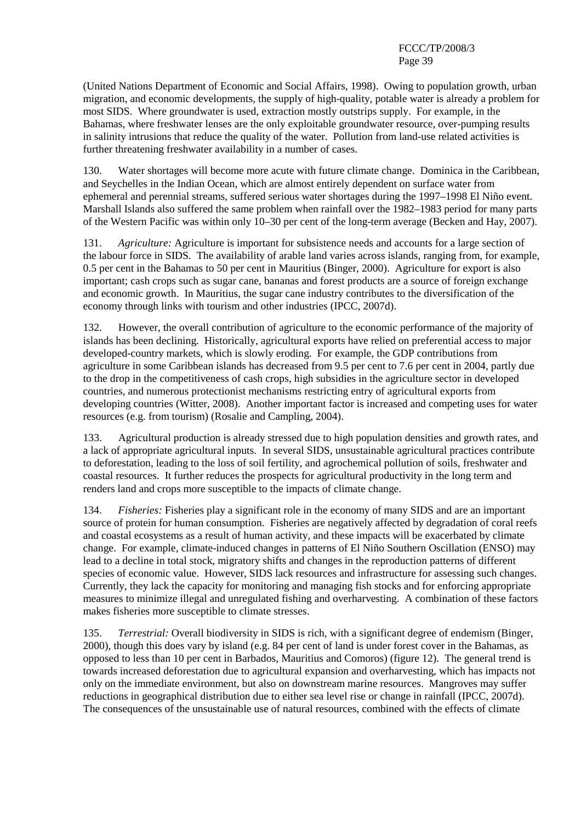(United Nations Department of Economic and Social Affairs, 1998). Owing to population growth, urban migration, and economic developments, the supply of high-quality, potable water is already a problem for most SIDS. Where groundwater is used, extraction mostly outstrips supply. For example, in the Bahamas, where freshwater lenses are the only exploitable groundwater resource, over-pumping results in salinity intrusions that reduce the quality of the water. Pollution from land-use related activities is further threatening freshwater availability in a number of cases.

130. Water shortages will become more acute with future climate change. Dominica in the Caribbean, and Seychelles in the Indian Ocean, which are almost entirely dependent on surface water from ephemeral and perennial streams, suffered serious water shortages during the 1997–1998 El Niño event. Marshall Islands also suffered the same problem when rainfall over the 1982–1983 period for many parts of the Western Pacific was within only 10–30 per cent of the long-term average (Becken and Hay, 2007).

131. *Agriculture:* Agriculture is important for subsistence needs and accounts for a large section of the labour force in SIDS. The availability of arable land varies across islands, ranging from, for example, 0.5 per cent in the Bahamas to 50 per cent in Mauritius (Binger, 2000). Agriculture for export is also important; cash crops such as sugar cane, bananas and forest products are a source of foreign exchange and economic growth. In Mauritius, the sugar cane industry contributes to the diversification of the economy through links with tourism and other industries (IPCC, 2007d).

132. However, the overall contribution of agriculture to the economic performance of the majority of islands has been declining. Historically, agricultural exports have relied on preferential access to major developed-country markets, which is slowly eroding. For example, the GDP contributions from agriculture in some Caribbean islands has decreased from 9.5 per cent to 7.6 per cent in 2004, partly due to the drop in the competitiveness of cash crops, high subsidies in the agriculture sector in developed countries, and numerous protectionist mechanisms restricting entry of agricultural exports from developing countries (Witter, 2008). Another important factor is increased and competing uses for water resources (e.g. from tourism) (Rosalie and Campling, 2004).

133. Agricultural production is already stressed due to high population densities and growth rates, and a lack of appropriate agricultural inputs. In several SIDS, unsustainable agricultural practices contribute to deforestation, leading to the loss of soil fertility, and agrochemical pollution of soils, freshwater and coastal resources. It further reduces the prospects for agricultural productivity in the long term and renders land and crops more susceptible to the impacts of climate change.

134. *Fisheries:* Fisheries play a significant role in the economy of many SIDS and are an important source of protein for human consumption. Fisheries are negatively affected by degradation of coral reefs and coastal ecosystems as a result of human activity, and these impacts will be exacerbated by climate change. For example, climate-induced changes in patterns of El Niño Southern Oscillation (ENSO) may lead to a decline in total stock, migratory shifts and changes in the reproduction patterns of different species of economic value. However, SIDS lack resources and infrastructure for assessing such changes. Currently, they lack the capacity for monitoring and managing fish stocks and for enforcing appropriate measures to minimize illegal and unregulated fishing and overharvesting. A combination of these factors makes fisheries more susceptible to climate stresses.

135. *Terrestrial:* Overall biodiversity in SIDS is rich, with a significant degree of endemism (Binger, 2000), though this does vary by island (e.g. 84 per cent of land is under forest cover in the Bahamas, as opposed to less than 10 per cent in Barbados, Mauritius and Comoros) (figure 12). The general trend is towards increased deforestation due to agricultural expansion and overharvesting, which has impacts not only on the immediate environment, but also on downstream marine resources. Mangroves may suffer reductions in geographical distribution due to either sea level rise or change in rainfall (IPCC, 2007d). The consequences of the unsustainable use of natural resources, combined with the effects of climate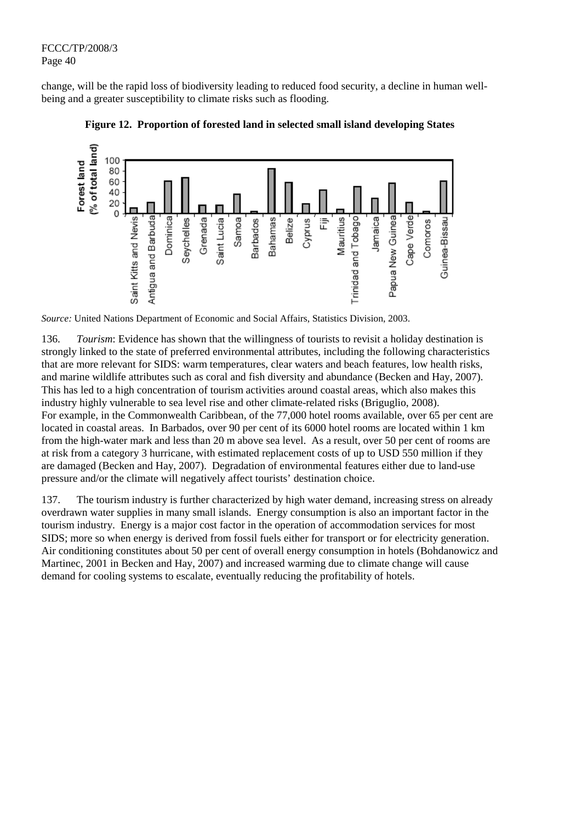change, will be the rapid loss of biodiversity leading to reduced food security, a decline in human wellbeing and a greater susceptibility to climate risks such as flooding.





*Source:* United Nations Department of Economic and Social Affairs, Statistics Division, 2003.

136. *Tourism*: Evidence has shown that the willingness of tourists to revisit a holiday destination is strongly linked to the state of preferred environmental attributes, including the following characteristics that are more relevant for SIDS: warm temperatures, clear waters and beach features, low health risks, and marine wildlife attributes such as coral and fish diversity and abundance (Becken and Hay, 2007). This has led to a high concentration of tourism activities around coastal areas, which also makes this industry highly vulnerable to sea level rise and other climate-related risks (Briguglio, 2008). For example, in the Commonwealth Caribbean, of the 77,000 hotel rooms available, over 65 per cent are located in coastal areas. In Barbados, over 90 per cent of its 6000 hotel rooms are located within 1 km from the high-water mark and less than 20 m above sea level. As a result, over 50 per cent of rooms are at risk from a category 3 hurricane, with estimated replacement costs of up to USD 550 million if they are damaged (Becken and Hay, 2007). Degradation of environmental features either due to land-use pressure and/or the climate will negatively affect tourists' destination choice.

137. The tourism industry is further characterized by high water demand, increasing stress on already overdrawn water supplies in many small islands. Energy consumption is also an important factor in the tourism industry. Energy is a major cost factor in the operation of accommodation services for most SIDS; more so when energy is derived from fossil fuels either for transport or for electricity generation. Air conditioning constitutes about 50 per cent of overall energy consumption in hotels (Bohdanowicz and Martinec, 2001 in Becken and Hay, 2007) and increased warming due to climate change will cause demand for cooling systems to escalate, eventually reducing the profitability of hotels.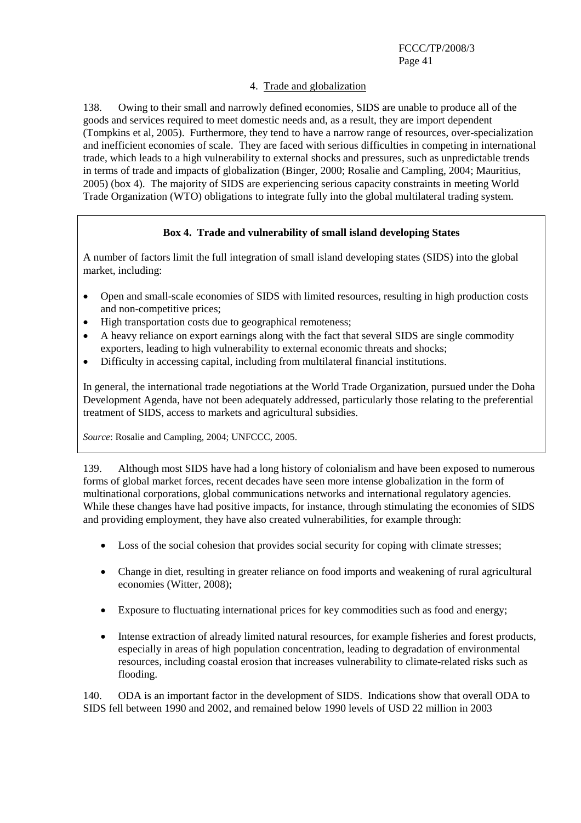#### 4. Trade and globalization

138. Owing to their small and narrowly defined economies, SIDS are unable to produce all of the goods and services required to meet domestic needs and, as a result, they are import dependent (Tompkins et al, 2005). Furthermore, they tend to have a narrow range of resources, over-specialization and inefficient economies of scale. They are faced with serious difficulties in competing in international trade, which leads to a high vulnerability to external shocks and pressures, such as unpredictable trends in terms of trade and impacts of globalization (Binger, 2000; Rosalie and Campling, 2004; Mauritius, 2005) (box 4). The majority of SIDS are experiencing serious capacity constraints in meeting World Trade Organization (WTO) obligations to integrate fully into the global multilateral trading system.

## **Box 4. Trade and vulnerability of small island developing States**

A number of factors limit the full integration of small island developing states (SIDS) into the global market, including:

- Open and small-scale economies of SIDS with limited resources, resulting in high production costs and non-competitive prices;
- High transportation costs due to geographical remoteness;
- A heavy reliance on export earnings along with the fact that several SIDS are single commodity exporters, leading to high vulnerability to external economic threats and shocks;
- Difficulty in accessing capital, including from multilateral financial institutions.

In general, the international trade negotiations at the World Trade Organization, pursued under the Doha Development Agenda, have not been adequately addressed, particularly those relating to the preferential treatment of SIDS, access to markets and agricultural subsidies.

*Source*: Rosalie and Campling, 2004; UNFCCC, 2005.

139. Although most SIDS have had a long history of colonialism and have been exposed to numerous forms of global market forces, recent decades have seen more intense globalization in the form of multinational corporations, global communications networks and international regulatory agencies. While these changes have had positive impacts, for instance, through stimulating the economies of SIDS and providing employment, they have also created vulnerabilities, for example through:

- Loss of the social cohesion that provides social security for coping with climate stresses;
- Change in diet, resulting in greater reliance on food imports and weakening of rural agricultural economies (Witter, 2008);
- Exposure to fluctuating international prices for key commodities such as food and energy;
- Intense extraction of already limited natural resources, for example fisheries and forest products, especially in areas of high population concentration, leading to degradation of environmental resources, including coastal erosion that increases vulnerability to climate-related risks such as flooding.

140. ODA is an important factor in the development of SIDS. Indications show that overall ODA to SIDS fell between 1990 and 2002, and remained below 1990 levels of USD 22 million in 2003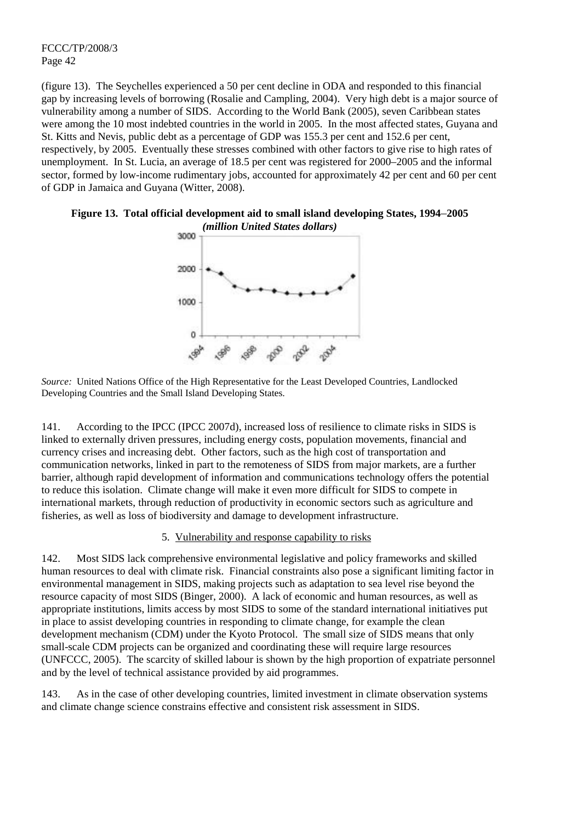(figure 13). The Seychelles experienced a 50 per cent decline in ODA and responded to this financial gap by increasing levels of borrowing (Rosalie and Campling, 2004). Very high debt is a major source of vulnerability among a number of SIDS. According to the World Bank (2005), seven Caribbean states were among the 10 most indebted countries in the world in 2005. In the most affected states, Guyana and St. Kitts and Nevis, public debt as a percentage of GDP was 155.3 per cent and 152.6 per cent, respectively, by 2005. Eventually these stresses combined with other factors to give rise to high rates of unemployment. In St. Lucia, an average of 18.5 per cent was registered for 2000–2005 and the informal sector, formed by low-income rudimentary jobs, accounted for approximately 42 per cent and 60 per cent of GDP in Jamaica and Guyana (Witter, 2008).





*Source:* United Nations Office of the High Representative for the Least Developed Countries, Landlocked Developing Countries and the Small Island Developing States.

141. According to the IPCC (IPCC 2007d), increased loss of resilience to climate risks in SIDS is linked to externally driven pressures, including energy costs, population movements, financial and currency crises and increasing debt. Other factors, such as the high cost of transportation and communication networks, linked in part to the remoteness of SIDS from major markets, are a further barrier, although rapid development of information and communications technology offers the potential to reduce this isolation. Climate change will make it even more difficult for SIDS to compete in international markets, through reduction of productivity in economic sectors such as agriculture and fisheries, as well as loss of biodiversity and damage to development infrastructure.

## 5. Vulnerability and response capability to risks

142. Most SIDS lack comprehensive environmental legislative and policy frameworks and skilled human resources to deal with climate risk. Financial constraints also pose a significant limiting factor in environmental management in SIDS, making projects such as adaptation to sea level rise beyond the resource capacity of most SIDS (Binger, 2000). A lack of economic and human resources, as well as appropriate institutions, limits access by most SIDS to some of the standard international initiatives put in place to assist developing countries in responding to climate change, for example the clean development mechanism (CDM) under the Kyoto Protocol. The small size of SIDS means that only small-scale CDM projects can be organized and coordinating these will require large resources (UNFCCC, 2005). The scarcity of skilled labour is shown by the high proportion of expatriate personnel and by the level of technical assistance provided by aid programmes.

143. As in the case of other developing countries, limited investment in climate observation systems and climate change science constrains effective and consistent risk assessment in SIDS.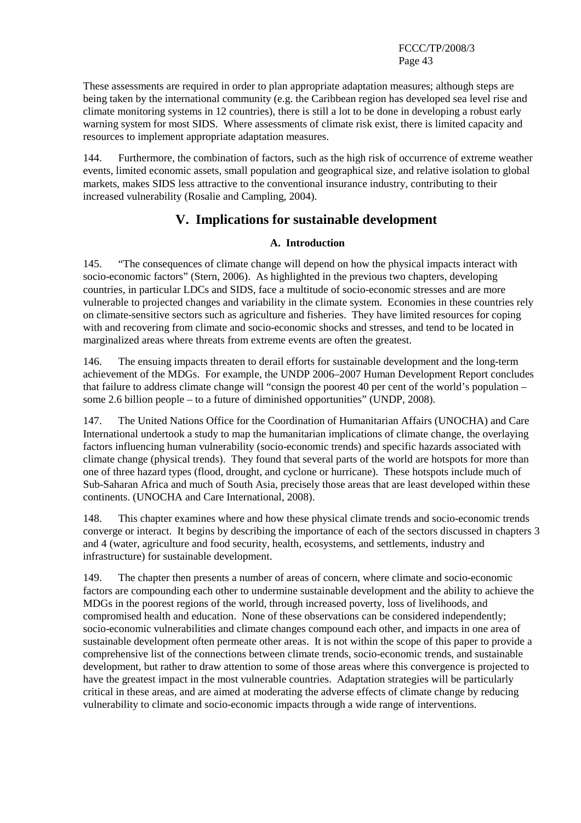These assessments are required in order to plan appropriate adaptation measures; although steps are being taken by the international community (e.g. the Caribbean region has developed sea level rise and climate monitoring systems in 12 countries), there is still a lot to be done in developing a robust early warning system for most SIDS. Where assessments of climate risk exist, there is limited capacity and resources to implement appropriate adaptation measures.

144. Furthermore, the combination of factors, such as the high risk of occurrence of extreme weather events, limited economic assets, small population and geographical size, and relative isolation to global markets, makes SIDS less attractive to the conventional insurance industry, contributing to their increased vulnerability (Rosalie and Campling, 2004).

# **V. Implications for sustainable development**

## **A. Introduction**

145. "The consequences of climate change will depend on how the physical impacts interact with socio-economic factors" (Stern, 2006). As highlighted in the previous two chapters, developing countries, in particular LDCs and SIDS, face a multitude of socio-economic stresses and are more vulnerable to projected changes and variability in the climate system. Economies in these countries rely on climate-sensitive sectors such as agriculture and fisheries. They have limited resources for coping with and recovering from climate and socio-economic shocks and stresses, and tend to be located in marginalized areas where threats from extreme events are often the greatest.

146. The ensuing impacts threaten to derail efforts for sustainable development and the long-term achievement of the MDGs. For example, the UNDP 2006–2007 Human Development Report concludes that failure to address climate change will "consign the poorest 40 per cent of the world's population – some 2.6 billion people – to a future of diminished opportunities" (UNDP, 2008).

147. The United Nations Office for the Coordination of Humanitarian Affairs (UNOCHA) and Care International undertook a study to map the humanitarian implications of climate change, the overlaying factors influencing human vulnerability (socio-economic trends) and specific hazards associated with climate change (physical trends). They found that several parts of the world are hotspots for more than one of three hazard types (flood, drought, and cyclone or hurricane). These hotspots include much of Sub-Saharan Africa and much of South Asia, precisely those areas that are least developed within these continents. (UNOCHA and Care International, 2008).

148. This chapter examines where and how these physical climate trends and socio-economic trends converge or interact. It begins by describing the importance of each of the sectors discussed in chapters 3 and 4 (water, agriculture and food security, health, ecosystems, and settlements, industry and infrastructure) for sustainable development.

149. The chapter then presents a number of areas of concern, where climate and socio-economic factors are compounding each other to undermine sustainable development and the ability to achieve the MDGs in the poorest regions of the world, through increased poverty, loss of livelihoods, and compromised health and education. None of these observations can be considered independently; socio-economic vulnerabilities and climate changes compound each other, and impacts in one area of sustainable development often permeate other areas. It is not within the scope of this paper to provide a comprehensive list of the connections between climate trends, socio-economic trends, and sustainable development, but rather to draw attention to some of those areas where this convergence is projected to have the greatest impact in the most vulnerable countries. Adaptation strategies will be particularly critical in these areas, and are aimed at moderating the adverse effects of climate change by reducing vulnerability to climate and socio-economic impacts through a wide range of interventions.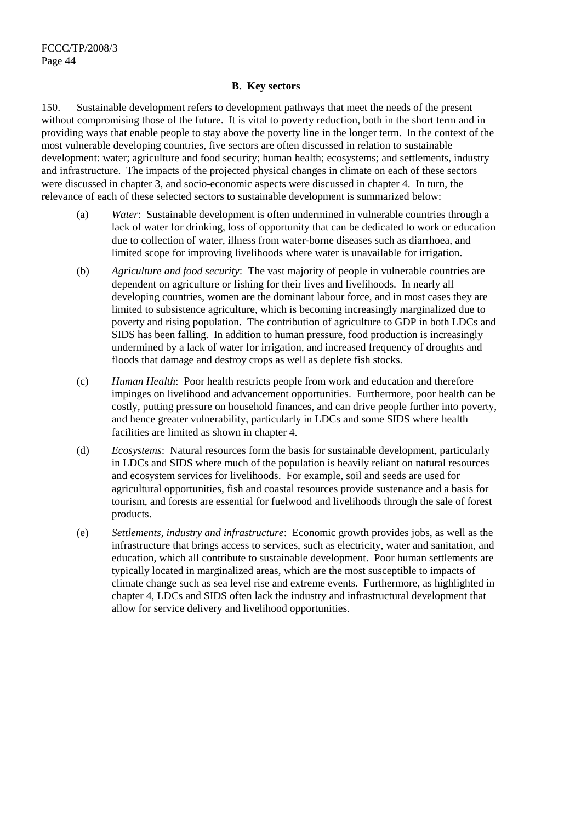#### **B. Key sectors**

150. Sustainable development refers to development pathways that meet the needs of the present without compromising those of the future. It is vital to poverty reduction, both in the short term and in providing ways that enable people to stay above the poverty line in the longer term. In the context of the most vulnerable developing countries, five sectors are often discussed in relation to sustainable development: water; agriculture and food security; human health; ecosystems; and settlements, industry and infrastructure. The impacts of the projected physical changes in climate on each of these sectors were discussed in chapter 3, and socio-economic aspects were discussed in chapter 4. In turn, the relevance of each of these selected sectors to sustainable development is summarized below:

- (a) *Water*: Sustainable development is often undermined in vulnerable countries through a lack of water for drinking, loss of opportunity that can be dedicated to work or education due to collection of water, illness from water-borne diseases such as diarrhoea, and limited scope for improving livelihoods where water is unavailable for irrigation.
- (b) *Agriculture and food security*: The vast majority of people in vulnerable countries are dependent on agriculture or fishing for their lives and livelihoods. In nearly all developing countries, women are the dominant labour force, and in most cases they are limited to subsistence agriculture, which is becoming increasingly marginalized due to poverty and rising population. The contribution of agriculture to GDP in both LDCs and SIDS has been falling. In addition to human pressure, food production is increasingly undermined by a lack of water for irrigation, and increased frequency of droughts and floods that damage and destroy crops as well as deplete fish stocks.
- (c) *Human Health*: Poor health restricts people from work and education and therefore impinges on livelihood and advancement opportunities. Furthermore, poor health can be costly, putting pressure on household finances, and can drive people further into poverty, and hence greater vulnerability, particularly in LDCs and some SIDS where health facilities are limited as shown in chapter 4.
- (d) *Ecosystems*: Natural resources form the basis for sustainable development, particularly in LDCs and SIDS where much of the population is heavily reliant on natural resources and ecosystem services for livelihoods. For example, soil and seeds are used for agricultural opportunities, fish and coastal resources provide sustenance and a basis for tourism, and forests are essential for fuelwood and livelihoods through the sale of forest products.
- (e) *Settlements, industry and infrastructure*: Economic growth provides jobs, as well as the infrastructure that brings access to services, such as electricity, water and sanitation, and education, which all contribute to sustainable development. Poor human settlements are typically located in marginalized areas, which are the most susceptible to impacts of climate change such as sea level rise and extreme events. Furthermore, as highlighted in chapter 4, LDCs and SIDS often lack the industry and infrastructural development that allow for service delivery and livelihood opportunities.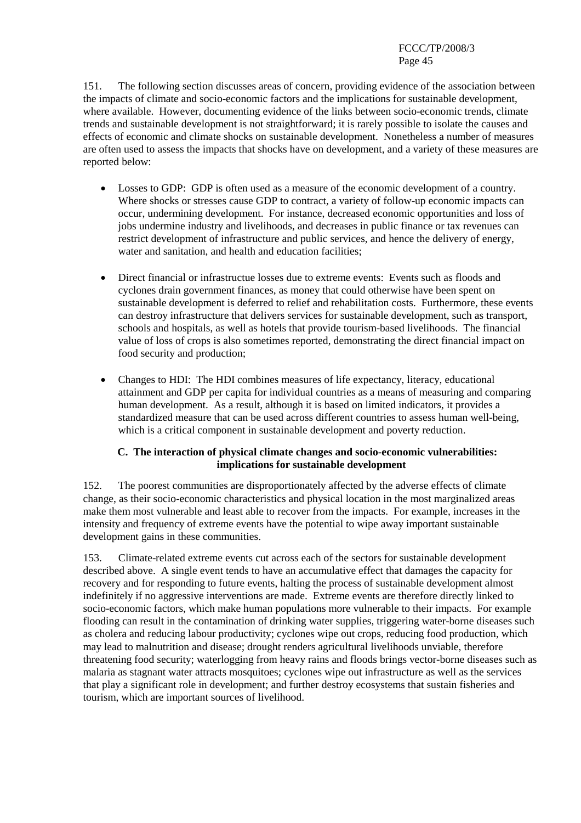151. The following section discusses areas of concern, providing evidence of the association between the impacts of climate and socio-economic factors and the implications for sustainable development, where available. However, documenting evidence of the links between socio-economic trends, climate trends and sustainable development is not straightforward; it is rarely possible to isolate the causes and effects of economic and climate shocks on sustainable development. Nonetheless a number of measures are often used to assess the impacts that shocks have on development, and a variety of these measures are reported below:

- Losses to GDP: GDP is often used as a measure of the economic development of a country. Where shocks or stresses cause GDP to contract, a variety of follow-up economic impacts can occur, undermining development. For instance, decreased economic opportunities and loss of jobs undermine industry and livelihoods, and decreases in public finance or tax revenues can restrict development of infrastructure and public services, and hence the delivery of energy, water and sanitation, and health and education facilities;
- Direct financial or infrastructue losses due to extreme events: Events such as floods and cyclones drain government finances, as money that could otherwise have been spent on sustainable development is deferred to relief and rehabilitation costs. Furthermore, these events can destroy infrastructure that delivers services for sustainable development, such as transport, schools and hospitals, as well as hotels that provide tourism-based livelihoods. The financial value of loss of crops is also sometimes reported, demonstrating the direct financial impact on food security and production;
- Changes to HDI: The HDI combines measures of life expectancy, literacy, educational attainment and GDP per capita for individual countries as a means of measuring and comparing human development. As a result, although it is based on limited indicators, it provides a standardized measure that can be used across different countries to assess human well-being, which is a critical component in sustainable development and poverty reduction.

## **C. The interaction of physical climate changes and socio-economic vulnerabilities: implications for sustainable development**

152. The poorest communities are disproportionately affected by the adverse effects of climate change, as their socio-economic characteristics and physical location in the most marginalized areas make them most vulnerable and least able to recover from the impacts. For example, increases in the intensity and frequency of extreme events have the potential to wipe away important sustainable development gains in these communities.

153. Climate-related extreme events cut across each of the sectors for sustainable development described above. A single event tends to have an accumulative effect that damages the capacity for recovery and for responding to future events, halting the process of sustainable development almost indefinitely if no aggressive interventions are made. Extreme events are therefore directly linked to socio-economic factors, which make human populations more vulnerable to their impacts.For example flooding can result in the contamination of drinking water supplies, triggering water-borne diseases such as cholera and reducing labour productivity; cyclones wipe out crops, reducing food production, which may lead to malnutrition and disease; drought renders agricultural livelihoods unviable, therefore threatening food security; waterlogging from heavy rains and floods brings vector-borne diseases such as malaria as stagnant water attracts mosquitoes; cyclones wipe out infrastructure as well as the services that play a significant role in development; and further destroy ecosystems that sustain fisheries and tourism, which are important sources of livelihood.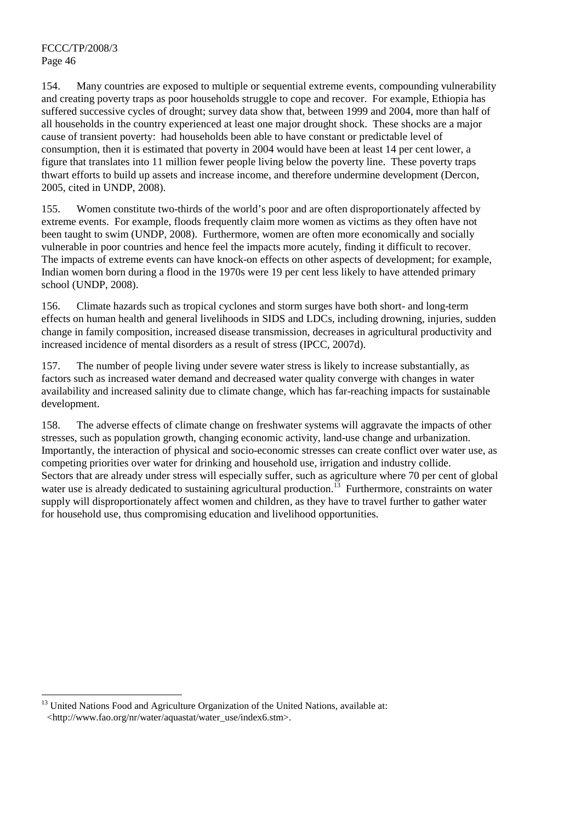$\overline{a}$ 

154. Many countries are exposed to multiple or sequential extreme events, compounding vulnerability and creating poverty traps as poor households struggle to cope and recover. For example, Ethiopia has suffered successive cycles of drought; survey data show that, between 1999 and 2004, more than half of all households in the country experienced at least one major drought shock. These shocks are a major cause of transient poverty: had households been able to have constant or predictable level of consumption, then it is estimated that poverty in 2004 would have been at least 14 per cent lower, a figure that translates into 11 million fewer people living below the poverty line. These poverty traps thwart efforts to build up assets and increase income, and therefore undermine development (Dercon, 2005, cited in UNDP, 2008).

155. Women constitute two-thirds of the world's poor and are often disproportionately affected by extreme events. For example, floods frequently claim more women as victims as they often have not been taught to swim (UNDP, 2008). Furthermore, women are often more economically and socially vulnerable in poor countries and hence feel the impacts more acutely, finding it difficult to recover. The impacts of extreme events can have knock-on effects on other aspects of development; for example, Indian women born during a flood in the 1970s were 19 per cent less likely to have attended primary school (UNDP, 2008).

156. Climate hazards such as tropical cyclones and storm surges have both short- and long-term effects on human health and general livelihoods in SIDS and LDCs, including drowning, injuries, sudden change in family composition, increased disease transmission, decreases in agricultural productivity and increased incidence of mental disorders as a result of stress (IPCC, 2007d).

157. The number of people living under severe water stress is likely to increase substantially, as factors such as increased water demand and decreased water quality converge with changes in water availability and increased salinity due to climate change, which has far-reaching impacts for sustainable development.

158. The adverse effects of climate change on freshwater systems will aggravate the impacts of other stresses, such as population growth, changing economic activity, land-use change and urbanization. Importantly, the interaction of physical and socio-economic stresses can create conflict over water use, as competing priorities over water for drinking and household use, irrigation and industry collide. Sectors that are already under stress will especially suffer, such as agriculture where 70 per cent of global water use is already dedicated to sustaining agricultural production.<sup>13</sup> Furthermore, constraints on water supply will disproportionately affect women and children, as they have to travel further to gather water for household use, thus compromising education and livelihood opportunities.

 $13$  United Nations Food and Agriculture Organization of the United Nations, available at: <http://www.fao.org/nr/water/aquastat/water\_use/index6.stm>.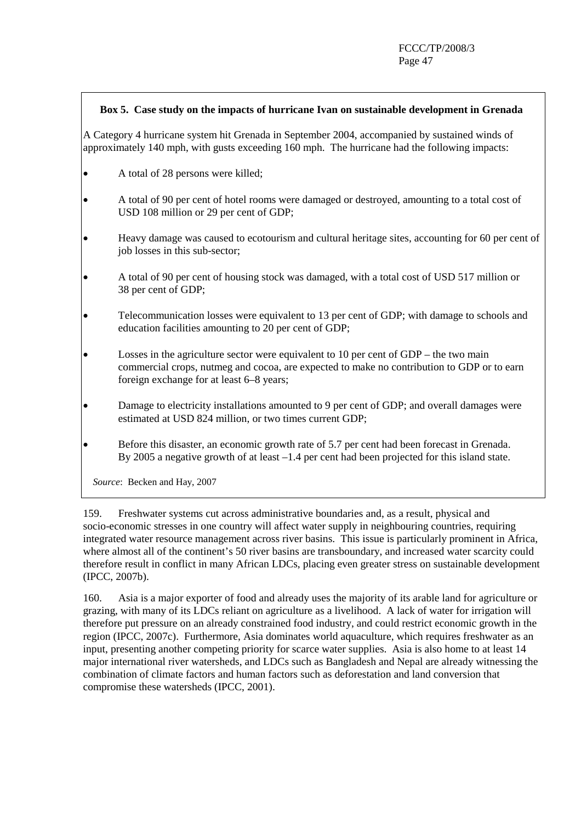#### **Box 5. Case study on the impacts of hurricane Ivan on sustainable development in Grenada**

A Category 4 hurricane system hit Grenada in September 2004, accompanied by sustained winds of approximately 140 mph, with gusts exceeding 160 mph. The hurricane had the following impacts:

- A total of 28 persons were killed;
- A total of 90 per cent of hotel rooms were damaged or destroyed, amounting to a total cost of USD 108 million or 29 per cent of GDP;
- Heavy damage was caused to ecotourism and cultural heritage sites, accounting for 60 per cent of job losses in this sub-sector;
- A total of 90 per cent of housing stock was damaged, with a total cost of USD 517 million or 38 per cent of GDP;
- Telecommunication losses were equivalent to 13 per cent of GDP; with damage to schools and education facilities amounting to 20 per cent of GDP;
- Losses in the agriculture sector were equivalent to 10 per cent of GDP the two main commercial crops, nutmeg and cocoa, are expected to make no contribution to GDP or to earn foreign exchange for at least 6–8 years;
- Damage to electricity installations amounted to 9 per cent of GDP; and overall damages were estimated at USD 824 million, or two times current GDP;
- Before this disaster, an economic growth rate of 5.7 per cent had been forecast in Grenada. By 2005 a negative growth of at least –1.4 per cent had been projected for this island state.

 *Source*: Becken and Hay, 2007

159. Freshwater systems cut across administrative boundaries and, as a result, physical and socio-economic stresses in one country will affect water supply in neighbouring countries, requiring integrated water resource management across river basins. This issue is particularly prominent in Africa, where almost all of the continent's 50 river basins are transboundary, and increased water scarcity could therefore result in conflict in many African LDCs, placing even greater stress on sustainable development (IPCC, 2007b).

160. Asia is a major exporter of food and already uses the majority of its arable land for agriculture or grazing, with many of its LDCs reliant on agriculture as a livelihood. A lack of water for irrigation will therefore put pressure on an already constrained food industry, and could restrict economic growth in the region (IPCC, 2007c). Furthermore, Asia dominates world aquaculture, which requires freshwater as an input, presenting another competing priority for scarce water supplies. Asia is also home to at least 14 major international river watersheds, and LDCs such as Bangladesh and Nepal are already witnessing the combination of climate factors and human factors such as deforestation and land conversion that compromise these watersheds (IPCC, 2001).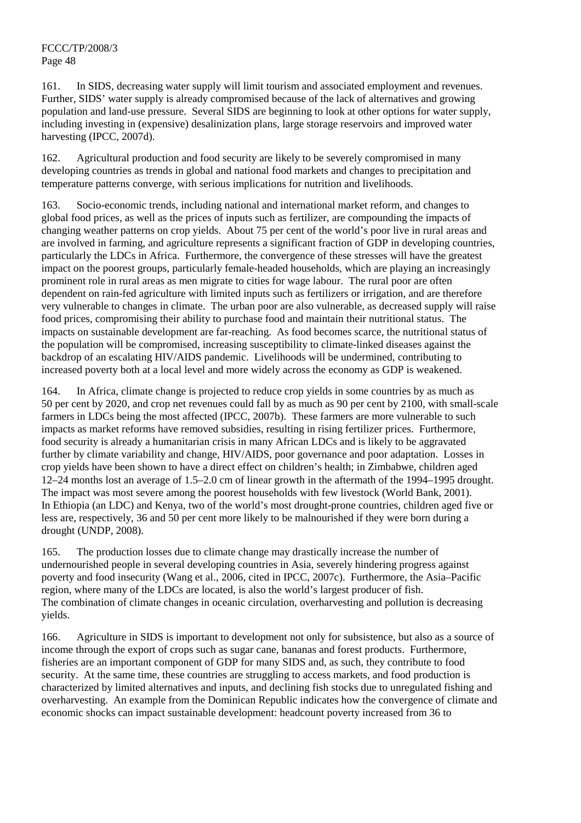161. In SIDS, decreasing water supply will limit tourism and associated employment and revenues. Further, SIDS' water supply is already compromised because of the lack of alternatives and growing population and land-use pressure. Several SIDS are beginning to look at other options for water supply, including investing in (expensive) desalinization plans, large storage reservoirs and improved water harvesting (IPCC, 2007d).

162. Agricultural production and food security are likely to be severely compromised in many developing countries as trends in global and national food markets and changes to precipitation and temperature patterns converge, with serious implications for nutrition and livelihoods.

163. Socio-economic trends, including national and international market reform, and changes to global food prices, as well as the prices of inputs such as fertilizer, are compounding the impacts of changing weather patterns on crop yields. About 75 per cent of the world's poor live in rural areas and are involved in farming, and agriculture represents a significant fraction of GDP in developing countries, particularly the LDCs in Africa. Furthermore, the convergence of these stresses will have the greatest impact on the poorest groups, particularly female-headed households, which are playing an increasingly prominent role in rural areas as men migrate to cities for wage labour. The rural poor are often dependent on rain-fed agriculture with limited inputs such as fertilizers or irrigation, and are therefore very vulnerable to changes in climate. The urban poor are also vulnerable, as decreased supply will raise food prices, compromising their ability to purchase food and maintain their nutritional status. The impacts on sustainable development are far-reaching. As food becomes scarce, the nutritional status of the population will be compromised, increasing susceptibility to climate-linked diseases against the backdrop of an escalating HIV/AIDS pandemic. Livelihoods will be undermined, contributing to increased poverty both at a local level and more widely across the economy as GDP is weakened.

164. In Africa, climate change is projected to reduce crop yields in some countries by as much as 50 per cent by 2020, and crop net revenues could fall by as much as 90 per cent by 2100, with small-scale farmers in LDCs being the most affected (IPCC, 2007b). These farmers are more vulnerable to such impacts as market reforms have removed subsidies, resulting in rising fertilizer prices. Furthermore, food security is already a humanitarian crisis in many African LDCs and is likely to be aggravated further by climate variability and change, HIV/AIDS, poor governance and poor adaptation. Losses in crop yields have been shown to have a direct effect on children's health; in Zimbabwe, children aged 12–24 months lost an average of 1.5–2.0 cm of linear growth in the aftermath of the 1994–1995 drought. The impact was most severe among the poorest households with few livestock (World Bank, 2001). In Ethiopia (an LDC) and Kenya, two of the world's most drought-prone countries, children aged five or less are, respectively, 36 and 50 per cent more likely to be malnourished if they were born during a drought (UNDP, 2008).

165. The production losses due to climate change may drastically increase the number of undernourished people in several developing countries in Asia, severely hindering progress against poverty and food insecurity (Wang et al., 2006, cited in IPCC, 2007c). Furthermore, the Asia–Pacific region, where many of the LDCs are located, is also the world's largest producer of fish. The combination of climate changes in oceanic circulation, overharvesting and pollution is decreasing yields.

166. Agriculture in SIDS is important to development not only for subsistence, but also as a source of income through the export of crops such as sugar cane, bananas and forest products. Furthermore, fisheries are an important component of GDP for many SIDS and, as such, they contribute to food security. At the same time, these countries are struggling to access markets, and food production is characterized by limited alternatives and inputs, and declining fish stocks due to unregulated fishing and overharvesting. An example from the Dominican Republic indicates how the convergence of climate and economic shocks can impact sustainable development: headcount poverty increased from 36 to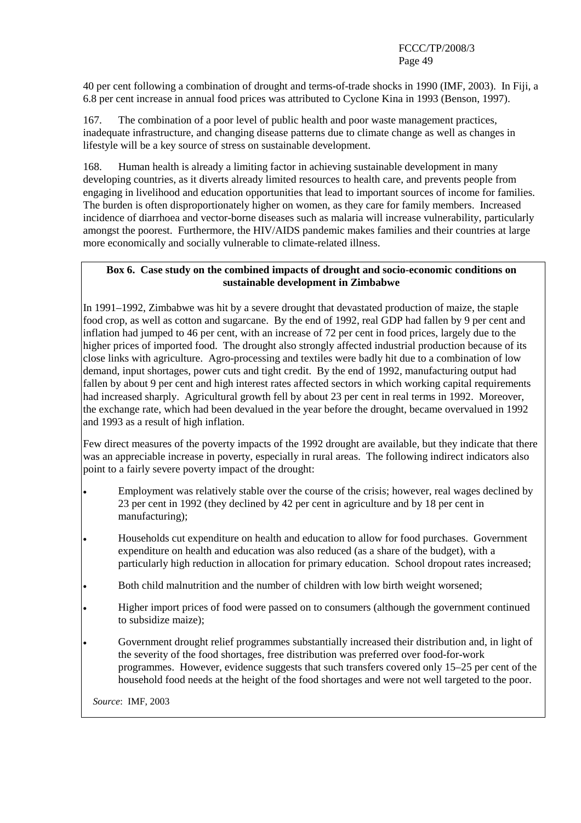40 per cent following a combination of drought and terms-of-trade shocks in 1990 (IMF, 2003). In Fiji, a 6.8 per cent increase in annual food prices was attributed to Cyclone Kina in 1993 (Benson, 1997).

167. The combination of a poor level of public health and poor waste management practices, inadequate infrastructure, and changing disease patterns due to climate change as well as changes in lifestyle will be a key source of stress on sustainable development.

168. Human health is already a limiting factor in achieving sustainable development in many developing countries, as it diverts already limited resources to health care, and prevents people from engaging in livelihood and education opportunities that lead to important sources of income for families. The burden is often disproportionately higher on women, as they care for family members. Increased incidence of diarrhoea and vector-borne diseases such as malaria will increase vulnerability, particularly amongst the poorest. Furthermore, the HIV/AIDS pandemic makes families and their countries at large more economically and socially vulnerable to climate-related illness.

#### **Box 6. Case study on the combined impacts of drought and socio-economic conditions on sustainable development in Zimbabwe**

In 1991–1992, Zimbabwe was hit by a severe drought that devastated production of maize, the staple food crop, as well as cotton and sugarcane. By the end of 1992, real GDP had fallen by 9 per cent and inflation had jumped to 46 per cent, with an increase of 72 per cent in food prices, largely due to the higher prices of imported food. The drought also strongly affected industrial production because of its close links with agriculture. Agro-processing and textiles were badly hit due to a combination of low demand, input shortages, power cuts and tight credit. By the end of 1992, manufacturing output had fallen by about 9 per cent and high interest rates affected sectors in which working capital requirements had increased sharply. Agricultural growth fell by about 23 per cent in real terms in 1992. Moreover, the exchange rate, which had been devalued in the year before the drought, became overvalued in 1992 and 1993 as a result of high inflation.

Few direct measures of the poverty impacts of the 1992 drought are available, but they indicate that there was an appreciable increase in poverty, especially in rural areas. The following indirect indicators also point to a fairly severe poverty impact of the drought:

- Employment was relatively stable over the course of the crisis; however, real wages declined by 23 per cent in 1992 (they declined by 42 per cent in agriculture and by 18 per cent in manufacturing);
- Households cut expenditure on health and education to allow for food purchases. Government expenditure on health and education was also reduced (as a share of the budget), with a particularly high reduction in allocation for primary education. School dropout rates increased;
- Both child malnutrition and the number of children with low birth weight worsened;
- Higher import prices of food were passed on to consumers (although the government continued to subsidize maize);
- Government drought relief programmes substantially increased their distribution and, in light of the severity of the food shortages, free distribution was preferred over food-for-work programmes. However, evidence suggests that such transfers covered only 15–25 per cent of the household food needs at the height of the food shortages and were not well targeted to the poor.

 *Source*: IMF, 2003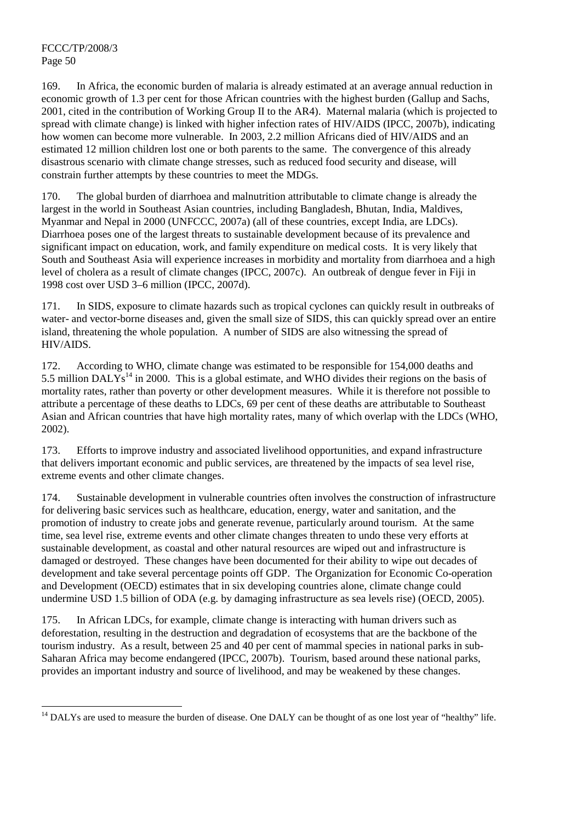169. In Africa, the economic burden of malaria is already estimated at an average annual reduction in economic growth of 1.3 per cent for those African countries with the highest burden (Gallup and Sachs, 2001, cited in the contribution of Working Group II to the AR4). Maternal malaria (which is projected to spread with climate change) is linked with higher infection rates of HIV/AIDS (IPCC, 2007b), indicating how women can become more vulnerable. In 2003, 2.2 million Africans died of HIV/AIDS and an estimated 12 million children lost one or both parents to the same. The convergence of this already disastrous scenario with climate change stresses, such as reduced food security and disease, will constrain further attempts by these countries to meet the MDGs.

170. The global burden of diarrhoea and malnutrition attributable to climate change is already the largest in the world in Southeast Asian countries, including Bangladesh, Bhutan, India, Maldives, Myanmar and Nepal in 2000 (UNFCCC, 2007a) (all of these countries, except India, are LDCs). Diarrhoea poses one of the largest threats to sustainable development because of its prevalence and significant impact on education, work, and family expenditure on medical costs. It is very likely that South and Southeast Asia will experience increases in morbidity and mortality from diarrhoea and a high level of cholera as a result of climate changes (IPCC, 2007c). An outbreak of dengue fever in Fiji in 1998 cost over USD 3–6 million (IPCC, 2007d).

171. In SIDS, exposure to climate hazards such as tropical cyclones can quickly result in outbreaks of water- and vector-borne diseases and, given the small size of SIDS, this can quickly spread over an entire island, threatening the whole population. A number of SIDS are also witnessing the spread of HIV/AIDS.

172. According to WHO, climate change was estimated to be responsible for 154,000 deaths and 5.5 million DAL $\check{Y}$ s<sup>14</sup> in 2000. This is a global estimate, and WHO divides their regions on the basis of mortality rates, rather than poverty or other development measures. While it is therefore not possible to attribute a percentage of these deaths to LDCs, 69 per cent of these deaths are attributable to Southeast Asian and African countries that have high mortality rates, many of which overlap with the LDCs (WHO, 2002).

173. Efforts to improve industry and associated livelihood opportunities, and expand infrastructure that delivers important economic and public services, are threatened by the impacts of sea level rise, extreme events and other climate changes.

174. Sustainable development in vulnerable countries often involves the construction of infrastructure for delivering basic services such as healthcare, education, energy, water and sanitation, and the promotion of industry to create jobs and generate revenue, particularly around tourism. At the same time, sea level rise, extreme events and other climate changes threaten to undo these very efforts at sustainable development, as coastal and other natural resources are wiped out and infrastructure is damaged or destroyed. These changes have been documented for their ability to wipe out decades of development and take several percentage points off GDP. The Organization for Economic Co-operation and Development (OECD) estimates that in six developing countries alone, climate change could undermine USD 1.5 billion of ODA (e.g. by damaging infrastructure as sea levels rise) (OECD, 2005).

175. In African LDCs, for example, climate change is interacting with human drivers such as deforestation, resulting in the destruction and degradation of ecosystems that are the backbone of the tourism industry. As a result, between 25 and 40 per cent of mammal species in national parks in sub-Saharan Africa may become endangered (IPCC, 2007b). Tourism, based around these national parks, provides an important industry and source of livelihood, and may be weakened by these changes.

<sup>&</sup>lt;sup>14</sup> DALYs are used to measure the burden of disease. One DALY can be thought of as one lost year of "healthy" life.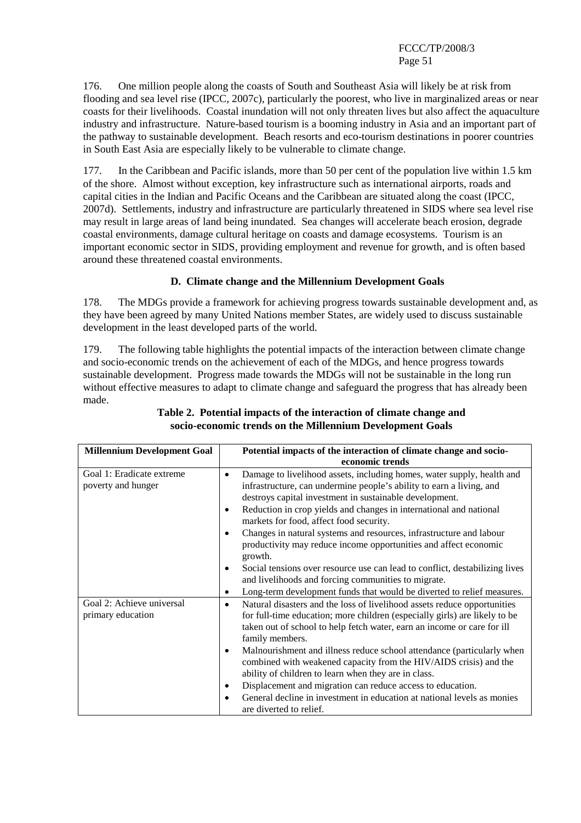176. One million people along the coasts of South and Southeast Asia will likely be at risk from flooding and sea level rise (IPCC, 2007c), particularly the poorest, who live in marginalized areas or near coasts for their livelihoods. Coastal inundation will not only threaten lives but also affect the aquaculture industry and infrastructure. Nature-based tourism is a booming industry in Asia and an important part of the pathway to sustainable development. Beach resorts and eco-tourism destinations in poorer countries in South East Asia are especially likely to be vulnerable to climate change.

177. In the Caribbean and Pacific islands, more than 50 per cent of the population live within 1.5 km of the shore. Almost without exception, key infrastructure such as international airports, roads and capital cities in the Indian and Pacific Oceans and the Caribbean are situated along the coast (IPCC, 2007d). Settlements, industry and infrastructure are particularly threatened in SIDS where sea level rise may result in large areas of land being inundated. Sea changes will accelerate beach erosion, degrade coastal environments, damage cultural heritage on coasts and damage ecosystems. Tourism is an important economic sector in SIDS, providing employment and revenue for growth, and is often based around these threatened coastal environments.

## **D. Climate change and the Millennium Development Goals**

178. The MDGs provide a framework for achieving progress towards sustainable development and, as they have been agreed by many United Nations member States, are widely used to discuss sustainable development in the least developed parts of the world.

179. The following table highlights the potential impacts of the interaction between climate change and socio-economic trends on the achievement of each of the MDGs, and hence progress towards sustainable development. Progress made towards the MDGs will not be sustainable in the long run without effective measures to adapt to climate change and safeguard the progress that has already been made.

| <b>Millennium Development Goal</b> | Potential impacts of the interaction of climate change and socio-                     |  |  |  |
|------------------------------------|---------------------------------------------------------------------------------------|--|--|--|
|                                    | economic trends                                                                       |  |  |  |
| Goal 1: Eradicate extreme          | Damage to livelihood assets, including homes, water supply, health and<br>$\bullet$   |  |  |  |
| poverty and hunger                 | infrastructure, can undermine people's ability to earn a living, and                  |  |  |  |
|                                    | destroys capital investment in sustainable development.                               |  |  |  |
|                                    | Reduction in crop yields and changes in international and national<br>٠               |  |  |  |
|                                    | markets for food, affect food security.                                               |  |  |  |
|                                    | Changes in natural systems and resources, infrastructure and labour<br>٠              |  |  |  |
|                                    | productivity may reduce income opportunities and affect economic                      |  |  |  |
|                                    | growth.                                                                               |  |  |  |
|                                    | Social tensions over resource use can lead to conflict, destabilizing lives           |  |  |  |
|                                    | and livelihoods and forcing communities to migrate.                                   |  |  |  |
|                                    | Long-term development funds that would be diverted to relief measures.<br>$\bullet$   |  |  |  |
| Goal 2: Achieve universal          | Natural disasters and the loss of livelihood assets reduce opportunities<br>$\bullet$ |  |  |  |
| primary education                  | for full-time education; more children (especially girls) are likely to be            |  |  |  |
|                                    | taken out of school to help fetch water, earn an income or care for ill               |  |  |  |
|                                    | family members.                                                                       |  |  |  |
|                                    | Malnourishment and illness reduce school attendance (particularly when<br>$\bullet$   |  |  |  |
|                                    | combined with weakened capacity from the HIV/AIDS crisis) and the                     |  |  |  |
|                                    | ability of children to learn when they are in class.                                  |  |  |  |
|                                    | Displacement and migration can reduce access to education.<br>٠                       |  |  |  |
|                                    | General decline in investment in education at national levels as monies               |  |  |  |
|                                    | are diverted to relief.                                                               |  |  |  |

## **Table 2. Potential impacts of the interaction of climate change and socio-economic trends on the Millennium Development Goals**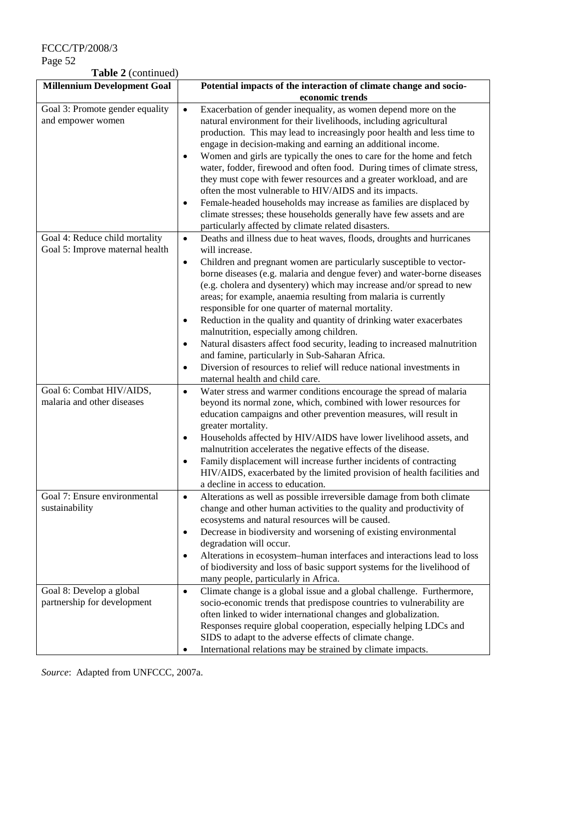FCCC/TP/2008/3

Page 52

**Table 2** (continued)

| <b>Millennium Development Goal</b>                                         | Potential impacts of the interaction of climate change and socio-                                                                                                                                                                                                                                                                                                                                                                                                                                                                                                                                                                                                                                                                                                                                                                                                         |
|----------------------------------------------------------------------------|---------------------------------------------------------------------------------------------------------------------------------------------------------------------------------------------------------------------------------------------------------------------------------------------------------------------------------------------------------------------------------------------------------------------------------------------------------------------------------------------------------------------------------------------------------------------------------------------------------------------------------------------------------------------------------------------------------------------------------------------------------------------------------------------------------------------------------------------------------------------------|
|                                                                            | economic trends                                                                                                                                                                                                                                                                                                                                                                                                                                                                                                                                                                                                                                                                                                                                                                                                                                                           |
| Goal 3: Promote gender equality<br>and empower women                       | Exacerbation of gender inequality, as women depend more on the<br>$\bullet$<br>natural environment for their livelihoods, including agricultural<br>production. This may lead to increasingly poor health and less time to<br>engage in decision-making and earning an additional income.<br>Women and girls are typically the ones to care for the home and fetch<br>$\bullet$<br>water, fodder, firewood and often food. During times of climate stress,<br>they must cope with fewer resources and a greater workload, and are<br>often the most vulnerable to HIV/AIDS and its impacts.<br>Female-headed households may increase as families are displaced by<br>$\bullet$<br>climate stresses; these households generally have few assets and are<br>particularly affected by climate related disasters.                                                             |
| Goal 4: Reduce child mortality<br>Goal 5: Improve maternal health          | Deaths and illness due to heat waves, floods, droughts and hurricanes<br>$\bullet$<br>will increase.<br>Children and pregnant women are particularly susceptible to vector-<br>$\bullet$<br>borne diseases (e.g. malaria and dengue fever) and water-borne diseases<br>(e.g. cholera and dysentery) which may increase and/or spread to new<br>areas; for example, anaemia resulting from malaria is currently<br>responsible for one quarter of maternal mortality.<br>Reduction in the quality and quantity of drinking water exacerbates<br>$\bullet$<br>malnutrition, especially among children.<br>Natural disasters affect food security, leading to increased malnutrition<br>$\bullet$<br>and famine, particularly in Sub-Saharan Africa.<br>Diversion of resources to relief will reduce national investments in<br>$\bullet$<br>maternal health and child care. |
| Goal 6: Combat HIV/AIDS,<br>malaria and other diseases                     | Water stress and warmer conditions encourage the spread of malaria<br>$\bullet$<br>beyond its normal zone, which, combined with lower resources for<br>education campaigns and other prevention measures, will result in<br>greater mortality.<br>Households affected by HIV/AIDS have lower livelihood assets, and<br>$\bullet$<br>malnutrition accelerates the negative effects of the disease.<br>Family displacement will increase further incidents of contracting<br>$\bullet$<br>HIV/AIDS, exacerbated by the limited provision of health facilities and<br>a decline in access to education.                                                                                                                                                                                                                                                                      |
| Goal 7: Ensure environmental<br>sustainability<br>Goal 8: Develop a global | Alterations as well as possible irreversible damage from both climate<br>$\bullet$<br>change and other human activities to the quality and productivity of<br>ecosystems and natural resources will be caused.<br>Decrease in biodiversity and worsening of existing environmental<br>$\bullet$<br>degradation will occur.<br>Alterations in ecosystem-human interfaces and interactions lead to loss<br>$\bullet$<br>of biodiversity and loss of basic support systems for the livelihood of<br>many people, particularly in Africa.<br>Climate change is a global issue and a global challenge. Furthermore,<br>$\bullet$                                                                                                                                                                                                                                               |
| partnership for development                                                | socio-economic trends that predispose countries to vulnerability are<br>often linked to wider international changes and globalization.<br>Responses require global cooperation, especially helping LDCs and<br>SIDS to adapt to the adverse effects of climate change.<br>International relations may be strained by climate impacts.<br>$\bullet$                                                                                                                                                                                                                                                                                                                                                                                                                                                                                                                        |

*Source*: Adapted from UNFCCC, 2007a.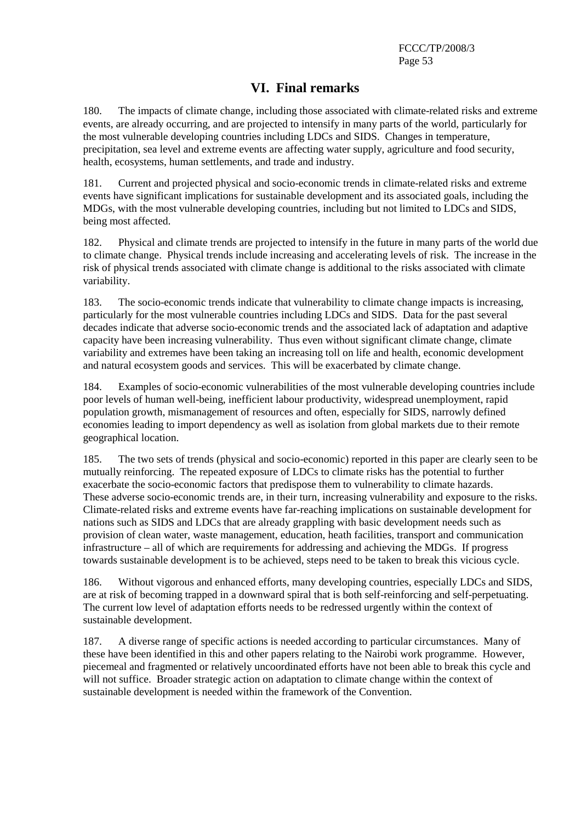# **VI. Final remarks**

180. The impacts of climate change, including those associated with climate-related risks and extreme events, are already occurring, and are projected to intensify in many parts of the world, particularly for the most vulnerable developing countries including LDCs and SIDS. Changes in temperature, precipitation, sea level and extreme events are affecting water supply, agriculture and food security, health, ecosystems, human settlements, and trade and industry.

181. Current and projected physical and socio-economic trends in climate-related risks and extreme events have significant implications for sustainable development and its associated goals, including the MDGs, with the most vulnerable developing countries, including but not limited to LDCs and SIDS, being most affected.

182. Physical and climate trends are projected to intensify in the future in many parts of the world due to climate change. Physical trends include increasing and accelerating levels of risk. The increase in the risk of physical trends associated with climate change is additional to the risks associated with climate variability.

183. The socio-economic trends indicate that vulnerability to climate change impacts is increasing, particularly for the most vulnerable countries including LDCs and SIDS. Data for the past several decades indicate that adverse socio-economic trends and the associated lack of adaptation and adaptive capacity have been increasing vulnerability. Thus even without significant climate change, climate variability and extremes have been taking an increasing toll on life and health, economic development and natural ecosystem goods and services. This will be exacerbated by climate change.

184. Examples of socio-economic vulnerabilities of the most vulnerable developing countries include poor levels of human well-being, inefficient labour productivity, widespread unemployment, rapid population growth, mismanagement of resources and often, especially for SIDS, narrowly defined economies leading to import dependency as well as isolation from global markets due to their remote geographical location.

185. The two sets of trends (physical and socio-economic) reported in this paper are clearly seen to be mutually reinforcing. The repeated exposure of LDCs to climate risks has the potential to further exacerbate the socio-economic factors that predispose them to vulnerability to climate hazards. These adverse socio-economic trends are, in their turn, increasing vulnerability and exposure to the risks. Climate-related risks and extreme events have far-reaching implications on sustainable development for nations such as SIDS and LDCs that are already grappling with basic development needs such as provision of clean water, waste management, education, heath facilities, transport and communication infrastructure – all of which are requirements for addressing and achieving the MDGs. If progress towards sustainable development is to be achieved, steps need to be taken to break this vicious cycle.

186. Without vigorous and enhanced efforts, many developing countries, especially LDCs and SIDS, are at risk of becoming trapped in a downward spiral that is both self-reinforcing and self-perpetuating. The current low level of adaptation efforts needs to be redressed urgently within the context of sustainable development.

187. A diverse range of specific actions is needed according to particular circumstances. Many of these have been identified in this and other papers relating to the Nairobi work programme. However, piecemeal and fragmented or relatively uncoordinated efforts have not been able to break this cycle and will not suffice. Broader strategic action on adaptation to climate change within the context of sustainable development is needed within the framework of the Convention.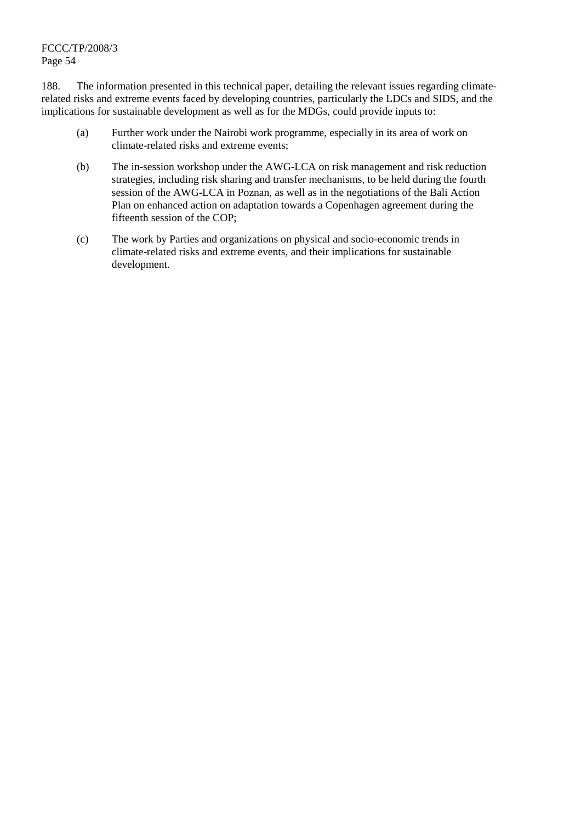188. The information presented in this technical paper, detailing the relevant issues regarding climaterelated risks and extreme events faced by developing countries, particularly the LDCs and SIDS, and the implications for sustainable development as well as for the MDGs, could provide inputs to:

- (a) Further work under the Nairobi work programme, especially in its area of work on climate-related risks and extreme events;
- (b) The in-session workshop under the AWG-LCA on risk management and risk reduction strategies, including risk sharing and transfer mechanisms, to be held during the fourth session of the AWG-LCA in Poznan, as well as in the negotiations of the Bali Action Plan on enhanced action on adaptation towards a Copenhagen agreement during the fifteenth session of the COP;
- (c) The work by Parties and organizations on physical and socio-economic trends in climate-related risks and extreme events, and their implications for sustainable development.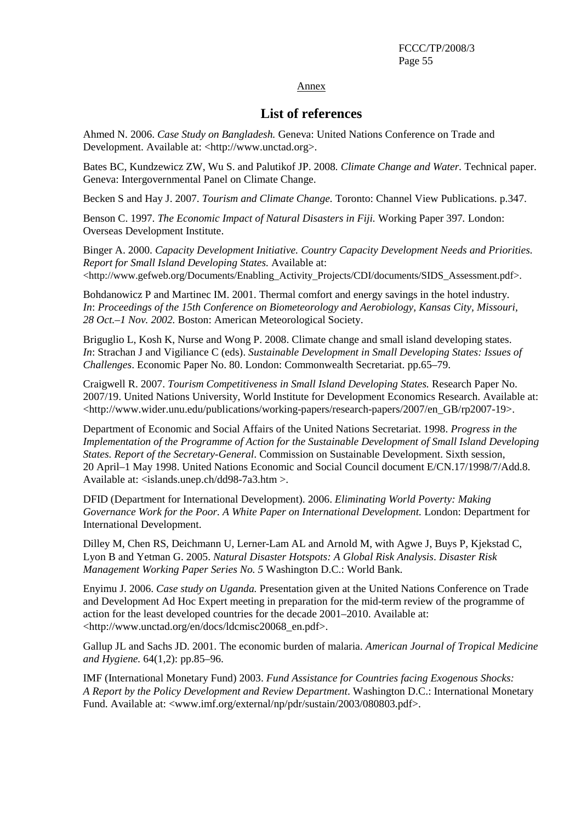#### Annex

# **List of references**

Ahmed N. 2006. *Case Study on Bangladesh.* Geneva: United Nations Conference on Trade and Development. Available at: <http://www.unctad.org>.

Bates BC, Kundzewicz ZW, Wu S. and Palutikof JP. 2008*. Climate Change and Water.* Technical paper. Geneva: Intergovernmental Panel on Climate Change.

Becken S and Hay J. 2007. *Tourism and Climate Change.* Toronto: Channel View Publications. p.347.

Benson C. 1997. *The Economic Impact of Natural Disasters in Fiji.* Working Paper 397*.* London: Overseas Development Institute.

Binger A. 2000. *Capacity Development Initiative. Country Capacity Development Needs and Priorities. Report for Small Island Developing States.* Available at: <http://www.gefweb.org/Documents/Enabling\_Activity\_Projects/CDI/documents/SIDS\_Assessment.pdf>.

Bohdanowicz P and Martinec IM. 2001. Thermal comfort and energy savings in the hotel industry*. In*: *Proceedings of the 15th Conference on Biometeorology and Aerobiology, Kansas City, Missouri, 28 Oct.–1 Nov. 2002.* Boston: American Meteorological Society.

Briguglio L, Kosh K, Nurse and Wong P. 2008. Climate change and small island developing states. *In*: Strachan J and Vigiliance C (eds). *Sustainable Development in Small Developing States: Issues of Challenges*. Economic Paper No. 80. London: Commonwealth Secretariat. pp.65–79.

Craigwell R. 2007. *Tourism Competitiveness in Small Island Developing States.* Research Paper No. 2007/19. United Nations University, World Institute for Development Economics Research. Available at: <http://www.wider.unu.edu/publications/working-papers/research-papers/2007/en\_GB/rp2007-19>.

Department of Economic and Social Affairs of the United Nations Secretariat. 1998. *Progress in the Implementation of the Programme of Action for the Sustainable Development of Small Island Developing States. Report of the Secretary-General*. Commission on Sustainable Development. Sixth session, 20 April–1 May 1998. United Nations Economic and Social Council document E/CN.17/1998/7/Add.8. Available at: <islands.unep.ch/dd98-7a3.htm >.

DFID (Department for International Development). 2006. *Eliminating World Poverty: Making*  Governance Work for the Poor. A White Paper on International Development. London: Department for International Development.

Dilley M, Chen RS, Deichmann U, Lerner-Lam AL and Arnold M, with Agwe J, Buys P, Kjekstad C, Lyon B and Yetman G. 2005. *Natural Disaster Hotspots: A Global Risk Analysis*. *Disaster Risk Management Working Paper Series No. 5* Washington D.C.: World Bank.

Enyimu J. 2006. *Case study on Uganda.* Presentation given at the United Nations Conference on Trade and Development Ad Hoc Expert meeting in preparation for the mid-term review of the programme of action for the least developed countries for the decade 2001–2010. Available at: <http://www.unctad.org/en/docs/ldcmisc20068\_en.pdf>.

Gallup JL and Sachs JD. 2001. The economic burden of malaria. *American Journal of Tropical Medicine and Hygiene.* 64(1,2): pp.85–96.

IMF (International Monetary Fund) 2003. *Fund Assistance for Countries facing Exogenous Shocks: A Report by the Policy Development and Review Department*. Washington D.C.: International Monetary Fund. Available at: <www.imf.org/external/np/pdr/sustain/2003/080803.pdf>.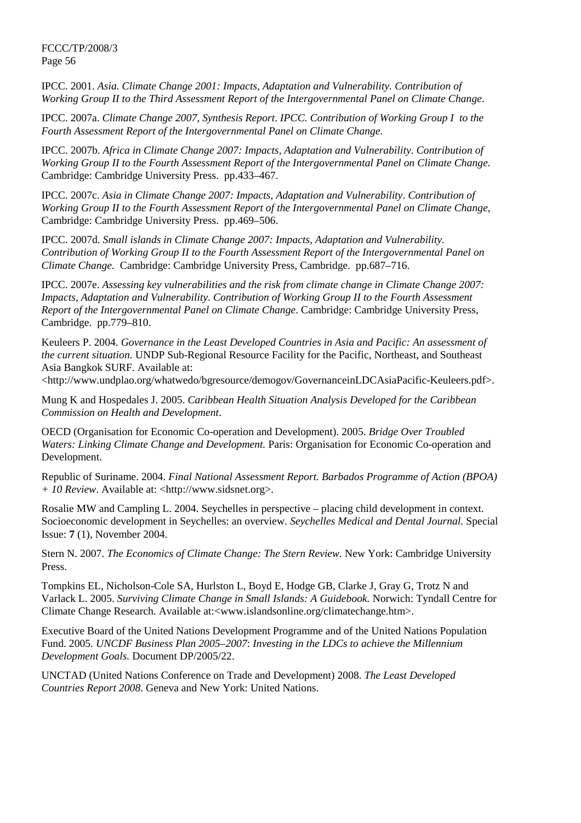IPCC. 2001. *Asia. Climate Change 2001: Impacts, Adaptation and Vulnerability. Contribution of Working Group II to the Third Assessment Report of the Intergovernmental Panel on Climate Change*.

IPCC. 2007a. *Climate Change 2007, Synthesis Report*. *IPCC. Contribution of Working Group I to the Fourth Assessment Report of the Intergovernmental Panel on Climate Change.*

IPCC. 2007b. *Africa in Climate Change 2007: Impacts, Adaptation and Vulnerability. Contribution of Working Group II to the Fourth Assessment Report of the Intergovernmental Panel on Climate Change.* Cambridge: Cambridge University Press. pp.433–467.

IPCC. 2007c. *Asia in Climate Change 2007: Impacts, Adaptation and Vulnerability*. *Contribution of Working Group II to the Fourth Assessment Report of the Intergovernmental Panel on Climate Change*, Cambridge: Cambridge University Press. pp.469–506.

IPCC. 2007d. *Small islands in Climate Change 2007: Impacts, Adaptation and Vulnerability. Contribution of Working Group II to the Fourth Assessment Report of the Intergovernmental Panel on Climate Change.* Cambridge: Cambridge University Press, Cambridge. pp.687–716.

IPCC. 2007e. *Assessing key vulnerabilities and the risk from climate change in Climate Change 2007: Impacts, Adaptation and Vulnerability*. *Contribution of Working Group II to the Fourth Assessment Report of the Intergovernmental Panel on Climate Change*. Cambridge: Cambridge University Press, Cambridge. pp.779–810.

Keuleers P. 2004. *Governance in the Least Developed Countries in Asia and Pacific: An assessment of the current situation.* UNDP Sub-Regional Resource Facility for the Pacific, Northeast, and Southeast Asia Bangkok SURF. Available at:

<http://www.undplao.org/whatwedo/bgresource/demogov/GovernanceinLDCAsiaPacific-Keuleers.pdf>.

Mung K and Hospedales J. 2005. *Caribbean Health Situation Analysis Developed for the Caribbean Commission on Health and Development*.

OECD (Organisation for Economic Co-operation and Development). 2005. *Bridge Over Troubled Waters: Linking Climate Change and Development.* Paris: Organisation for Economic Co-operation and Development.

Republic of Suriname. 2004. *Final National Assessment Report. Barbados Programme of Action (BPOA) + 10 Review*. Available at: <http://www.sidsnet.org>.

Rosalie MW and Campling L. 2004. Seychelles in perspective *–* placing child development in context. Socioeconomic development in Seychelles: an overview. *Seychelles Medical and Dental Journal.* Special Issue: **7** (1), November 2004.

Stern N. 2007. *The Economics of Climate Change: The Stern Review.* New York: Cambridge University Press.

Tompkins EL, Nicholson-Cole SA, Hurlston L, Boyd E, Hodge GB, Clarke J, Gray G, Trotz N and Varlack L. 2005. *Surviving Climate Change in Small Islands: A Guidebook.* Norwich: Tyndall Centre for Climate Change Research. Available at:<www.islandsonline.org/climatechange.htm>.

Executive Board of the United Nations Development Programme and of the United Nations Population Fund. 2005. *UNCDF Business Plan 2005–2007*: *Investing in the LDCs to achieve the Millennium Development Goals.* Document DP/2005/22.

UNCTAD (United Nations Conference on Trade and Development) 2008. *The Least Developed Countries Report 2008*. Geneva and New York: United Nations.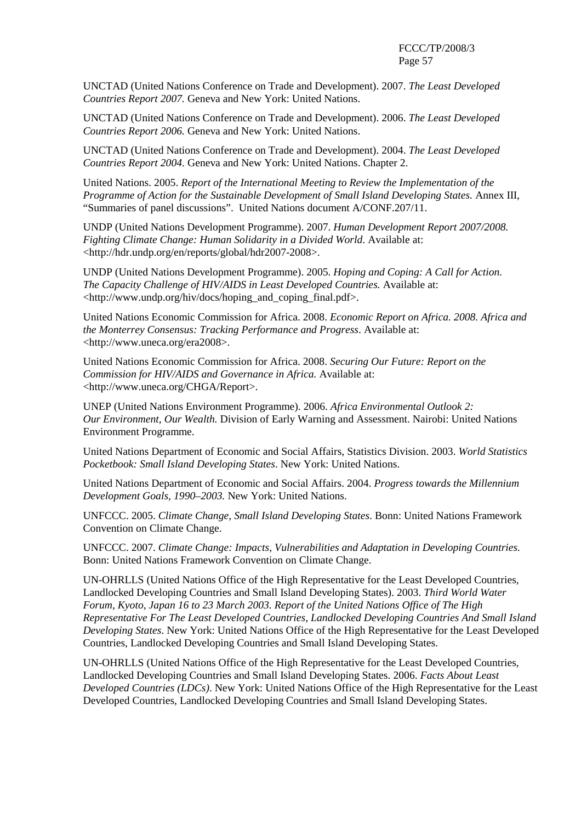UNCTAD (United Nations Conference on Trade and Development). 2007. *The Least Developed Countries Report 2007.* Geneva and New York: United Nations.

UNCTAD (United Nations Conference on Trade and Development). 2006. *The Least Developed Countries Report 2006.* Geneva and New York: United Nations.

UNCTAD (United Nations Conference on Trade and Development). 2004. *The Least Developed Countries Report 2004*. Geneva and New York: United Nations. Chapter 2.

United Nations. 2005. *Report of the International Meeting to Review the Implementation of the Programme of Action for the Sustainable Development of Small Island Developing States.* Annex III, "Summaries of panel discussions". United Nations document A/CONF.207/11.

UNDP (United Nations Development Programme). 2007. *Human Development Report 2007/2008. Fighting Climate Change: Human Solidarity in a Divided World*. Available at: <http://hdr.undp.org/en/reports/global/hdr2007-2008>.

UNDP (United Nations Development Programme). 2005. *Hoping and Coping: A Call for Action. The Capacity Challenge of HIV/AIDS in Least Developed Countries.* Available at: <http://www.undp.org/hiv/docs/hoping\_and\_coping\_final.pdf>.

United Nations Economic Commission for Africa. 2008. *Economic Report on Africa. 2008. Africa and the Monterrey Consensus: Tracking Performance and Progress*. Available at: <http://www.uneca.org/era2008>.

United Nations Economic Commission for Africa. 2008. *Securing Our Future: Report on the Commission for HIV/AIDS and Governance in Africa.* Available at: <http://www.uneca.org/CHGA/Report>.

UNEP (United Nations Environment Programme). 2006. *Africa Environmental Outlook 2: Our Environment, Our Wealth.* Division of Early Warning and Assessment. Nairobi: United Nations Environment Programme.

United Nations Department of Economic and Social Affairs, Statistics Division. 2003. *World Statistics Pocketbook: Small Island Developing States*. New York: United Nations.

United Nations Department of Economic and Social Affairs. 2004. *Progress towards the Millennium Development Goals, 1990–2003.* New York: United Nations.

UNFCCC. 2005. *Climate Change, Small Island Developing States*. Bonn: United Nations Framework Convention on Climate Change.

UNFCCC. 2007. *Climate Change: Impacts, Vulnerabilities and Adaptation in Developing Countries.*  Bonn: United Nations Framework Convention on Climate Change.

UN-OHRLLS (United Nations Office of the High Representative for the Least Developed Countries, Landlocked Developing Countries and Small Island Developing States). 2003. *Third World Water Forum, Kyoto, Japan 16 to 23 March 2003. Report of the United Nations Office of The High Representative For The Least Developed Countries, Landlocked Developing Countries And Small Island Developing States*. New York: United Nations Office of the High Representative for the Least Developed Countries, Landlocked Developing Countries and Small Island Developing States.

UN-OHRLLS (United Nations Office of the High Representative for the Least Developed Countries, Landlocked Developing Countries and Small Island Developing States. 2006. *Facts About Least Developed Countries (LDCs)*. New York: United Nations Office of the High Representative for the Least Developed Countries, Landlocked Developing Countries and Small Island Developing States.